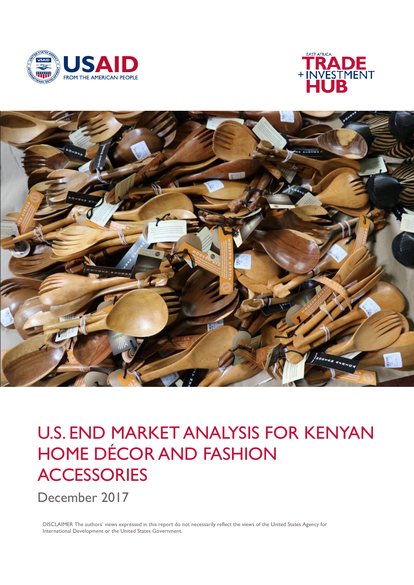





# U.S. END MARKET ANALYSIS FOR KENYAN HOME DÉCOR AND FASHION **ACCESSORIES**

December 2017

DISCLAIMER The authors' views expressed in this report do not necessarily reflect the views of the United States Agency for International Development or the United States Government.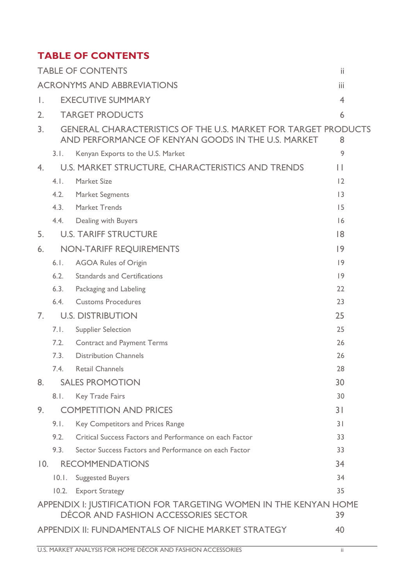# <span id="page-1-0"></span>**TABLE OF CONTENTS**

|                   |       | <b>TABLE OF CONTENTS</b>                                                                                                    | ii             |
|-------------------|-------|-----------------------------------------------------------------------------------------------------------------------------|----------------|
|                   |       | <b>ACRONYMS AND ABBREVIATIONS</b>                                                                                           | iii            |
| Ι.                |       | <b>EXECUTIVE SUMMARY</b>                                                                                                    | $\overline{4}$ |
| 2.                |       | <b>TARGET PRODUCTS</b>                                                                                                      | 6              |
| 3 <sub>1</sub>    |       | <b>GENERAL CHARACTERISTICS OF THE U.S. MARKET FOR TARGET PRODUCTS</b><br>AND PERFORMANCE OF KENYAN GOODS IN THE U.S. MARKET | 8              |
|                   | 3.1.  | Kenyan Exports to the U.S. Market                                                                                           | 9              |
| 4.                |       | U.S. MARKET STRUCTURE, CHARACTERISTICS AND TRENDS                                                                           | П              |
|                   | 4.1.  | Market Size                                                                                                                 | 12             |
|                   | 4.2.  | <b>Market Segments</b>                                                                                                      | 3              |
|                   | 4.3.  | <b>Market Trends</b>                                                                                                        | 15             |
|                   | 4.4.  | Dealing with Buyers                                                                                                         | 6              |
| 5.                |       | <b>U.S. TARIFF STRUCTURE</b>                                                                                                | 8              |
| 6.                |       | <b>NON-TARIFF REQUIREMENTS</b>                                                                                              | 9              |
|                   | 6.1.  | <b>AGOA Rules of Origin</b>                                                                                                 | 9              |
|                   | 6.2.  | <b>Standards and Certifications</b>                                                                                         | 9              |
|                   | 6.3.  | Packaging and Labeling                                                                                                      | 22             |
|                   | 6.4.  | <b>Customs Procedures</b>                                                                                                   | 23             |
| 7.                |       | <b>U.S. DISTRIBUTION</b>                                                                                                    | 25             |
|                   | 7.1.  | <b>Supplier Selection</b>                                                                                                   | 25             |
|                   | 7.2.  | <b>Contract and Payment Terms</b>                                                                                           | 26             |
|                   | 7.3.  | <b>Distribution Channels</b>                                                                                                | 26             |
|                   | 7.4.  | <b>Retail Channels</b>                                                                                                      | 28             |
| 8.                |       | <b>SALES PROMOTION</b>                                                                                                      | 30             |
|                   | 8.1.  | <b>Key Trade Fairs</b>                                                                                                      | 30             |
| 9.                |       | <b>COMPETITION AND PRICES</b>                                                                                               | 31             |
|                   | 9.1.  | Key Competitors and Prices Range                                                                                            | 31             |
|                   | 9.2.  | Critical Success Factors and Performance on each Factor                                                                     | 33             |
|                   | 9.3.  | Sector Success Factors and Performance on each Factor                                                                       | 33             |
| $\overline{10}$ . |       | <b>RECOMMENDATIONS</b>                                                                                                      | 34             |
|                   | 10.1. | <b>Suggested Buyers</b>                                                                                                     | 34             |
|                   |       | 10.2. Export Strategy                                                                                                       | 35             |
|                   |       | APPENDIX I: JUSTIFICATION FOR TARGETING WOMEN IN THE KENYAN HOME                                                            |                |
|                   |       | DÉCOR AND FASHION ACCESSORIES SECTOR                                                                                        | 39             |
|                   |       | APPENDIX II: FUNDAMENTALS OF NICHE MARKET STRATEGY                                                                          | 40             |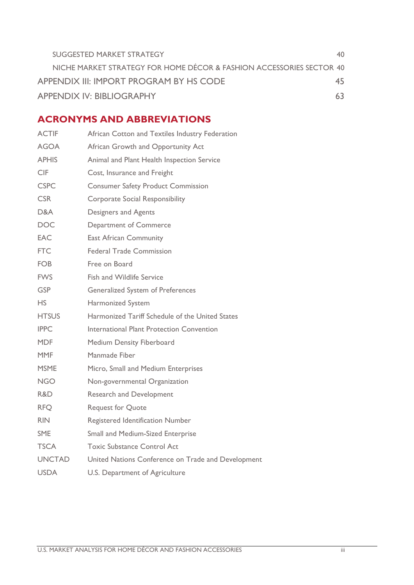| SUGGESTED MARKET STRATEGY                                            |    |
|----------------------------------------------------------------------|----|
| NICHE MARKET STRATEGY FOR HOME DÉCOR & FASHION ACCESSORIES SECTOR 40 |    |
| APPENDIX III: IMPORT PROGRAM BY HS CODE                              | 45 |
| <b>APPENDIX IV: BIBLIOGRAPHY</b>                                     | 63 |

# <span id="page-2-0"></span>**ACRONYMS AND ABBREVIATIONS**

| <b>ACTIF</b>  | African Cotton and Textiles Industry Federation    |
|---------------|----------------------------------------------------|
| <b>AGOA</b>   | African Growth and Opportunity Act                 |
| <b>APHIS</b>  | Animal and Plant Health Inspection Service         |
| <b>CIF</b>    | Cost, Insurance and Freight                        |
| <b>CSPC</b>   | <b>Consumer Safety Product Commission</b>          |
| <b>CSR</b>    | <b>Corporate Social Responsibility</b>             |
| D&A           | Designers and Agents                               |
| <b>DOC</b>    | Department of Commerce                             |
| <b>EAC</b>    | <b>East African Community</b>                      |
| <b>FTC</b>    | <b>Federal Trade Commission</b>                    |
| <b>FOB</b>    | Free on Board                                      |
| <b>FWS</b>    | Fish and Wildlife Service                          |
| <b>GSP</b>    | <b>Generalized System of Preferences</b>           |
| <b>HS</b>     | <b>Harmonized System</b>                           |
| <b>HTSUS</b>  | Harmonized Tariff Schedule of the United States    |
| <b>IPPC</b>   | International Plant Protection Convention          |
| <b>MDF</b>    | <b>Medium Density Fiberboard</b>                   |
| MMF           | Manmade Fiber                                      |
| <b>MSME</b>   | Micro, Small and Medium Enterprises                |
| <b>NGO</b>    | Non-governmental Organization                      |
| R&D.          | <b>Research and Development</b>                    |
| <b>RFQ</b>    | <b>Request for Quote</b>                           |
| <b>RIN</b>    | Registered Identification Number                   |
| <b>SME</b>    | Small and Medium-Sized Enterprise                  |
| <b>TSCA</b>   | <b>Toxic Substance Control Act</b>                 |
| <b>UNCTAD</b> | United Nations Conference on Trade and Development |
| <b>USDA</b>   | U.S. Department of Agriculture                     |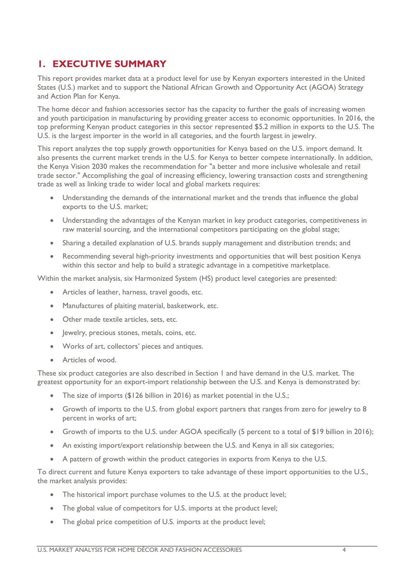## <span id="page-3-0"></span>**1. EXECUTIVE SUMMARY**

This report provides market data at a product level for use by Kenyan exporters interested in the United States (U.S.) market and to support the National African Growth and Opportunity Act (AGOA) Strategy and Action Plan for Kenya.

The home décor and fashion accessories sector has the capacity to further the goals of increasing women and youth participation in manufacturing by providing greater access to economic opportunities. In 2016, the top preforming Kenyan product categories in this sector represented \$5.2 million in exports to the U.S. The U.S. is the largest importer in the world in all categories, and the fourth largest in jewelry.

This report analyzes the top supply growth opportunities for Kenya based on the U.S. import demand. It also presents the current market trends in the U.S. for Kenya to better compete internationally. In addition, the Kenya Vision 2030 makes the recommendation for "a better and more inclusive wholesale and retail trade sector." Accomplishing the goal of increasing efficiency, lowering transaction costs and strengthening trade as well as linking trade to wider local and global markets requires:

- Understanding the demands of the international market and the trends that influence the global exports to the U.S. market;
- Understanding the advantages of the Kenyan market in key product categories, competitiveness in raw material sourcing, and the international competitors participating on the global stage;
- Sharing a detailed explanation of U.S. brands supply management and distribution trends; and
- Recommending several high-priority investments and opportunities that will best position Kenya within this sector and help to build a strategic advantage in a competitive marketplace.

Within the market analysis, six Harmonized System (HS) product level categories are presented:

- Articles of leather, harness, travel goods, etc.
- Manufactures of plaiting material, basketwork, etc.
- Other made textile articles, sets, etc.
- Jewelry, precious stones, metals, coins, etc.
- Works of art, collectors' pieces and antiques.
- Articles of wood.

These six product categories are also described in Section 1 and have demand in the U.S. market. The greatest opportunity for an export-import relationship between the U.S. and Kenya is demonstrated by:

- The size of imports (\$126 billion in 2016) as market potential in the U.S.;
- Growth of imports to the U.S. from global export partners that ranges from zero for jewelry to 8 percent in works of art;
- Growth of imports to the U.S. under AGOA specifically (5 percent to a total of \$19 billion in 2016);
- An existing import/export relationship between the U.S. and Kenya in all six categories;
- A pattern of growth within the product categories in exports from Kenya to the U.S.

To direct current and future Kenya exporters to take advantage of these import opportunities to the U.S., the market analysis provides:

- The historical import purchase volumes to the U.S. at the product level;
- The global value of competitors for U.S. imports at the product level;
- The global price competition of U.S. imports at the product level;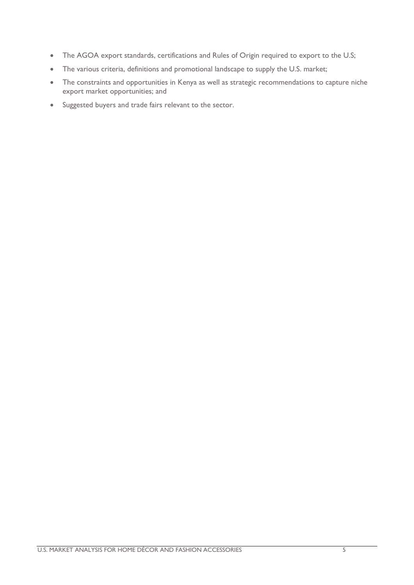- The AGOA export standards, certifications and Rules of Origin required to export to the U.S;
- The various criteria, definitions and promotional landscape to supply the U.S. market;
- The constraints and opportunities in Kenya as well as strategic recommendations to capture niche export market opportunities; and
- Suggested buyers and trade fairs relevant to the sector.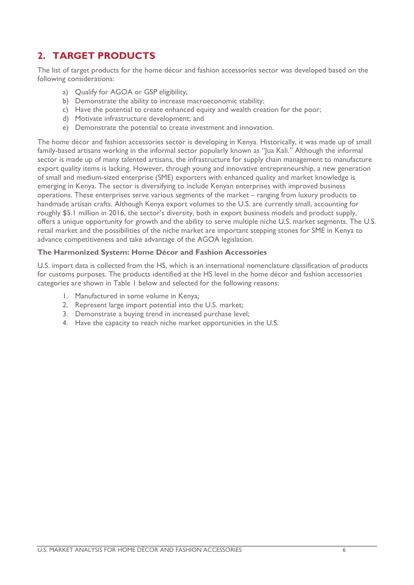# <span id="page-5-0"></span>**2. TARGET PRODUCTS**

The list of target products for the home décor and fashion accessories sector was developed based on the following considerations:

- a) Qualify for AGOA or GSP eligibility;
- b) Demonstrate the ability to increase macroeconomic stability;
- c) Have the potential to create enhanced equity and wealth creation for the poor;
- d) Motivate infrastructure development; and
- e) Demonstrate the potential to create investment and innovation.

The home décor and fashion accessories sector is developing in Kenya. Historically, it was made up of small family-based artisans working in the informal sector popularly known as "Jua Kali." Although the informal sector is made up of many talented artisans, the infrastructure for supply chain management to manufacture export quality items is lacking. However, through young and innovative entrepreneurship, a new generation of small and medium-sized enterprise (SME) exporters with enhanced quality and market knowledge is emerging in Kenya. The sector is diversifying to include Kenyan enterprises with improved business operations. These enterprises serve various segments of the market – ranging from luxury products to handmade artisan crafts. Although Kenya export volumes to the U.S. are currently small, accounting for roughly \$5.1 million in 2016, the sector's diversity, both in export business models and product supply, offers a unique opportunity for growth and the ability to serve multiple niche U.S. market segments. The U.S. retail market and the possibilities of the niche market are important stepping stones for SME in Kenya to advance competitiveness and take advantage of the AGOA legislation.

#### **The Harmonized System: Home Décor and Fashion Accessories**

U.S. import data is collected from the HS, which is an international nomenclature classification of products for customs purposes. The products identified at the HS level in the home décor and fashion accessories categories are shown in Table 1 below and selected for the following reasons:

- 1. Manufactured in some volume in Kenya;
- 2. Represent large import potential into the U.S. market;
- 3. Demonstrate a buying trend in increased purchase level;
- 4. Have the capacity to reach niche market opportunities in the U.S.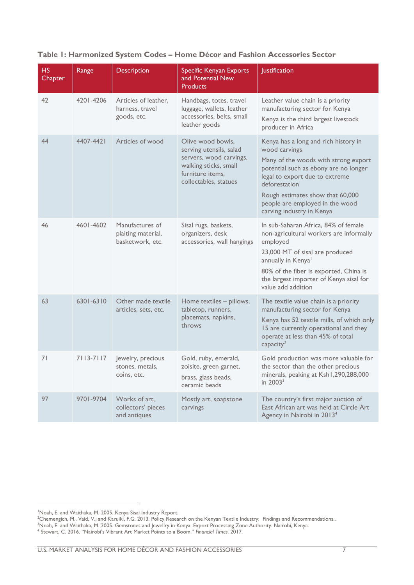| <b>HS</b><br>Chapter | Range     | Description                                               | Specific Kenyan Exports<br>and Potential New<br><b>Products</b>                                                                               | <b>Justification</b>                                                                                                                                                                                                                                                                          |
|----------------------|-----------|-----------------------------------------------------------|-----------------------------------------------------------------------------------------------------------------------------------------------|-----------------------------------------------------------------------------------------------------------------------------------------------------------------------------------------------------------------------------------------------------------------------------------------------|
| 42                   | 4201-4206 | Articles of leather,<br>harness, travel<br>goods, etc.    | Handbags, totes, travel<br>luggage, wallets, leather<br>accessories, belts, small<br>leather goods                                            | Leather value chain is a priority<br>manufacturing sector for Kenya<br>Kenya is the third largest livestock<br>producer in Africa                                                                                                                                                             |
| 44                   | 4407-4421 | Articles of wood                                          | Olive wood bowls,<br>serving utensils, salad<br>servers, wood carvings,<br>walking sticks, small<br>furniture items,<br>collectables, statues | Kenya has a long and rich history in<br>wood carvings<br>Many of the woods with strong export<br>potential such as ebony are no longer<br>legal to export due to extreme<br>deforestation<br>Rough estimates show that 60,000<br>people are employed in the wood<br>carving industry in Kenya |
| 46                   | 4601-4602 | Manufactures of<br>plaiting material,<br>basketwork, etc. | Sisal rugs, baskets,<br>organizers, desk<br>accessories, wall hangings                                                                        | In sub-Saharan Africa, 84% of female<br>non-agricultural workers are informally<br>employed<br>23,000 MT of sisal are produced<br>annually in Kenyal<br>80% of the fiber is exported, China is<br>the largest importer of Kenya sisal for<br>value add addition                               |
| 63                   | 6301-6310 | Other made textile<br>articles, sets, etc.                | Home textiles - pillows,<br>tabletop, runners,<br>placemats, napkins,<br>throws                                                               | The textile value chain is a priority<br>manufacturing sector for Kenya<br>Kenya has 52 textile mills, of which only<br>15 are currently operational and they<br>operate at less than 45% of total<br>capacity <sup>2</sup>                                                                   |
| 71                   | 7113-7117 | Jewelry, precious<br>stones, metals,<br>coins, etc.       | Gold, ruby, emerald,<br>zoisite, green garnet,<br>brass, glass beads,<br>ceramic beads                                                        | Gold production was more valuable for<br>the sector than the other precious<br>minerals, peaking at Ksh1,290,288,000<br>in $2003^3$                                                                                                                                                           |
| 97                   | 9701-9704 | Works of art.<br>collectors' pieces<br>and antiques       | Mostly art, soapstone<br>carvings                                                                                                             | The country's first major auction of<br>East African art was held at Circle Art<br>Agency in Nairobi in 2013 <sup>4</sup>                                                                                                                                                                     |

#### **Table 1: Harmonized System Codes – Home Décor and Fashion Accessories Sector**

1

<sup>1</sup>Noah, E. and Waithaka, M. 2005. Kenya Sisal Industry Report.

<sup>2</sup>Chemengich, M., Vaid, V., and Karuiki, F.G. 2013. Policy Research on the Kenyan Textile Industry: Findings and Recommendations..

<sup>&</sup>lt;sup>3</sup>Noah, E. and Waithaka, M. 2005. Gemstones and Jewellry in Kenya. Export Processing Zone Authority. Nairobi, Kenya.

<sup>4</sup> Stewart, C. 2016. "Nairobi's Vibrant Art Market Points to a Boom." *Financial Times*. 2017.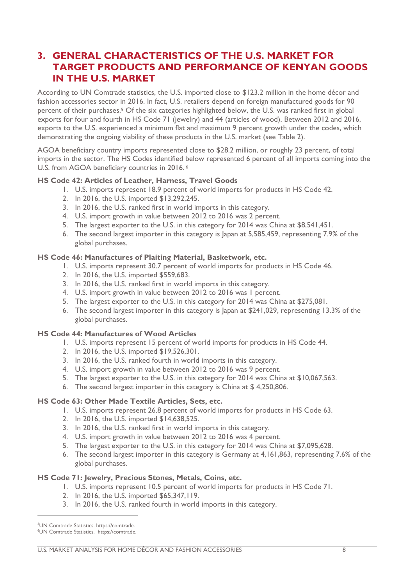### <span id="page-7-0"></span>**3. GENERAL CHARACTERISTICS OF THE U.S. MARKET FOR TARGET PRODUCTS AND PERFORMANCE OF KENYAN GOODS IN THE U.S. MARKET**

According to UN Comtrade statistics, the U.S. imported close to \$123.2 million in the home décor and fashion accessories sector in 2016. In fact, U.S. retailers depend on foreign manufactured goods for 90 percent of their purchases.<sup>5</sup> Of the six categories highlighted below, the U.S. was ranked first in global exports for four and fourth in HS Code 71 (jewelry) and 44 (articles of wood). Between 2012 and 2016, exports to the U.S. experienced a minimum flat and maximum 9 percent growth under the codes, which demonstrating the ongoing viability of these products in the U.S. market (see Table 2).

AGOA beneficiary country imports represented close to \$28.2 million, or roughly 23 percent, of total imports in the sector. The HS Codes identified below represented 6 percent of all imports coming into the U.S. from AGOA beneficiary countries in 2016. <sup>6</sup>

#### **HS Code 42: Articles of Leather, Harness, Travel Goods**

- 1. U.S. imports represent 18.9 percent of world imports for products in HS Code 42.
- 2. In 2016, the U.S. imported \$13,292,245.
- 3. In 2016, the U.S. ranked first in world imports in this category.
- 4. U.S. import growth in value between 2012 to 2016 was 2 percent.
- 5. The largest exporter to the U.S. in this category for 2014 was China at \$8,541,451.
- 6. The second largest importer in this category is Japan at 5,585,459, representing 7.9% of the global purchases.

#### **HS Code 46: Manufactures of Plaiting Material, Basketwork, etc.**

- 1. U.S. imports represent 30.7 percent of world imports for products in HS Code 46.
- 2. In 2016, the U.S. imported \$559,683.
- 3. In 2016, the U.S. ranked first in world imports in this category.
- 4. U.S. import growth in value between 2012 to 2016 was 1 percent.
- 5. The largest exporter to the U.S. in this category for 2014 was China at \$275,081.
- 6. The second largest importer in this category is Japan at \$241,029, representing 13.3% of the global purchases.

#### **HS Code 44: Manufactures of Wood Articles**

- 1. U.S. imports represent 15 percent of world imports for products in HS Code 44.
- 2. In 2016, the U.S. imported \$19,526,301.
- 3. In 2016, the U.S. ranked fourth in world imports in this category.
- 4. U.S. import growth in value between 2012 to 2016 was 9 percent.
- 5. The largest exporter to the U.S. in this category for 2014 was China at \$10,067,563.
- 6. The second largest importer in this category is China at \$ 4,250,806.

#### **HS Code 63: Other Made Textile Articles, Sets, etc.**

- 1. U.S. imports represent 26.8 percent of world imports for products in HS Code 63.
- 2. In 2016, the U.S. imported \$14,638,525.
- 3. In 2016, the U.S. ranked first in world imports in this category.
- 4. U.S. import growth in value between 2012 to 2016 was 4 percent.
- 5. The largest exporter to the U.S. in this category for 2014 was China at \$7,095,628.
- 6. The second largest importer in this category is Germany at 4,161,863, representing 7.6% of the global purchases.

#### **HS Code 71: Jewelry, Precious Stones, Metals, Coins, etc.**

- 1. U.S. imports represent 10.5 percent of world imports for products in HS Code 71.
- 2. In 2016, the U.S. imported \$65,347,119.
- 3. In 2016, the U.S. ranked fourth in world imports in this category.

1

<sup>5</sup>UN Comtrade Statistics. https://comtrade.

<sup>6</sup>UN Comtrade Statistics. https://comtrade.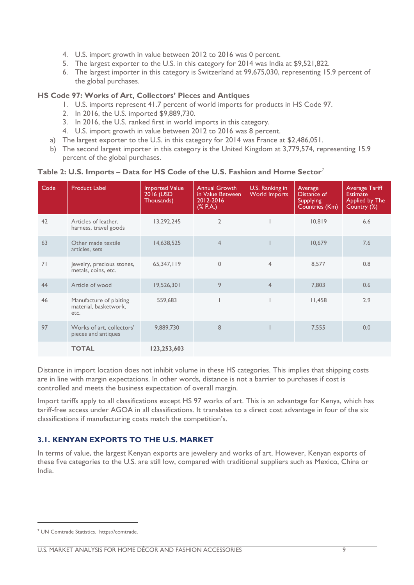- 4. U.S. import growth in value between 2012 to 2016 was 0 percent.
- 5. The largest exporter to the U.S. in this category for 2014 was India at \$9,521,822.
- 6. The largest importer in this category is Switzerland at 99,675,030, representing 15.9 percent of the global purchases.

#### **HS Code 97: Works of Art, Collectors' Pieces and Antiques**

- 1. U.S. imports represent 41.7 percent of world imports for products in HS Code 97.
- 2. In 2016, the U.S. imported \$9,889,730.
- 3. In 2016, the U.S. ranked first in world imports in this category.
- 4. U.S. import growth in value between 2012 to 2016 was 8 percent.
- a) The largest exporter to the U.S. in this category for 2014 was France at \$2,486,051.
- b) The second largest importer in this category is the United Kingdom at 3,779,574, representing 15.9 percent of the global purchases.

| Code | <b>Product Label</b>                                     | <b>Imported Value</b><br>2016 (USD<br>Thousands) | <b>Annual Growth</b><br>in Value Between<br>2012-2016<br>(% P.A.) | U.S. Ranking in<br><b>World Imports</b> | Average<br>Distance of<br><b>Supplying</b><br>Countries (Km) | <b>Average Tariff</b><br><b>Estimate</b><br>Applied by The<br>Country (%) |
|------|----------------------------------------------------------|--------------------------------------------------|-------------------------------------------------------------------|-----------------------------------------|--------------------------------------------------------------|---------------------------------------------------------------------------|
| 42   | Articles of leather,<br>harness, travel goods            | 13,292,245                                       | $\overline{2}$                                                    |                                         | 10,819                                                       | 6.6                                                                       |
| 63   | Other made textile<br>articles, sets                     | 14,638,525                                       | $\overline{4}$                                                    |                                         | 10,679                                                       | 7.6                                                                       |
| 71   | Jewelry, precious stones,<br>metals, coins, etc.         | 65,347,119                                       | $\mathbf{0}$                                                      | $\overline{4}$                          | 8,577                                                        | 0.8                                                                       |
| 44   | Article of wood                                          | 19,526,301                                       | 9                                                                 | $\overline{4}$                          | 7,803                                                        | 0.6                                                                       |
| 46   | Manufacture of plaiting<br>material, basketwork,<br>etc. | 559,683                                          |                                                                   |                                         | 11,458                                                       | 2.9                                                                       |
| 97   | Works of art, collectors'<br>pieces and antiques         | 9,889,730                                        | 8                                                                 |                                         | 7,555                                                        | 0.0                                                                       |
|      | <b>TOTAL</b>                                             | 123,253,603                                      |                                                                   |                                         |                                                              |                                                                           |

#### **Table 2: U.S. Imports – Data for HS Code of the U.S. Fashion and Home Sector**<sup>7</sup>

Distance in import location does not inhibit volume in these HS categories. This implies that shipping costs are in line with margin expectations. In other words, distance is not a barrier to purchases if cost is controlled and meets the business expectation of overall margin.

Import tariffs apply to all classifications except HS 97 works of art. This is an advantage for Kenya, which has tariff-free access under AGOA in all classifications. It translates to a direct cost advantage in four of the six classifications if manufacturing costs match the competition's.

#### <span id="page-8-0"></span>**3.1. KENYAN EXPORTS TO THE U.S. MARKET**

In terms of value, the largest Kenyan exports are jewelery and works of art. However, Kenyan exports of these five categories to the U.S. are still low, compared with traditional suppliers such as Mexico, China or India.

<sup>7</sup> UN Comtrade Statistics. https://comtrade.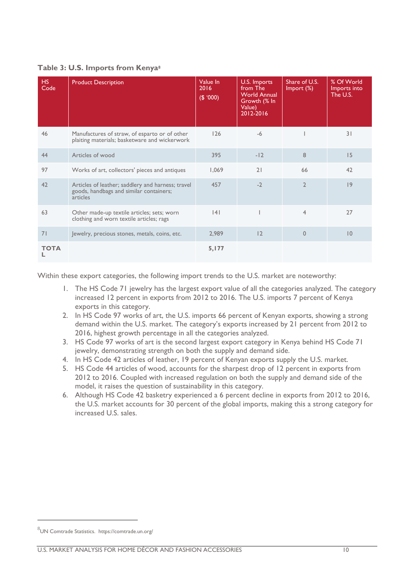#### **Table 3: U.S. Imports from Kenya<sup>8</sup>**

| HS.<br>Code | <b>Product Description</b>                                                                               | Value In<br>2016<br>(000) | U.S. Imports<br>from The<br><b>World Annual</b><br>Growth (% In<br>Value)<br>2012-2016 | Share of U.S.<br>Import (%) | % Of World<br>Imports into<br>The U.S. |
|-------------|----------------------------------------------------------------------------------------------------------|---------------------------|----------------------------------------------------------------------------------------|-----------------------------|----------------------------------------|
| 46          | Manufactures of straw, of esparto or of other<br>plaiting materials; basketware and wickerwork           | 126                       | $-6$                                                                                   |                             | 31                                     |
| 44          | Articles of wood                                                                                         | 395                       | $-12$                                                                                  | 8                           | 15                                     |
| 97          | Works of art, collectors' pieces and antiques                                                            | 1,069                     | 21                                                                                     | 66                          | 42                                     |
| 42          | Articles of leather; saddlery and harness; travel<br>goods, handbags and similar containers;<br>articles | 457                       | $-2$                                                                                   | $\overline{2}$              | 9                                      |
| 63          | Other made-up textile articles; sets; worn<br>clothing and worn textile articles; rags                   | 4                         |                                                                                        | $\overline{4}$              | 27                                     |
| 71          | Jewelry, precious stones, metals, coins, etc.                                                            | 2,989                     | 12                                                                                     | $\mathbf{0}$                | 10                                     |
| <b>TOTA</b> |                                                                                                          | 5,177                     |                                                                                        |                             |                                        |

Within these export categories, the following import trends to the U.S. market are noteworthy:

- 1. The HS Code 71 jewelry has the largest export value of all the categories analyzed. The category increased 12 percent in exports from 2012 to 2016. The U.S. imports 7 percent of Kenya exports in this category.
- 2. In HS Code 97 works of art, the U.S. imports 66 percent of Kenyan exports, showing a strong demand within the U.S. market. The category's exports increased by 21 percent from 2012 to 2016, highest growth percentage in all the categories analyzed.
- 3. HS Code 97 works of art is the second largest export category in Kenya behind HS Code 71 jewelry, demonstrating strength on both the supply and demand side.
- 4. In HS Code 42 articles of leather, 19 percent of Kenyan exports supply the U.S. market.
- 5. HS Code 44 articles of wood, accounts for the sharpest drop of 12 percent in exports from 2012 to 2016. Coupled with increased regulation on both the supply and demand side of the model, it raises the question of sustainability in this category.
- 6. Although HS Code 42 basketry experienced a 6 percent decline in exports from 2012 to 2016, the U.S. market accounts for 30 percent of the global imports, making this a strong category for increased U.S. sales.

<sup>8</sup> UN Comtrade Statistics. https://comtrade.un.org/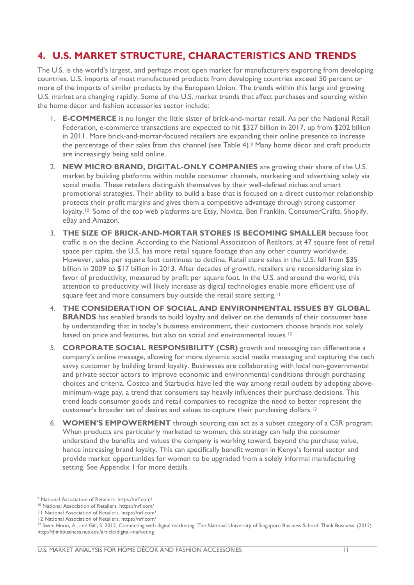### <span id="page-10-0"></span>**4. U.S. MARKET STRUCTURE, CHARACTERISTICS AND TRENDS**

The U.S. is the world's largest, and perhaps most open market for manufacturers exporting from developing countries. U.S. imports of most manufactured products from developing countries exceed 50 percent or more of the imports of similar products by the European Union. The trends within this large and growing U.S. market are changing rapidly. Some of the U.S. market trends that affect purchases and sourcing within the home décor and fashion accessories sector include:

- 1. **E-COMMERCE** is no longer the little sister of brick-and-mortar retail. As per the National Retail Federation, e-commerce transactions are expected to hit \$327 billion in 2017, up from \$202 billion in 2011. More brick-and-mortar-focused retailers are expanding their online presence to increase the percentage of their sales from this channel (see Table 4).<sup>9</sup> Many home décor and craft products are increasingly being sold online.
- 2. **NEW MICRO BRAND, DIGITAL-ONLY COMPANIES** are growing their share of the U.S. market by building platforms within mobile consumer channels, marketing and advertising solely via social media. These retailers distinguish themselves by their well-defined niches and smart promotional strategies. Their ability to build a base that is focused on a direct customer relationship protects their profit margins and gives them a competitive advantage through strong customer loyalty.<sup>10</sup> Some of the top web platforms are Etsy, Novica, Ben Franklin, ConsumerCrafts, Shopify, eBay and Amazon.
- 3. **THE SIZE OF BRICK-AND-MORTAR STORES IS BECOMING SMALLER** because foot traffic is on the decline. According to the National Association of Realtors, at 47 square feet of retail space per capita, the U.S. has more retail square footage than any other country worldwide. However, sales per square foot continues to decline. Retail store sales in the U.S. fell from \$35 billion in 2009 to \$17 billion in 2013. After decades of growth, retailers are reconsidering size in favor of productivity, measured by profit per square foot. In the U.S. and around the world, this attention to productivity will likely increase as digital technologies enable more efficient use of square feet and more consumers buy outside the retail store setting.<sup>11</sup>
- 4. **THE CONSIDERATION OF SOCIAL AND ENVIRONMENTAL ISSUES BY GLOBAL BRANDS** has enabled brands to build loyalty and deliver on the demands of their consumer base by understanding that in today's business environment, their customers choose brands not solely based on price and features, but also on social and environmental issues.<sup>12</sup>
- 5. **CORPORATE SOCIAL RESPONSIBILITY (CSR)** growth and messaging can differentiate a company's online message, allowing for more dynamic social media messaging and capturing the tech savvy customer by building brand loyalty. Businesses are collaborating with local non-governmental and private sector actors to improve economic and environmental conditions through purchasing choices and criteria. Costco and Starbucks have led the way among retail outlets by adopting aboveminimum-wage pay, a trend that consumers say heavily influences their purchase decisions. This trend leads consumer goods and retail companies to recognize the need to better represent the customer's broader set of desires and values to capture their purchasing dollars.<sup>13</sup>
- 6. **WOMEN'S EMPOWERMENT** through sourcing can act as a subset category of a CSR program. When products are particularly marketed to women, this strategy can help the consumer understand the benefits and values the company is working toward, beyond the purchase value, hence increasing brand loyalty. This can specifically benefit women in Kenya's formal sector and provide market opportunities for women to be upgraded from a solely informal manufacturing setting. See Appendix 1 for more details.

1

<sup>9</sup> National Association of Retailers. https://nrf.com/

<sup>10</sup> National Association of Retailers[. https://nrf.com/](https://nrf.com/)

<sup>11</sup> National Association of Retailers[. https://nrf.com/](https://nrf.com/)

<sup>12</sup> National Association of Retailers[. https://nrf.com/](https://nrf.com/)

<sup>&</sup>lt;sup>13</sup> Swee Hoon, A., and Gill, S. 2012. Connecting with digital marketing. The National University of Singapore Business School: Think Business. (2012) http://thinkbusiness.nus.edu/article/digital-marketing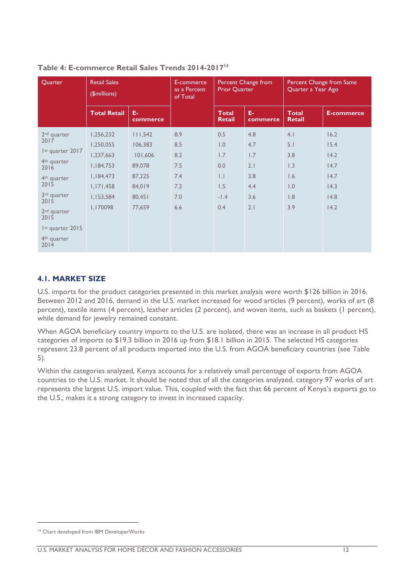| Quarter                                                                                                                                                                                                                                                | <b>Retail Sales</b><br>(\$millions)                                                                 |                                                                                 | E-commerce<br>as a Percent<br>of Total               | <b>Prior Quarter</b>                                                         | Percent Change from                                  | Quarter a Year Ago                                   | Percent Change from Same                                     |
|--------------------------------------------------------------------------------------------------------------------------------------------------------------------------------------------------------------------------------------------------------|-----------------------------------------------------------------------------------------------------|---------------------------------------------------------------------------------|------------------------------------------------------|------------------------------------------------------------------------------|------------------------------------------------------|------------------------------------------------------|--------------------------------------------------------------|
|                                                                                                                                                                                                                                                        | <b>Total Retail</b>                                                                                 | E-<br>commerce                                                                  |                                                      | <b>Total</b><br><b>Retail</b>                                                | E-<br>commerce                                       | <b>Total</b><br><b>Retail</b>                        | <b>E-commerce</b>                                            |
| 2 <sup>nd</sup> quarter<br>2017<br>Ist quarter 2017<br>4 <sup>th</sup> quarter<br>2016<br>4 <sup>th</sup> quarter<br>2015<br>3 <sup>rd</sup> quarter<br>2015<br>2 <sup>nd</sup> quarter<br>2015<br>Ist quarter 2015<br>4 <sup>th</sup> quarter<br>2014 | 1,256,232<br>1,250,055<br>1,237,663<br>1,184,753<br>1,184,473<br>1,171,458<br>1,153,584<br>1,170098 | 111,542<br>106,383<br>101,606<br>89,078<br>87,225<br>84,019<br>80,451<br>77,659 | 8.9<br>8.5<br>8.2<br>7.5<br>7.4<br>7.2<br>7.0<br>6.6 | 0.5<br>$\overline{0}$ .<br>1.7<br>0.0<br>$  \cdot  $<br>1.5<br>$-1.4$<br>0.4 | 4.8<br>4.7<br>1.7<br>2.1<br>3.8<br>4.4<br>3.6<br>2.1 | 4.1<br>5.1<br>3.8<br>1.3<br>1.6<br>1.0<br>1.8<br>3.9 | 16.2<br>15.4<br>14.2<br>14.7<br>14.7<br>14.3<br>14.8<br>14.2 |

#### **Table 4: E-commerce Retail Sales Trends 2014-2017<sup>14</sup>**

#### <span id="page-11-0"></span>**4.1. MARKET SIZE**

U.S. imports for the product categories presented in this market analysis were worth \$126 billion in 2016. Between 2012 and 2016, demand in the U.S. market increased for wood articles (9 percent), works of art (8 percent), textile items (4 percent), leather articles (2 percent), and woven items, such as baskets (1 percent), while demand for jewelry remained constant.

When AGOA beneficiary country imports to the U.S. are isolated, there was an increase in all product HS categories of imports to \$19.3 billion in 2016 up from \$18.1 billion in 2015. The selected HS categories represent 23.8 percent of all products imported into the U.S. from AGOA beneficiary countries (see Table 5).

Within the categories analyzed, Kenya accounts for a relatively small percentage of exports from AGOA countries to the U.S. market. It should be noted that of all the categories analyzed, category 97 works of art represents the largest U.S. import value. This, coupled with the fact that 66 percent of Kenya's exports go to the U.S., makes it a strong category to invest in increased capacity.

<sup>&</sup>lt;sup>14</sup> Chart developed from IBM DeveloperWorks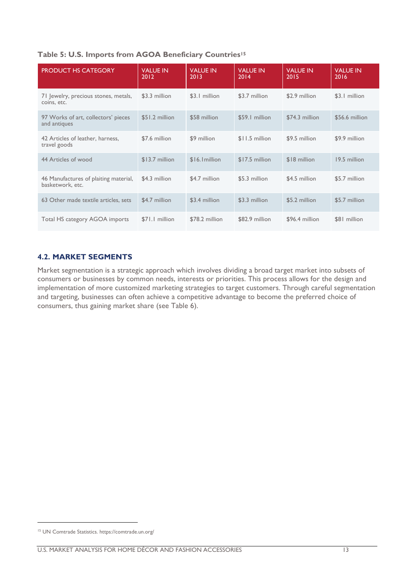#### **Table 5: U.S. Imports from AGOA Beneficiary Countries<sup>15</sup>**

| <b>PRODUCT HS CATEGORY</b>                                | <b>VALUE IN</b><br>2012 | <b>VALUE IN</b><br>2013 | <b>VALUE IN</b><br>2014 | <b>VALUE IN</b><br>2015 | <b>VALUE IN</b><br>2016 |
|-----------------------------------------------------------|-------------------------|-------------------------|-------------------------|-------------------------|-------------------------|
| 71 Jewelry, precious stones, metals,<br>coins, etc.       | \$3.3 million           | \$3.1 million           | \$3.7 million           | \$2.9 million           | \$3.1 million           |
| 97 Works of art, collectors' pieces<br>and antiques       | \$51.2 million          | \$58 million            | \$59.1 million          | \$74.3 million          | \$56.6 million          |
| 42 Articles of leather, harness,<br>travel goods          | \$7.6 million           | \$9 million             | \$11.5 million          | \$9.5 million           | \$9.9 million           |
| 44 Articles of wood                                       | \$13.7 million          | \$16.1 million          | $$17.5$ million         | \$18 million            | 19.5 million            |
| 46 Manufactures of plaiting material,<br>basketwork, etc. | \$4.3 million           | \$4.7 million           | \$5.3 million           | \$4.5 million           | \$5.7 million           |
| 63 Other made textile articles, sets                      | \$4.7 million           | \$3.4 million           | \$3.3 million           | \$5.2 million           | \$5.7 million           |
| Total HS category AGOA imports                            | \$71.1 million          | \$78.2 million          | \$82.9 million          | \$96.4 million          | \$81 million            |

#### <span id="page-12-0"></span>**4.2. MARKET SEGMENTS**

Market segmentation is a strategic approach which involves dividing a broad target market into subsets of consumers or businesses by common needs, interests or priorities. This process allows for the design and implementation of more customized marketing strategies to target customers. Through careful segmentation and targeting, businesses can often achieve a competitive advantage to become the preferred choice of consumers, thus gaining market share (see Table 6).

<sup>15</sup> UN Comtrade Statistics. https://comtrade.un.org/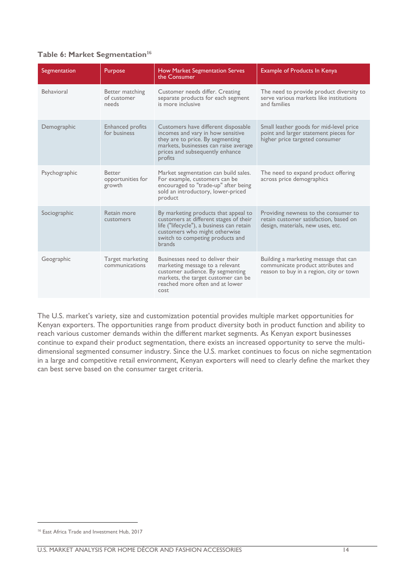#### **Table 6: Market Segmentation<sup>16</sup>**

| Segmentation  | Purpose                                      | <b>How Market Segmentation Serves</b><br>the Consumer                                                                                                                                                             | <b>Example of Products In Kenya</b>                                                                                    |
|---------------|----------------------------------------------|-------------------------------------------------------------------------------------------------------------------------------------------------------------------------------------------------------------------|------------------------------------------------------------------------------------------------------------------------|
| Behavioral    | Better matching<br>of customer<br>needs      | Customer needs differ. Creating<br>separate products for each segment<br>is more inclusive                                                                                                                        | The need to provide product diversity to<br>serve various markets like institutions<br>and families                    |
| Demographic   | <b>Enhanced profits</b><br>for business      | Customers have different disposable<br>incomes and vary in how sensitive<br>they are to price. By segmenting<br>markets, businesses can raise average<br>prices and subsequently enhance<br>profits               | Small leather goods for mid-level price<br>point and larger statement pieces for<br>higher price targeted consumer     |
| Psychographic | <b>Better</b><br>opportunities for<br>growth | Market segmentation can build sales.<br>For example, customers can be<br>encouraged to "trade-up" after being<br>sold an introductory, lower-priced<br>product                                                    | The need to expand product offering<br>across price demographics                                                       |
| Sociographic  | Retain more<br>customers                     | By marketing products that appeal to<br>customers at different stages of their<br>life ("lifecycle"), a business can retain<br>customers who might otherwise<br>switch to competing products and<br><b>brands</b> | Providing newness to the consumer to<br>retain customer satisfaction, based on<br>design, materials, new uses, etc.    |
| Geographic    | Target marketing<br>communications           | Businesses need to deliver their<br>marketing message to a relevant<br>customer audience. By segmenting<br>markets, the target customer can be<br>reached more often and at lower<br>cost                         | Building a marketing message that can<br>communicate product attributes and<br>reason to buy in a region, city or town |

The U.S. market's variety, size and customization potential provides multiple market opportunities for Kenyan exporters. The opportunities range from product diversity both in product function and ability to reach various customer demands within the different market segments. As Kenyan export businesses continue to expand their product segmentation, there exists an increased opportunity to serve the multidimensional segmented consumer industry. Since the U.S. market continues to focus on niche segmentation in a large and competitive retail environment, Kenyan exporters will need to clearly define the market they can best serve based on the consumer target criteria.

<sup>&</sup>lt;sup>16</sup> East Africa Trade and Investment Hub, 2017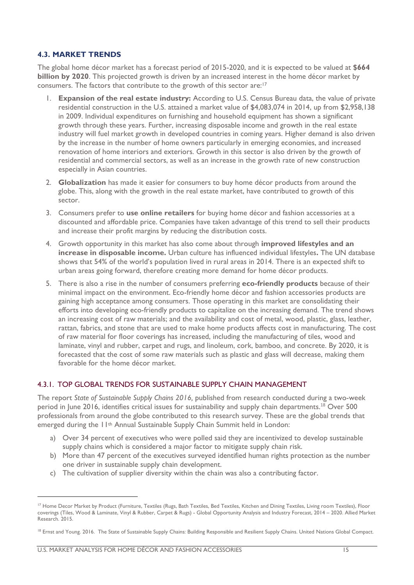#### <span id="page-14-0"></span>**4.3. MARKET TRENDS**

The global home décor market has a forecast period of 2015-2020, and it is expected to be valued at **\$664 billion by 2020**. This projected growth is driven by an increased interest in the home décor market by consumers. The factors that contribute to the growth of this sector are:<sup>17</sup>

- 1. **Expansion of the real estate industry:** According to U.S. Census Bureau data, the value of private residential construction in the U.S. attained a market value of \$4,083,074 in 2014, up from \$2,958,138 in 2009. Individual expenditures on furnishing and household equipment has shown a significant growth through these years. Further, increasing disposable income and growth in the real estate industry will fuel market growth in developed countries in coming years. Higher demand is also driven by the increase in the number of home owners particularly in emerging economies, and increased renovation of home interiors and exteriors. Growth in this sector is also driven by the growth of residential and commercial sectors, as well as an increase in the growth rate of new construction especially in Asian countries.
- 2. **Globalization** has made it easier for consumers to buy home décor products from around the globe. This, along with the growth in the real estate market, have contributed to growth of this sector.
- 3. Consumers prefer to **use online retailers** for buying home décor and fashion accessories at a discounted and affordable price. Companies have taken advantage of this trend to sell their products and increase their profit margins by reducing the distribution costs.
- 4. Growth opportunity in this market has also come about through **improved lifestyles and an increase in disposable income.** Urban culture has influenced individual lifestyles**.** The UN database shows that 54% of the world's population lived in rural areas in 2014. There is an expected shift to urban areas going forward, therefore creating more demand for home décor products.
- 5. There is also a rise in the number of consumers preferring **eco-friendly products** because of their minimal impact on the environment. Eco-friendly home décor and fashion accessories products are gaining high acceptance among consumers. Those operating in this market are consolidating their efforts into developing eco-friendly products to capitalize on the increasing demand. The trend shows an increasing cost of raw materials; and the availability and cost of metal, wood, plastic, glass, leather, rattan, fabrics, and stone that are used to make home products affects cost in manufacturing. The cost of raw material for floor coverings has increased, including the manufacturing of tiles, wood and laminate, vinyl and rubber, carpet and rugs, and linoleum, cork, bamboo, and concrete. By 2020, it is forecasted that the cost of some raw materials such as plastic and glass will decrease, making them favorable for the home décor market.

#### 4.3.1. TOP GLOBAL TRENDS FOR SUSTAINABLE SUPPLY CHAIN MANAGEMENT

The report *State of Sustainable Supply Chains 2016,* published from research conducted during a two-week period in June 2016, identifies critical issues for sustainability and supply chain departments.<sup>18</sup> Over 500 professionals from around the globe contributed to this research survey. These are the global trends that emerged during the 11<sup>th</sup> Annual Sustainable Supply Chain Summit held in London:

- a) Over 34 percent of executives who were polled said they are incentivized to develop sustainable supply chains which is considered a major factor to mitigate supply chain risk.
- b) More than 47 percent of the executives surveyed identified human rights protection as the number one driver in sustainable supply chain development.
- c) The cultivation of supplier diversity within the chain was also a contributing factor.

<sup>&</sup>lt;sup>17</sup> Home Decor Market by Product (Furniture, Textiles (Rugs, Bath Textiles, Bed Textiles, Kitchen and Dining Textiles, Living room Textiles), Floor coverings (Tiles, Wood & Laminate, Vinyl & Rubber, Carpet & Rugs) - Global Opportunity Analysis and Industry Forecast, 2014 – 2020. Allied Market Research. 2015.

<sup>&</sup>lt;sup>18</sup> Ernst and Young. 2016. The State of Sustainable Supply Chains: Building Responsible and Resilient Supply Chains. United Nations Global Compact.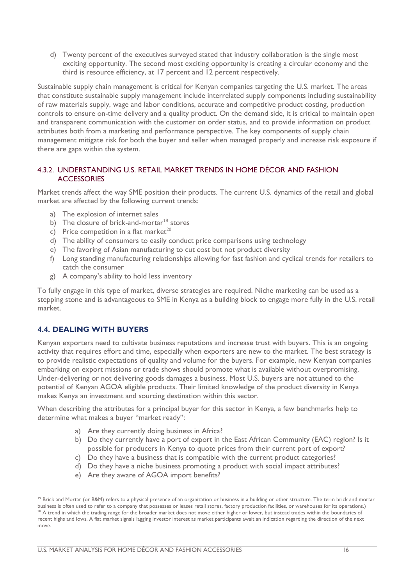d) Twenty percent of the executives surveyed stated that industry collaboration is the single most exciting opportunity. The second most exciting opportunity is creating a circular economy and the third is resource efficiency, at 17 percent and 12 percent respectively.

Sustainable supply chain management is critical for Kenyan companies targeting the U.S. market. The areas that constitute sustainable supply management include interrelated supply components including sustainability of raw materials supply, wage and labor conditions, accurate and competitive product costing, production controls to ensure on-time delivery and a quality product. On the demand side, it is critical to maintain open and transparent communication with the customer on order status, and to provide information on product attributes both from a marketing and performance perspective. The key components of supply chain management mitigate risk for both the buyer and seller when managed properly and increase risk exposure if there are gaps within the system.

#### 4.3.2. UNDERSTANDING U.S. RETAIL MARKET TRENDS IN HOME DÉCOR AND FASHION **ACCESSORIES**

Market trends affect the way SME position their products. The current U.S. dynamics of the retail and global market are affected by the following current trends:

- a) The explosion of internet sales
- b) The closure of brick-and-mortar $19$  stores
- c) Price competition in a flat market<sup>20</sup>
- d) The ability of consumers to easily conduct price comparisons using technology
- e) The favoring of Asian manufacturing to cut cost but not product diversity
- f) Long standing manufacturing relationships allowing for fast fashion and cyclical trends for retailers to catch the consumer
- g) A company's ability to hold less inventory

To fully engage in this type of market, diverse strategies are required. Niche marketing can be used as a stepping stone and is advantageous to SME in Kenya as a building block to engage more fully in the U.S. retail market.

#### <span id="page-15-0"></span>**4.4. DEALING WITH BUYERS**

1

Kenyan exporters need to cultivate business reputations and increase trust with buyers. This is an ongoing activity that requires effort and time, especially when exporters are new to the market. The best strategy is to provide realistic expectations of quality and volume for the buyers. For example, new Kenyan companies embarking on export missions or trade shows should promote what is available without overpromising. Under-delivering or not delivering goods damages a business. Most U.S. buyers are not attuned to the potential of Kenyan AGOA eligible products. Their limited knowledge of the product diversity in Kenya makes Kenya an investment and sourcing destination within this sector.

When describing the attributes for a principal buyer for this sector in Kenya, a few benchmarks help to determine what makes a buyer "market ready":

- a) Are they currently doing business in Africa?
- b) Do they currently have a port of export in the East African Community (EAC) region? Is it possible for producers in Kenya to quote prices from their current port of export?
- c) Do they have a business that is compatible with the current product categories?
- d) Do they have a niche business promoting a product with social impact attributes?
- e) Are they aware of AGOA import benefits?

<sup>&</sup>lt;sup>19</sup> Brick and Mortar (or B&M) refers to a physical presence of an organization or business in a building or other structure. The term brick and mortar business is often used to refer to a company that possesses or leases retail stores, factory production facilities, or warehouses for its operations.)  $20$  A trend in which the trading range for the broader market does not move either higher or lower, but instead trades within the boundaries of recent highs and lows. A flat market signals lagging investor interest as market participants await an indication regarding the direction of the next move.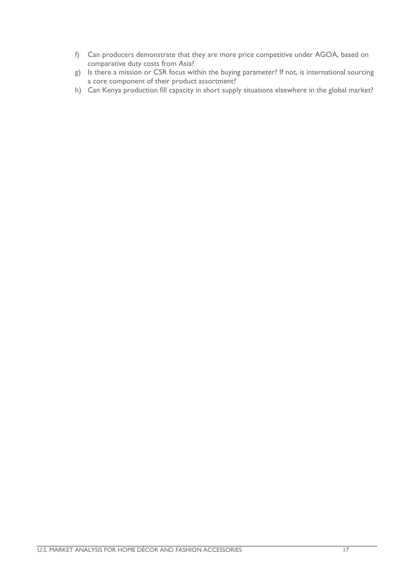- f) Can producers demonstrate that they are more price competitive under AGOA, based on comparative duty costs from Asia?
- g) Is there a mission or CSR focus within the buying parameter? If not, is international sourcing a core component of their product assortment?
- h) Can Kenya production fill capacity in short supply situations elsewhere in the global market?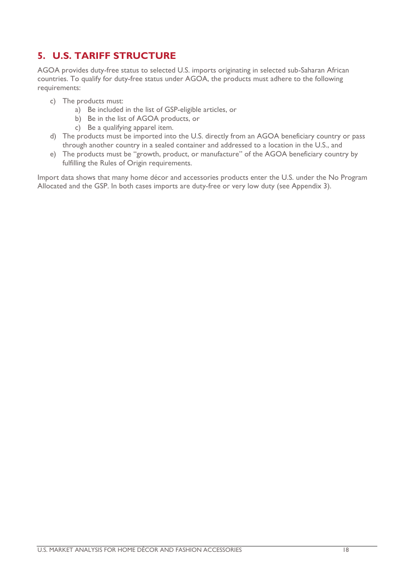# <span id="page-17-0"></span>**5. U.S. TARIFF STRUCTURE**

AGOA provides duty-free status to selected U.S. imports originating in selected sub-Saharan African countries. To qualify for duty-free status under AGOA, the products must adhere to the following requirements:

- c) The products must:
	- a) Be included in the list of GSP-eligible articles, or
	- b) Be in the list of AGOA products, or
	- c) Be a qualifying apparel item.
- d) The products must be imported into the U.S. directly from an AGOA beneficiary country or pass through another country in a sealed container and addressed to a location in the U.S., and
- e) The products must be "growth, product, or manufacture" of the AGOA beneficiary country by fulfilling the Rules of Origin requirements.

Import data shows that many home décor and accessories products enter the U.S. under the No Program Allocated and the GSP. In both cases imports are duty-free or very low duty (see Appendix 3).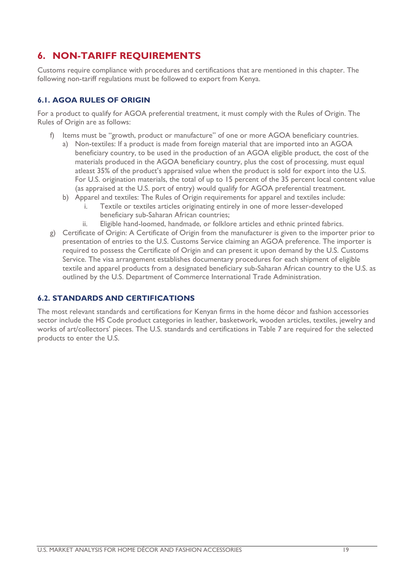# <span id="page-18-0"></span>**6. NON-TARIFF REQUIREMENTS**

Customs require compliance with procedures and certifications that are mentioned in this chapter. The following non-tariff regulations must be followed to export from Kenya.

#### <span id="page-18-1"></span>**6.1. AGOA RULES OF ORIGIN**

For a product to qualify for AGOA preferential treatment, it must comply with the Rules of Origin. The Rules of Origin are as follows:

- f) Items must be "growth, product or manufacture" of one or more AGOA beneficiary countries.
	- a) Non-textiles: If a product is made from foreign material that are imported into an AGOA beneficiary country, to be used in the production of an AGOA eligible product, the cost of the materials produced in the AGOA beneficiary country, plus the cost of processing, must equal atleast 35% of the product's appraised value when the product is sold for export into the U.S. For U.S. origination materials, the total of up to 15 percent of the 35 percent local content value (as appraised at the U.S. port of entry) would qualify for AGOA preferential treatment.
	- b) Apparel and textiles: The Rules of Origin requirements for apparel and textiles include:
		- i. Textile or textiles articles originating entirely in one of more lesser-developed beneficiary sub-Saharan African countries;
		- ii. Eligible hand-loomed, handmade, or folklore articles and ethnic printed fabrics.
- g) Certificate of Origin: A Certificate of Origin from the manufacturer is given to the importer prior to presentation of entries to the U.S. Customs Service claiming an AGOA preference. The importer is required to possess the Certificate of Origin and can present it upon demand by the U.S. Customs Service. The visa arrangement establishes documentary procedures for each shipment of eligible textile and apparel products from a designated beneficiary sub-Saharan African country to the U.S. as outlined by the U.S. Department of Commerce International Trade Administration.

#### <span id="page-18-2"></span>**6.2. STANDARDS AND CERTIFICATIONS**

The most relevant standards and certifications for Kenyan firms in the home décor and fashion accessories sector include the HS Code product categories in leather, basketwork, wooden articles, textiles, jewelry and works of art/collectors' pieces. The U.S. standards and certifications in Table 7 are required for the selected products to enter the U.S.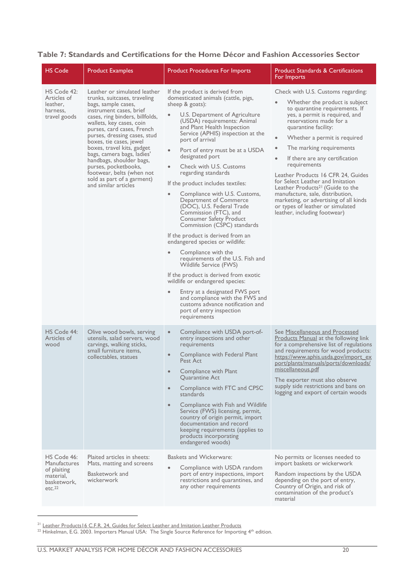#### **Table 7: Standards and Certifications for the Home Décor and Fashion Accessories Sector**

| <b>HS Code</b>                                                                                      | <b>Product Examples</b>                                                                                                                                                                                                                                                                                                                                                                                                                                                   | <b>Product Procedures For Imports</b>                                                                                                                                                                                                                                                                                                                                                                                                                                                                                                                                                                                                                                                                                                                                                                                                                                                                                                                                                                                 | <b>Product Standards &amp; Certifications</b><br>For Imports                                                                                                                                                                                                                                                                                                                                                                                                                                                                                                                                                                 |
|-----------------------------------------------------------------------------------------------------|---------------------------------------------------------------------------------------------------------------------------------------------------------------------------------------------------------------------------------------------------------------------------------------------------------------------------------------------------------------------------------------------------------------------------------------------------------------------------|-----------------------------------------------------------------------------------------------------------------------------------------------------------------------------------------------------------------------------------------------------------------------------------------------------------------------------------------------------------------------------------------------------------------------------------------------------------------------------------------------------------------------------------------------------------------------------------------------------------------------------------------------------------------------------------------------------------------------------------------------------------------------------------------------------------------------------------------------------------------------------------------------------------------------------------------------------------------------------------------------------------------------|------------------------------------------------------------------------------------------------------------------------------------------------------------------------------------------------------------------------------------------------------------------------------------------------------------------------------------------------------------------------------------------------------------------------------------------------------------------------------------------------------------------------------------------------------------------------------------------------------------------------------|
| HS Code 42:<br>Articles of<br>leather,<br>harness,<br>travel goods                                  | Leather or simulated leather<br>trunks, suitcases, traveling<br>bags, sample cases,<br>instrument cases, brief<br>cases, ring binders, billfolds,<br>wallets, key cases, coin<br>purses, card cases, French<br>purses, dressing cases, stud<br>boxes, tie cases, jewel<br>boxes, travel kits, gadget<br>bags, camera bags, ladies'<br>handbags, shoulder bags,<br>purses, pocketbooks,<br>footwear, belts (when not<br>sold as part of a garment)<br>and similar articles | If the product is derived from<br>domesticated animals (cattle, pigs,<br>sheep & goats):<br>U.S. Department of Agriculture<br>(USDA) requirements: Animal<br>and Plant Health Inspection<br>Service (APHIS) inspection at the<br>port of arrival<br>Port of entry must be at a USDA<br>$\bullet$<br>designated port<br>Check with U.S. Customs<br>$\bullet$<br>regarding standards<br>If the product includes textiles:<br>Compliance with U.S. Customs,<br>$\bullet$<br>Department of Commerce<br>(DOC), U.S. Federal Trade<br>Commission (FTC), and<br><b>Consumer Safety Product</b><br>Commission (CSPC) standards<br>If the product is derived from an<br>endangered species or wildlife:<br>Compliance with the<br>requirements of the U.S. Fish and<br>Wildlife Service (FWS)<br>If the product is derived from exotic<br>wildlife or endangered species:<br>Entry at a designated FWS port<br>and compliance with the FWS and<br>customs advance notification and<br>port of entry inspection<br>requirements | Check with U.S. Customs regarding:<br>Whether the product is subject<br>to quarantine requirements. If<br>yes, a permit is required, and<br>reservations made for a<br>quarantine facility:<br>Whether a permit is required<br>$\bullet$<br>The marking requirements<br>$\bullet$<br>If there are any certification<br>$\bullet$<br>requirements<br>Leather Products 16 CFR 24, Guides<br>for Select Leather and Imitation<br>Leather Products <sup>21</sup> (Guide to the<br>manufacture, sale, distribution,<br>marketing, or advertising of all kinds<br>or types of leather or simulated<br>leather, including footwear) |
| HS Code 44:<br>Articles of<br>wood                                                                  | Olive wood bowls, serving<br>utensils, salad servers, wood<br>carvings, walking sticks,<br>small furniture items.<br>collectables, statues                                                                                                                                                                                                                                                                                                                                | Compliance with USDA port-of-<br>$\bullet$<br>entry inspections and other<br>requirements<br>Compliance with Federal Plant<br>$\bullet$<br><b>Pest Act</b><br>Compliance with Plant<br>$\bullet$<br>Quarantine Act<br>Compliance with FTC and CPSC<br>$\bullet$<br>standards<br>Compliance with Fish and Wildlife<br>$\bullet$<br>Service (FWS) licensing, permit,<br>country of origin permit, import<br>documentation and record<br>keeping requirements (applies to<br>products incorporating<br>endangered woods)                                                                                                                                                                                                                                                                                                                                                                                                                                                                                                 | See Miscellaneous and Processed<br><b>Products Manual at the following link</b><br>for a comprehensive list of regulations<br>and requirements for wood products:<br>https://www.aphis.usda.gov/import_ex<br>port/plants/manuals/ports/downloads/<br>miscellaneous.pdf<br>The exporter must also observe<br>supply side restrictions and bans on<br>logging and export of certain woods                                                                                                                                                                                                                                      |
| HS Code 46:<br><b>Manufactures</b><br>of plaiting<br>material,<br>basketwork,<br>etc. <sup>22</sup> | Plaited articles in sheets:<br>Mats, matting and screens<br>Basketwork and<br>wickerwork                                                                                                                                                                                                                                                                                                                                                                                  | Baskets and Wickerware:<br>Compliance with USDA random<br>port of entry inspections, import<br>restrictions and quarantines, and<br>any other requirements                                                                                                                                                                                                                                                                                                                                                                                                                                                                                                                                                                                                                                                                                                                                                                                                                                                            | No permits or licenses needed to<br>import baskets or wickerwork<br>Random inspections by the USDA<br>depending on the port of entry,<br>Country of Origin, and risk of<br>contamination of the product's<br>material                                                                                                                                                                                                                                                                                                                                                                                                        |

<sup>&</sup>lt;sup>21</sup> [Leather Products16 C.F.R. 24, Guides for Select Leather and Imitation Leather Products](http://www.ecfr.gov/cgi-bin/text-idx?c=ecfr&SID=da0fff93d248d84476b245ccfa2ce5bc&rgn=div5&view=text&node=16%3A1.0.1.2.14&idno=16#se16.1.24_12)

1

<sup>&</sup>lt;sup>22</sup> Hinkelman, E.G. 2003. Importers Manual USA: The Single Source Reference for Importing 4<sup>th</sup> edition.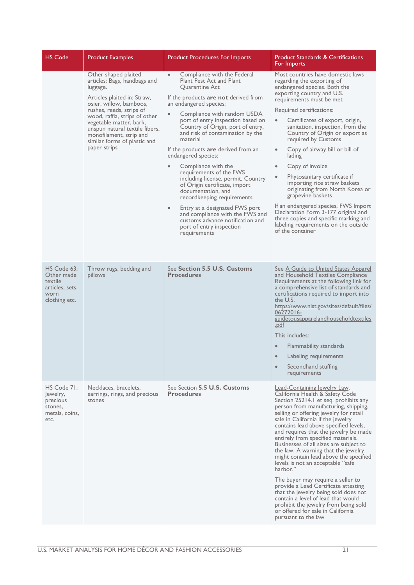| <b>HS Code</b>                                                                   | <b>Product Examples</b>                                                                                                                                                                                                                                                                                                         | <b>Product Procedures For Imports</b>                                                                                                                                                                                                                                                                                                                                                                                                                                                                                                                                                                                                                                                                                                              | <b>Product Standards &amp; Certifications</b><br>For Imports                                                                                                                                                                                                                                                                                                                                                                                                                                                                                                                                                                                                                                                                                                                                        |
|----------------------------------------------------------------------------------|---------------------------------------------------------------------------------------------------------------------------------------------------------------------------------------------------------------------------------------------------------------------------------------------------------------------------------|----------------------------------------------------------------------------------------------------------------------------------------------------------------------------------------------------------------------------------------------------------------------------------------------------------------------------------------------------------------------------------------------------------------------------------------------------------------------------------------------------------------------------------------------------------------------------------------------------------------------------------------------------------------------------------------------------------------------------------------------------|-----------------------------------------------------------------------------------------------------------------------------------------------------------------------------------------------------------------------------------------------------------------------------------------------------------------------------------------------------------------------------------------------------------------------------------------------------------------------------------------------------------------------------------------------------------------------------------------------------------------------------------------------------------------------------------------------------------------------------------------------------------------------------------------------------|
|                                                                                  | Other shaped plaited<br>articles: Bags, handbags and<br>luggage.<br>Articles plaited in: Straw,<br>osier, willow, bamboos,<br>rushes, reeds, strips of<br>wood, raffia, strips of other<br>vegetable matter, bark,<br>unspun natural textile fibers,<br>monofilament, strip and<br>similar forms of plastic and<br>paper strips | Compliance with the Federal<br>$\bullet$<br>Plant Pest Act and Plant<br><b>Ouarantine Act</b><br>If the products are not derived from<br>an endangered species:<br>Compliance with random USDA<br>port of entry inspection based on<br>Country of Origin, port of entry,<br>and risk of contamination by the<br>material<br>If the products are derived from an<br>endangered species:<br>Compliance with the<br>$\bullet$<br>requirements of the FWS<br>including license, permit, Country<br>of Origin certificate, import<br>documentation, and<br>recordkeeping requirements<br>Entry at a designated FWS port<br>$\bullet$<br>and compliance with the FWS and<br>customs advance notification and<br>port of entry inspection<br>requirements | Most countries have domestic laws<br>regarding the exporting of<br>endangered species. Both the<br>exporting country and U.S.<br>requirements must be met<br>Required certifications:<br>Certificates of export, origin,<br>$\bullet$<br>sanitation, inspection, from the<br>Country of Origin or export as<br>required by Customs<br>Copy of airway bill or bill of<br>$\bullet$<br>lading<br>Copy of invoice<br>$\bullet$<br>Phytosanitary certificate if<br>$\bullet$<br>importing rice straw baskets<br>originating from North Korea or<br>grapevine baskets<br>If an endangered species, FWS Import<br>Declaration Form 3-177 original and<br>three copies and specific marking and<br>labeling requirements on the outside<br>of the container                                                |
| HS Code 63:<br>Other made<br>textile<br>articles, sets,<br>worn<br>clothing etc. | Throw rugs, bedding and<br>pillows                                                                                                                                                                                                                                                                                              | See Section 5.5 U.S. Customs<br><b>Procedures</b>                                                                                                                                                                                                                                                                                                                                                                                                                                                                                                                                                                                                                                                                                                  | See A Guide to United States Apparel<br>and Household Textiles Compliance<br>Requirements at the following link for<br>a comprehensive list of standards and<br>certifications required to import into<br>the U.S.<br>https://www.nist.gov/sites/default/files/<br>06272016-<br>guidetousapparelandhouseholdtextiles<br>.pdf<br>This includes:<br>Flammability standards<br>$\bullet$<br>$\bullet$<br>Labeling requirements<br>Secondhand stuffing<br>requirements                                                                                                                                                                                                                                                                                                                                  |
| HS Code 71:<br>ewelry,<br>precious<br>stones,<br>metals, coins,<br>etc.          | Necklaces, bracelets,<br>earrings, rings, and precious<br>stones                                                                                                                                                                                                                                                                | See Section 5.5 U.S. Customs<br><b>Procedures</b>                                                                                                                                                                                                                                                                                                                                                                                                                                                                                                                                                                                                                                                                                                  | Lead-Containing lewelry Law.<br>California Health & Safety Code<br>Section 25214.1 et seq. prohibits any<br>person from manufacturing, shipping,<br>selling or offering jewelry for retail<br>sale in California if the jewelry<br>contains lead above specified levels,<br>and requires that the jewelry be made<br>entirely from specified materials.<br>Businesses of all sizes are subject to<br>the law. A warning that the jewelry<br>might contain lead above the specified<br>levels is not an acceptable "safe"<br>harbor."<br>The buyer may require a seller to<br>provide a Lead Certificate attesting<br>that the jewelry being sold does not<br>contain a level of lead that would<br>prohibit the jewelry from being sold<br>or offered for sale in California<br>pursuant to the law |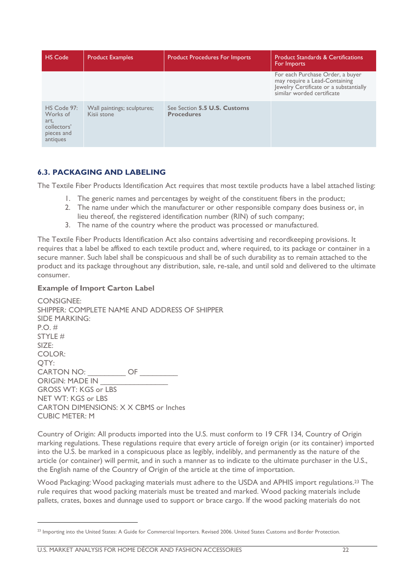| <b>HS Code</b>                                                           | <b>Product Examples</b>                    | <b>Product Procedures For Imports</b>             | <b>Product Standards &amp; Certifications</b><br>For Imports                                                                              |
|--------------------------------------------------------------------------|--------------------------------------------|---------------------------------------------------|-------------------------------------------------------------------------------------------------------------------------------------------|
|                                                                          |                                            |                                                   | For each Purchase Order, a buyer<br>may require a Lead-Containing<br>Jewelry Certificate or a substantially<br>similar worded certificate |
| HS Code 97:<br>Works of<br>art,<br>collectors'<br>pieces and<br>antiques | Wall paintings; sculptures;<br>Kisii stone | See Section 5.5 U.S. Customs<br><b>Procedures</b> |                                                                                                                                           |

#### <span id="page-21-0"></span>**6.3. PACKAGING AND LABELING**

The Textile Fiber Products Identification Act requires that most textile products have a label attached listing:

- 1. The generic names and percentages by weight of the constituent fibers in the product;
- 2. The name under which the manufacturer or other responsible company does business or, in lieu thereof, the registered identification number (RIN) of such company;
- 3. The name of the country where the product was processed or manufactured.

The Textile Fiber Products Identification Act also contains advertising and recordkeeping provisions. It requires that a label be affixed to each textile product and, where required, to its package or container in a secure manner. Such label shall be conspicuous and shall be of such durability as to remain attached to the product and its package throughout any distribution, sale, re-sale, and until sold and delivered to the ultimate consumer.

#### **Example of Import Carton Label**

-

CONSIGNEE: SHIPPER: COMPLETE NAME AND ADDRESS OF SHIPPER SIDE MARKING: P.O. # STYLE # SIZE: COLOR: QTY: CARTON NO:  $\qquad \qquad \mathsf{OF}$ ORIGIN: MADE IN \_\_\_\_\_\_\_\_\_\_\_\_\_\_\_\_ GROSS WT: KGS or LBS NET WT: KGS or LBS CARTON DIMENSIONS: X X CBMS or Inches CUBIC METER: M

Country of Origin: All products imported into the U.S. must conform to 19 CFR 134, Country of Origin marking regulations. These regulations require that every article of foreign origin (or its container) imported into the U.S. be marked in a conspicuous place as legibly, indelibly, and permanently as the nature of the article (or container) will permit, and in such a manner as to indicate to the ultimate purchaser in the U.S., the English name of the Country of Origin of the article at the time of importation.

Wood Packaging: Wood packaging materials must adhere to the USDA and APHIS import regulations.<sup>23</sup> The rule requires that wood packing materials must be treated and marked. Wood packing materials include pallets, crates, boxes and dunnage used to support or brace cargo. If the wood packing materials do not

<sup>&</sup>lt;sup>23</sup> Importing into the United States: A Guide for Commercial Importers. Revised 2006. United States Customs and Border Protection.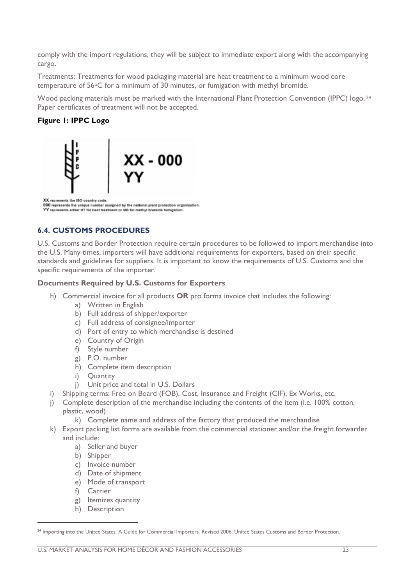comply with the import regulations, they will be subject to immediate export along with the accompanying cargo.

Treatments: Treatments for wood packaging material are heat treatment to a minimum wood core temperature of 56°C for a minimum of 30 minutes, or fumigation with methyl bromide.

Wood packing materials must be marked with the International Plant Protection Convention (IPPC) logo.<sup>24</sup> Paper certificates of treatment will not be accepted.

#### **Figure 1: IPPC Logo**



# <span id="page-22-0"></span>**6.4. CUSTOMS PROCEDURES**

U.S. Customs and Border Protection require certain procedures to be followed to import merchandise into the U.S. Many times, importers will have additional requirements for exporters, based on their specific standards and guidelines for suppliers. It is important to know the requirements of U.S. Customs and the specific requirements of the importer.

#### **Documents Required by U.S. Customs for Exporters**

- h) Commercial invoice for all products **OR** pro forma invoice that includes the following:
	- a) Written in English
	- b) Full address of shipper/exporter
	- c) Full address of consignee/importer
	- d) Port of entry to which merchandise is destined
	- e) Country of Origin
	- f) Style number
	- g) P.O. number
	- h) Complete item description
	-
	- i) Quantity<br>i) Unit price Unit price and total in U.S. Dollars
- i) Shipping terms: Free on Board (FOB), Cost, Insurance and Freight (CIF), Ex Works, etc.
- j) Complete description of the merchandise including the contents of the item (i.e. 100% cotton, plastic, wood)
	- k) Complete name and address of the factory that produced the merchandise
- k) Export packing list forms are available from the commercial stationer and/or the freight forwarder and include:
	- a) Seller and buyer
	- b) Shipper
	- c) Invoice number
	- d) Date of shipment
	- e) Mode of transport
	- f) Carrier

- g) Itemizes quantity
- h) Description

<sup>&</sup>lt;sup>24</sup> Importing into the United States: A Guide for Commercial Importers. Revised 2006. United States Customs and Border Protection.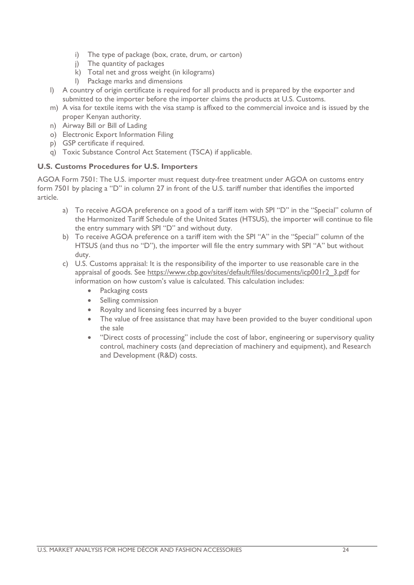- i) The type of package (box, crate, drum, or carton)
- j) The quantity of packages
- k) Total net and gross weight (in kilograms)
- l) Package marks and dimensions
- l) A country of origin certificate is required for all products and is prepared by the exporter and submitted to the importer before the importer claims the products at U.S. Customs.
- m) A visa for textile items with the visa stamp is affixed to the commercial invoice and is issued by the proper Kenyan authority.
- n) Airway Bill or Bill of Lading
- o) Electronic Export Information Filing
- p) GSP certificate if required.
- q) Toxic Substance Control Act Statement (TSCA) if applicable.

#### **U.S. Customs Procedures for U.S. Importers**

AGOA Form 7501: The U.S. importer must request duty-free treatment under AGOA on customs entry form 7501 by placing a "D" in column 27 in front of the U.S. tariff number that identifies the imported article.

- a) To receive AGOA preference on a good of a tariff item with SPI "D" in the "Special" column of the Harmonized Tariff Schedule of the United States (HTSUS), the importer will continue to file the entry summary with SPI "D" and without duty.
- b) To receive AGOA preference on a tariff item with the SPI "A" in the "Special" column of the HTSUS (and thus no "D"), the importer will file the entry summary with SPI "A" but without duty.
- c) U.S. Customs appraisal: It is the responsibility of the importer to use reasonable care in the appraisal of goods. See [https://www.cbp.gov/sites/default/files/documents/icp001r2\\_3.pdf](https://www.cbp.gov/sites/default/files/documents/icp001r2_3.pdf) for information on how custom's value is calculated. This calculation includes:
	- Packaging costs
	- Selling commission
	- Royalty and licensing fees incurred by a buyer
	- The value of free assistance that may have been provided to the buyer conditional upon the sale
	- "Direct costs of processing" include the cost of labor, engineering or supervisory quality control, machinery costs (and depreciation of machinery and equipment), and Research and Development (R&D) costs.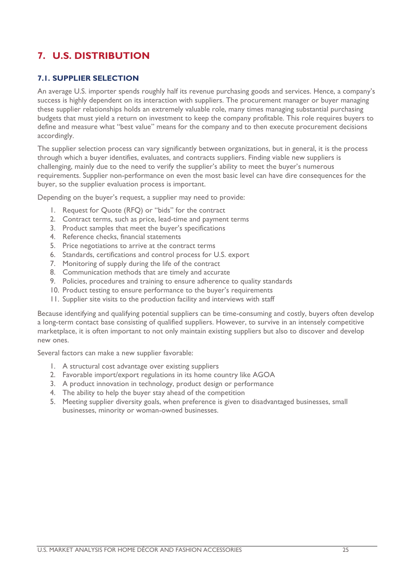# <span id="page-24-0"></span>**7. U.S. DISTRIBUTION**

#### <span id="page-24-1"></span>**7.1. SUPPLIER SELECTION**

An average U.S. importer spends roughly half its revenue purchasing goods and services. Hence, a company's success is highly dependent on its interaction with suppliers. The procurement manager or buyer managing these supplier relationships holds an extremely valuable role, many times managing substantial purchasing budgets that must yield a return on investment to keep the company profitable. This role requires buyers to define and measure what "best value" means for the company and to then execute procurement decisions accordingly.

The supplier selection process can vary significantly between organizations, but in general, it is the process through which a buyer identifies, evaluates, and contracts suppliers. Finding viable new suppliers is challenging, mainly due to the need to verify the supplier's ability to meet the buyer's numerous requirements. Supplier non-performance on even the most basic level can have dire consequences for the buyer, so the supplier evaluation process is important.

Depending on the buyer's request, a supplier may need to provide:

- 1. Request for Quote (RFQ) or "bids" for the contract
- 2. Contract terms, such as price, lead-time and payment terms
- 3. Product samples that meet the buyer's specifications
- 4. Reference checks, financial statements
- 5. Price negotiations to arrive at the contract terms
- 6. Standards, certifications and control process for U.S. export
- 7. Monitoring of supply during the life of the contract
- 8. Communication methods that are timely and accurate
- 9. Policies, procedures and training to ensure adherence to quality standards
- 10. Product testing to ensure performance to the buyer's requirements
- 11. Supplier site visits to the production facility and interviews with staff

Because identifying and qualifying potential suppliers can be time-consuming and costly, buyers often develop a long-term contact base consisting of qualified suppliers. However, to survive in an intensely competitive marketplace, it is often important to not only maintain existing suppliers but also to discover and develop new ones.

Several factors can make a new supplier favorable:

- 1. A structural cost advantage over existing suppliers
- 2. Favorable import/export regulations in its home country like AGOA
- 3. A product innovation in technology, product design or performance
- 4. The ability to help the buyer stay ahead of the competition
- 5. Meeting supplier diversity goals, when preference is given to disadvantaged businesses, small businesses, minority or woman-owned businesses.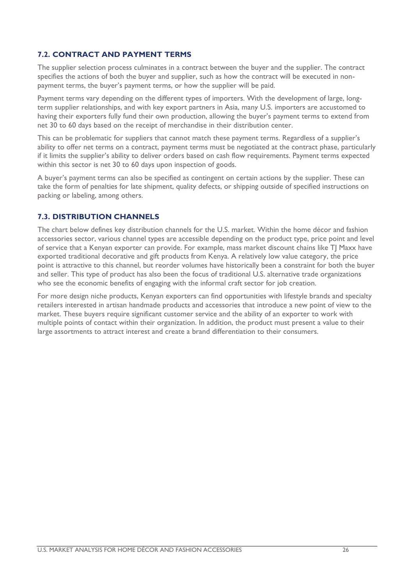#### <span id="page-25-0"></span>**7.2. CONTRACT AND PAYMENT TERMS**

The supplier selection process culminates in a contract between the buyer and the supplier. The contract specifies the actions of both the buyer and supplier, such as how the contract will be executed in nonpayment terms, the buyer's payment terms, or how the supplier will be paid.

Payment terms vary depending on the different types of importers. With the development of large, longterm supplier relationships, and with key export partners in Asia, many U.S. importers are accustomed to having their exporters fully fund their own production, allowing the buyer's payment terms to extend from net 30 to 60 days based on the receipt of merchandise in their distribution center.

This can be problematic for suppliers that cannot match these payment terms. Regardless of a supplier's ability to offer net terms on a contract, payment terms must be negotiated at the contract phase, particularly if it limits the supplier's ability to deliver orders based on cash flow requirements. Payment terms expected within this sector is net 30 to 60 days upon inspection of goods.

A buyer's payment terms can also be specified as contingent on certain actions by the supplier. These can take the form of penalties for late shipment, quality defects, or shipping outside of specified instructions on packing or labeling, among others.

#### <span id="page-25-1"></span>**7.3. DISTRIBUTION CHANNELS**

The chart below defines key distribution channels for the U.S. market. Within the home décor and fashion accessories sector, various channel types are accessible depending on the product type, price point and level of service that a Kenyan exporter can provide. For example, mass market discount chains like TJ Maxx have exported traditional decorative and gift products from Kenya. A relatively low value category, the price point is attractive to this channel, but reorder volumes have historically been a constraint for both the buyer and seller. This type of product has also been the focus of traditional U.S. alternative trade organizations who see the economic benefits of engaging with the informal craft sector for job creation.

For more design niche products, Kenyan exporters can find opportunities with lifestyle brands and specialty retailers interested in artisan handmade products and accessories that introduce a new point of view to the market. These buyers require significant customer service and the ability of an exporter to work with multiple points of contact within their organization. In addition, the product must present a value to their large assortments to attract interest and create a brand differentiation to their consumers.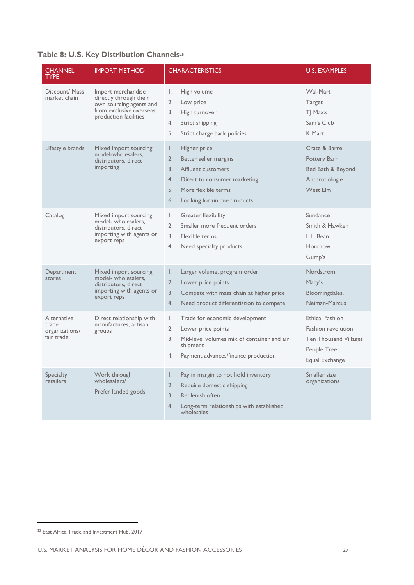#### **Table 8: U.S. Key Distribution Channels<sup>25</sup>**

| <b>CHANNEL</b><br><b>TYPE</b>                        | <b>IMPORT METHOD</b>                                                                                                        | <b>CHARACTERISTICS</b>                                                                                                                                                                | <b>U.S. EXAMPLES</b>                                                                                          |
|------------------------------------------------------|-----------------------------------------------------------------------------------------------------------------------------|---------------------------------------------------------------------------------------------------------------------------------------------------------------------------------------|---------------------------------------------------------------------------------------------------------------|
| Discount/ Mass<br>market chain                       | Import merchandise<br>directly through their<br>own sourcing agents and<br>from exclusive overseas<br>production facilities | Ι.<br>High volume<br>2.<br>Low price<br>High turnover<br>3.<br>4.<br>Strict shipping<br>5.<br>Strict charge back policies                                                             | Wal-Mart<br>Target<br>TJ Maxx<br>Sam's Club<br>K Mart                                                         |
| Lifestyle brands                                     | Mixed import sourcing<br>model-wholesalers,<br>distributors, direct<br>importing                                            | Ι.<br>Higher price<br>2.<br>Better seller margins<br>3.<br>Affluent customers<br>4.<br>Direct to consumer marketing<br>5.<br>More flexible terms<br>Looking for unique products<br>6. | Crate & Barrel<br>Pottery Barn<br>Bed Bath & Beyond<br>Anthropologie<br>West Elm                              |
| Catalog                                              | Mixed import sourcing<br>model- wholesalers,<br>distributors, direct<br>importing with agents or<br>export reps             | Ι.<br>Greater flexibility<br>2.<br>Smaller more frequent orders<br>$\overline{3}$ .<br>Flexible terms<br>4.<br>Need specialty products                                                | Sundance<br>Smith & Hawken<br>L.L. Bean<br>Horchow<br>Gump's                                                  |
| Department<br>stores                                 | Mixed import sourcing<br>model- wholesalers.<br>distributors, direct<br>importing with agents or<br>export reps             | Larger volume, program order<br>Ι.<br>2.<br>Lower price points<br>3.<br>Compete with mass chain at higher price<br>4.<br>Need product differentiation to compete                      | Nordstrom<br>Macy's<br>Bloomingdales,<br>Neiman-Marcus                                                        |
| Alternative<br>trade<br>organizations/<br>fair trade | Direct relationship with<br>manufactures, artisan<br>groups                                                                 | Trade for economic development<br>Τ.<br>2.<br>Lower price points<br>3.<br>Mid-level volumes mix of container and air<br>shipment<br>Payment advances/finance production<br>4.         | <b>Ethical Fashion</b><br><b>Fashion revolution</b><br>Ten Thousand Villages<br>People Tree<br>Equal Exchange |
| <b>Specialty</b><br>retailers                        | Work through<br>wholesalers/<br>Prefer landed goods                                                                         | Pay in margin to not hold inventory<br>Ι.<br>2.<br>Require domestic shipping<br>3.<br>Replenish often<br>4.<br>Long-term relationships with established<br>wholesales                 | Smaller size<br>organizations                                                                                 |

<sup>&</sup>lt;sup>25</sup> East Africa Trade and Investment Hub, 2017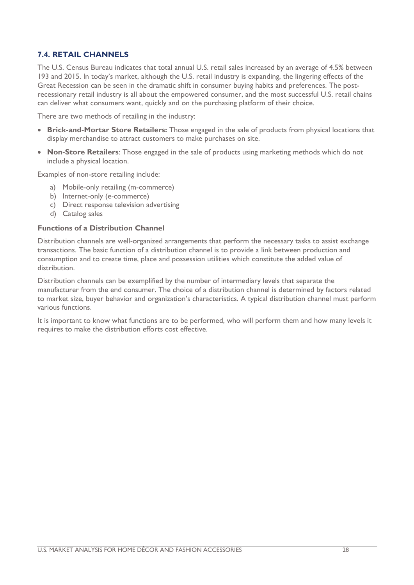#### <span id="page-27-0"></span>**7.4. RETAIL CHANNELS**

The U.S. Census Bureau indicates that total annual U.S. retail sales increased by an average of 4.5% between 193 and 2015. In today's market, although the U.S. retail industry is expanding, the lingering effects of the Great Recession can be seen in the dramatic shift in consumer buying habits and preferences. The postrecessionary retail industry is all about the empowered consumer, and the most successful U.S. retail chains can deliver what consumers want, quickly and on the purchasing platform of their choice.

There are two methods of retailing in the industry:

- **Brick-and-Mortar Store Retailers:** Those engaged in the sale of products from physical locations that display merchandise to attract customers to make purchases on site.
- **Non-Store Retailers**: Those engaged in the sale of products using marketing methods which do not include a physical location.

Examples of non-store retailing include:

- a) Mobile-only retailing (m-commerce)
- b) Internet-only (e-commerce)
- c) Direct response television advertising
- d) Catalog sales

#### **Functions of a Distribution Channel**

Distribution channels are well-organized arrangements that perform the necessary tasks to assist exchange transactions. The basic function of a distribution channel is to provide a link between production and consumption and to create time, place and possession utilities which constitute the added value of distribution.

Distribution channels can be exemplified by the number of intermediary levels that separate the manufacturer from the end consumer. The choice of a distribution channel is determined by factors related to market size, buyer behavior and organization's characteristics. A typical distribution channel must perform various functions.

It is important to know what functions are to be performed, who will perform them and how many levels it requires to make the distribution efforts cost effective.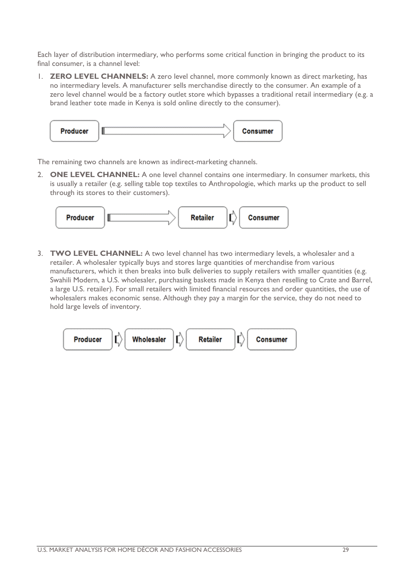Each layer of distribution intermediary, who performs some critical function in bringing the product to its final consumer, is a channel level:

1. **ZERO LEVEL CHANNELS:** A zero level channel, more commonly known as direct marketing, has no intermediary levels. A manufacturer sells merchandise directly to the consumer. An example of a zero level channel would be a factory outlet store which bypasses a traditional retail intermediary (e.g. a brand leather tote made in Kenya is sold online directly to the consumer).



The remaining two channels are known as indirect-marketing channels.

2. **ONE LEVEL CHANNEL:** A one level channel contains one intermediary. In consumer markets, this is usually a retailer (e.g. selling table top textiles to Anthropologie, which marks up the product to sell through its stores to their customers).



3. **TWO LEVEL CHANNEL:** A two level channel has two intermediary levels, a wholesaler and a retailer. A wholesaler typically buys and stores large quantities of merchandise from various manufacturers, which it then breaks into bulk deliveries to supply retailers with smaller quantities (e.g. Swahili Modern, a U.S. wholesaler, purchasing baskets made in Kenya then reselling to Crate and Barrel, a large U.S. retailer). For small retailers with limited financial resources and order quantities, the use of wholesalers makes economic sense. Although they pay a margin for the service, they do not need to hold large levels of inventory.

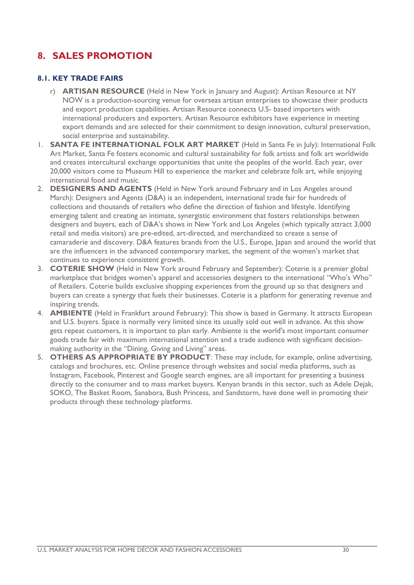# <span id="page-29-0"></span>**8. SALES PROMOTION**

#### <span id="page-29-1"></span>**8.1. KEY TRADE FAIRS**

- r) **[ARTISAN RESOURCE](http://www.nynow.com/theshow/nynowcollections/artisanresourceatnynow.aspx)** (Held in New York in January and August): Artisan Resource at NY NOW is a production-sourcing venue for overseas artisan enterprises to showcase their products and export production capabilities. Artisan Resource connects U.S- based importers with international producers and exporters. Artisan Resource exhibitors have experience in meeting export demands and are selected for their commitment to design innovation, cultural preservation, social enterprise and sustainability.
- 1. **[SANTA FE INTERNATIONAL FOLK ART MARKET](http://www.folkartalliance.org/markets/santa-fe/)** (Held in Santa Fe in July): International Folk Art Market, Santa Fe fosters economic and cultural sustainability for folk artists and folk art worldwide and creates intercultural exchange opportunities that unite the peoples of the world. Each year, over 20,000 visitors come to Museum Hill to experience the market and celebrate folk art, while enjoying international food and music.
- 2. **[DESIGNERS AND AGENTS](http://www.designersandagents.com/)** (Held in New York around February and in Los Angeles around March): Designers and Agents (D&A) is an independent, international trade fair for hundreds of collections and thousands of retailers who define the direction of fashion and lifestyle. Identifying emerging talent and creating an intimate, synergistic environment that fosters relationships between designers and buyers, each of D&A's shows in New York and Los Angeles (which typically attract 3,000 retail and media visitors) are pre-edited, art-directed, and merchandized to create a sense of camaraderie and discovery. D&A features brands from the U.S., Europe, Japan and around the world that are the influencers in the advanced contemporary market, the segment of the women's market that continues to experience consistent growth.
- 3. **[COTERIE SHOW](http://www.enkshows.com/coterie/)** (Held in New York around February and September): Coterie is a premier global marketplace that bridges women's apparel and accessories designers to the international "Who's Who" of Retailers. Coterie builds exclusive shopping experiences from the ground up so that designers and buyers can create a synergy that fuels their businesses. Coterie is a platform for generating revenue and inspiring trends.
- 4. **[AMBIENTE](http://ambiente.messefrankfurt.com/frankfurt/en/aussteller/willkommen.html)** (Held in Frankfurt around February): This show is based in Germany. It attracts European and U.S. buyers. Space is normally very limited since its usually sold out well in advance. As this show gets repeat customers, it is important to plan early. Ambiente is the world's most important consumer goods trade fair with maximum international attention and a trade audience with significant decisionmaking authority in the "Dining, Giving and Living" areas.
- 5. **OTHERS AS APPROPRIATE BY PRODUCT**: These may include, for example, online advertising, catalogs and brochures, etc. Online presence through websites and social media platforms, such as Instagram, Facebook, Pinterest and Google search engines, are all important for presenting a business directly to the consumer and to mass market buyers. Kenyan brands in this sector, such as Adele Dejak, SOKO, The Basket Room, Sanabora, Bush Princess, and Sandstorm, have done well in promoting their products through these technology platforms.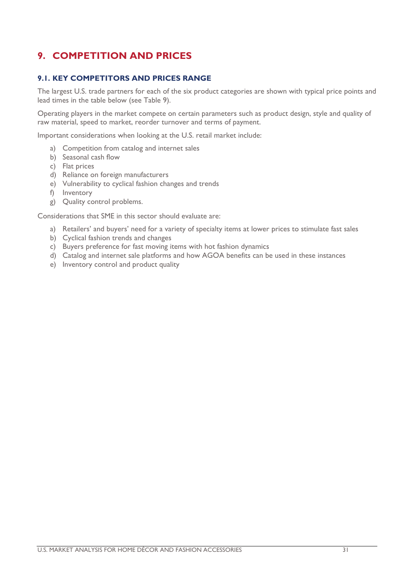# <span id="page-30-0"></span>**9. COMPETITION AND PRICES**

#### <span id="page-30-1"></span>**9.1. KEY COMPETITORS AND PRICES RANGE**

The largest U.S. trade partners for each of the six product categories are shown with typical price points and lead times in the table below (see Table 9).

Operating players in the market compete on certain parameters such as product design, style and quality of raw material, speed to market, reorder turnover and terms of payment.

Important considerations when looking at the U.S. retail market include:

- a) Competition from catalog and internet sales
- b) Seasonal cash flow
- c) Flat prices
- d) Reliance on foreign manufacturers
- e) Vulnerability to cyclical fashion changes and trends
- f) Inventory
- g) Quality control problems.

Considerations that SME in this sector should evaluate are:

- a) Retailers' and buyers' need for a variety of specialty items at lower prices to stimulate fast sales
- b) Cyclical fashion trends and changes
- c) Buyers preference for fast moving items with hot fashion dynamics
- d) Catalog and internet sale platforms and how AGOA benefits can be used in these instances
- e) Inventory control and product quality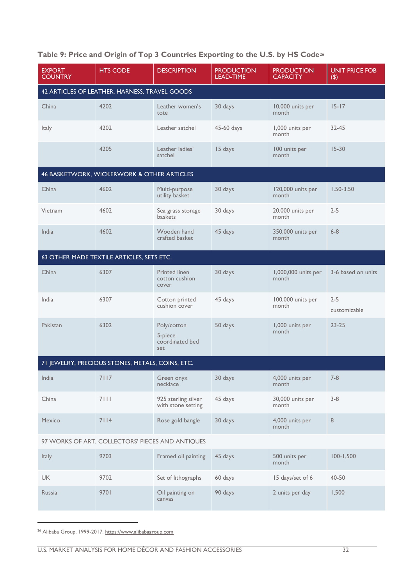| <b>EXPORT</b><br><b>COUNTRY</b> | <b>HTS CODE</b>                                  | <b>DESCRIPTION</b>                               | <b>PRODUCTION</b><br><b>LEAD-TIME</b> | <b>PRODUCTION</b><br><b>CAPACITY</b> | <b>UNIT PRICE FOB</b><br>$(\boldsymbol{\mathsf{S}})$ |  |
|---------------------------------|--------------------------------------------------|--------------------------------------------------|---------------------------------------|--------------------------------------|------------------------------------------------------|--|
|                                 | 42 ARTICLES OF LEATHER, HARNESS, TRAVEL GOODS    |                                                  |                                       |                                      |                                                      |  |
| China                           | 4202                                             | Leather women's<br>tote                          | 30 days                               | 10,000 units per<br>month            | $15 - 17$                                            |  |
| Italy                           | 4202                                             | Leather satchel                                  | 45-60 days                            | 1,000 units per<br>month             | 32-45                                                |  |
|                                 | 4205                                             | Leather ladies'<br>satchel                       | 15 days                               | 100 units per<br>month               | $15 - 30$                                            |  |
|                                 | 46 BASKETWORK, WICKERWORK & OTHER ARTICLES       |                                                  |                                       |                                      |                                                      |  |
| China                           | 4602                                             | Multi-purpose<br>utility basket                  | 30 days                               | 120,000 units per<br>month           | $1.50 - 3.50$                                        |  |
| Vietnam                         | 4602                                             | Sea grass storage<br>baskets                     | 30 days                               | 20,000 units per<br>month            | $2 - 5$                                              |  |
| India                           | 4602                                             | Wooden hand<br>crafted basket                    | 45 days                               | 350,000 units per<br>month           | $6 - 8$                                              |  |
|                                 | 63 OTHER MADE TEXTILE ARTICLES, SETS ETC.        |                                                  |                                       |                                      |                                                      |  |
| China                           | 6307                                             | <b>Printed linen</b><br>cotton cushion<br>cover  | 30 days                               | 1,000,000 units per<br>month         | 3-6 based on units                                   |  |
| India                           | 6307                                             | Cotton printed<br>cushion cover                  | 45 days                               | 100,000 units per<br>month           | $2 - 5$<br>customizable                              |  |
| Pakistan                        | 6302                                             | Poly/cotton<br>5-piece<br>coordinated bed<br>set | 50 days                               | 1,000 units per<br>month             | $23 - 25$                                            |  |
|                                 | 71 JEWELRY, PRECIOUS STONES, METALS, COINS, ETC. |                                                  |                                       |                                      |                                                      |  |
| India                           | 7117                                             | Green onyx<br>necklace                           | 30 days                               | 4,000 units per<br>month             | $7 - 8$                                              |  |
| China                           | 7111                                             | 925 sterling silver<br>with stone setting        | 45 days                               | 30,000 units per<br>month            | $3 - 8$                                              |  |
| Mexico                          | 7114                                             | Rose gold bangle                                 | 30 days                               | 4,000 units per<br>month             | 8                                                    |  |
|                                 | 97 WORKS OF ART, COLLECTORS' PIECES AND ANTIQUES |                                                  |                                       |                                      |                                                      |  |
| Italy                           | 9703                                             | Framed oil painting                              | 45 days                               | 500 units per<br>month               | $100 - 1,500$                                        |  |
| <b>UK</b>                       | 9702                                             | Set of lithographs                               | 60 days                               | 15 days/set of 6                     | 40-50                                                |  |
| Russia                          | 9701                                             | Oil painting on<br>canvas                        | 90 days                               | 2 units per day                      | 1,500                                                |  |
|                                 |                                                  |                                                  |                                       |                                      |                                                      |  |

### **Table 9: Price and Origin of Top 3 Countries Exporting to the U.S. by HS Code<sup>26</sup>**

<sup>26</sup> Alibaba Group. 1999-2017. https://www.alibabagroup.com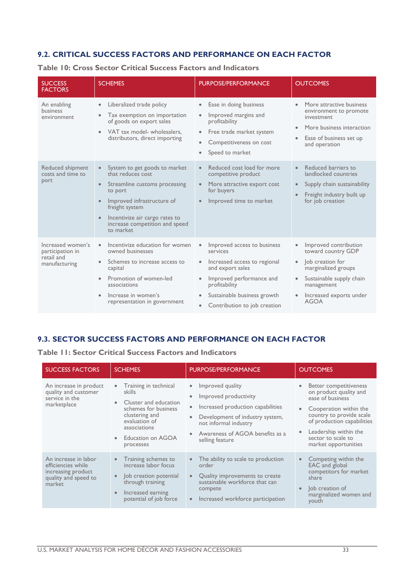#### <span id="page-32-0"></span>**9.2. CRITICAL SUCCESS FACTORS AND PERFORMANCE ON EACH FACTOR**

**Table 10: Cross Sector Critical Success Factors and Indicators**

| <b>SUCCESS</b><br><b>FACTORS</b>                                     | <b>SCHEMES</b>                                                                                                                                                                                                                                                                      | <b>PURPOSE/PERFORMANCE</b>                                                                                                                                                                                                                                  | <b>OUTCOMES</b>                                                                                                                                                                                                   |
|----------------------------------------------------------------------|-------------------------------------------------------------------------------------------------------------------------------------------------------------------------------------------------------------------------------------------------------------------------------------|-------------------------------------------------------------------------------------------------------------------------------------------------------------------------------------------------------------------------------------------------------------|-------------------------------------------------------------------------------------------------------------------------------------------------------------------------------------------------------------------|
| An enabling<br>business<br>environment                               | Liberalized trade policy<br>$\bullet$<br>Tax exemption on importation<br>$\bullet$<br>of goods on export sales<br>VAT tax model- wholesalers,<br>$\bullet$<br>distributors, direct importing                                                                                        | Ease in doing business<br>$\bullet$<br>Improved margins and<br>$\bullet$<br>profitability<br>Free trade market system<br>$\bullet$<br>Competitiveness on cost<br>Speed to market<br>$\bullet$                                                               | More attractive business<br>environment to promote<br>investment<br>More business interaction<br>$\bullet$<br>Ease of business set up<br>and operation                                                            |
| Reduced shipment<br>costs and time to<br><b>port</b>                 | System to get goods to market<br>$\bullet$<br>that reduces cost<br>Streamline customs processing<br>$\bullet$<br>to port<br>Improved infrastructure of<br>$\bullet$<br>freight system<br>Incentivize air cargo rates to<br>$\bullet$<br>increase competition and speed<br>to market | Reduced cost load for more<br>$\bullet$<br>competitive product<br>More attractive export cost<br>$\bullet$<br>for buyers<br>Improved time to market                                                                                                         | Reduced barriers to<br>$\bullet$<br>landlocked countries<br>Supply chain sustainability<br>Freight industry built up<br>for job creation                                                                          |
| Increased women's<br>participation in<br>retail and<br>manufacturing | Incentivize education for women<br>$\bullet$<br>owned businesses<br>Schemes to increase access to<br>$\bullet$<br>capital<br>Promotion of women-led<br>$\bullet$<br>associations<br>Increase in women's<br>¢<br>representation in government                                        | Improved access to business<br>$\bullet$<br>services<br>Increased access to regional<br>$\bullet$<br>and export sales<br>Improved performance and<br>profitability<br>Sustainable business growth<br>$\bullet$<br>Contribution to job creation<br>$\bullet$ | Improved contribution<br>$\bullet$<br>toward country GDP<br>lob creation for<br>$\bullet$<br>marginalized groups<br>Sustainable supply chain<br>$\bullet$<br>management<br>Increased exports under<br><b>AGOA</b> |

#### <span id="page-32-1"></span>**9.3. SECTOR SUCCESS FACTORS AND PERFORMANCE ON EACH FACTOR**

**Table 11: Sector Critical Success Factors and Indicators**

| <b>SUCCESS FACTORS</b>                                                                             | <b>SCHEMES</b>                                                                                                                                                                                               | <b>PURPOSE/PERFORMANCE</b>                                                                                                                                                                                                                                        | <b>OUTCOMES</b>                                                                                                                                                                                                                 |
|----------------------------------------------------------------------------------------------------|--------------------------------------------------------------------------------------------------------------------------------------------------------------------------------------------------------------|-------------------------------------------------------------------------------------------------------------------------------------------------------------------------------------------------------------------------------------------------------------------|---------------------------------------------------------------------------------------------------------------------------------------------------------------------------------------------------------------------------------|
| An increase in product<br>quality and customer<br>service in the<br>marketplace                    | Training in technical<br>$\bullet$<br>skills<br>Cluster and education<br>$\bullet$<br>schemes for business<br>clustering and<br>evaluation of<br>associations<br>Education on AGOA<br>$\bullet$<br>processes | Improved quality<br>$\bullet$<br>Improved productivity<br>$\bullet$<br>Increased production capabilities<br>$\bullet$<br>Development of industry system,<br>$\bullet$<br>not informal industry<br>Awareness of AGOA benefits as a<br>$\bullet$<br>selling feature | Better competitiveness<br>on product quality and<br>ease of business<br>Cooperation within the<br>country to provide scale<br>of production capabilities<br>Leadership within the<br>sector to scale to<br>market opportunities |
| An increase in labor<br>efficiencies while<br>increasing product<br>quality and speed to<br>market | Training schemes to<br>increase labor focus<br>lob creation potential<br>through training<br>Increased earning<br>$\bullet$<br>potential of job force                                                        | The ability to scale to production<br>$\bullet$<br>order<br>Quality improvements to create<br>$\bullet$<br>sustainable workforce that can<br>compete<br>Increased workforce participation<br>$\bullet$                                                            | Competing within the<br>$\bullet$<br><b>EAC</b> and global<br>competitors for market<br>share<br>lob creation of<br>$\bullet$<br>marginalized women and<br>youth                                                                |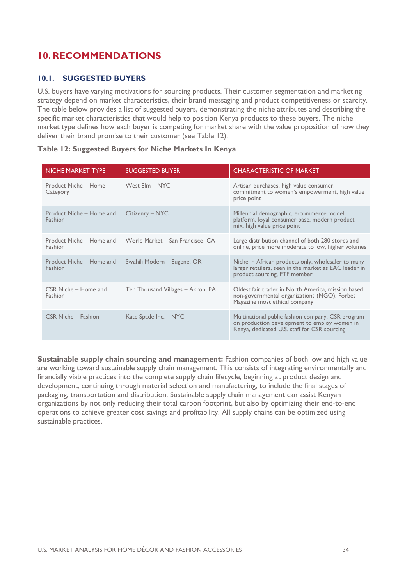# <span id="page-33-0"></span>**10.RECOMMENDATIONS**

#### <span id="page-33-1"></span>**10.1. SUGGESTED BUYERS**

U.S. buyers have varying motivations for sourcing products. Their customer segmentation and marketing strategy depend on market characteristics, their brand messaging and product competitiveness or scarcity. The table below provides a list of suggested buyers, demonstrating the niche attributes and describing the specific market characteristics that would help to position Kenya products to these buyers. The niche market type defines how each buyer is competing for market share with the value proposition of how they deliver their brand promise to their customer (see Table 12).

| <b>NICHE MARKET TYPE</b>            | <b>SUGGESTED BUYER</b>            | <b>CHARACTERISTIC OF MARKET</b>                                                                                                                   |
|-------------------------------------|-----------------------------------|---------------------------------------------------------------------------------------------------------------------------------------------------|
| Product Niche - Home<br>Category    | West Elm - NYC                    | Artisan purchases, high value consumer,<br>commitment to women's empowerment, high value<br>price point                                           |
| Product Niche – Home and<br>Fashion | Citizenry – NYC                   | Millennial demographic, e-commerce model<br>platform, loyal consumer base, modern product<br>mix, high value price point                          |
| Product Niche – Home and<br>Fashion | World Market - San Francisco, CA  | Large distribution channel of both 280 stores and<br>online, price more moderate to low, higher volumes                                           |
| Product Niche – Home and<br>Fashion | Swahili Modern - Eugene, OR       | Niche in African products only, wholesaler to many<br>larger retailers, seen in the market as EAC leader in<br>product sourcing, FTF member       |
| CSR Niche - Home and<br>Fashion     | Ten Thousand Villages – Akron, PA | Oldest fair trader in North America, mission based<br>non-governmental organizations (NGO), Forbes<br>Magazine most ethical company               |
| <b>CSR Niche - Fashion</b>          | Kate Spade Inc. - NYC             | Multinational public fashion company, CSR program<br>on production development to employ women in<br>Kenya, dedicated U.S. staff for CSR sourcing |

#### **Table 12: Suggested Buyers for Niche Markets In Kenya**

**Sustainable supply chain sourcing and management:** Fashion companies of both low and high value are working toward sustainable supply chain management. This consists of integrating environmentally and financially viable practices into the complete supply chain lifecycle, beginning at product design and development, continuing through material selection and manufacturing, to include the final stages of packaging, transportation and distribution. Sustainable supply chain management can assist Kenyan organizations by not only reducing their total carbon footprint, but also by optimizing their end-to-end operations to achieve greater cost savings and profitability. All supply chains can be optimized using sustainable practices.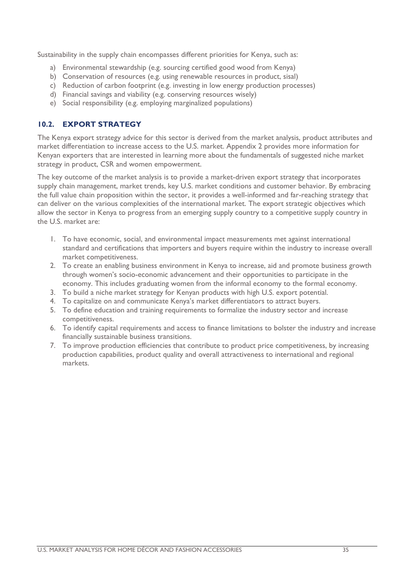Sustainability in the supply chain encompasses different priorities for Kenya, such as:

- a) Environmental stewardship (e.g. sourcing certified good wood from Kenya)
- b) Conservation of resources (e.g. using renewable resources in product, sisal)
- c) Reduction of carbon footprint (e.g. investing in low energy production processes)
- d) Financial savings and viability (e.g. conserving resources wisely)
- e) Social responsibility (e.g. employing marginalized populations)

#### <span id="page-34-0"></span>**10.2. EXPORT STRATEGY**

The Kenya export strategy advice for this sector is derived from the market analysis, product attributes and market differentiation to increase access to the U.S. market. Appendix 2 provides more information for Kenyan exporters that are interested in learning more about the fundamentals of suggested niche market strategy in product, CSR and women empowerment.

The key outcome of the market analysis is to provide a market-driven export strategy that incorporates supply chain management, market trends, key U.S. market conditions and customer behavior. By embracing the full value chain proposition within the sector, it provides a well-informed and far-reaching strategy that can deliver on the various complexities of the international market. The export strategic objectives which allow the sector in Kenya to progress from an emerging supply country to a competitive supply country in the U.S. market are:

- 1. To have economic, social, and environmental impact measurements met against international standard and certifications that importers and buyers require within the industry to increase overall market competitiveness.
- 2. To create an enabling business environment in Kenya to increase, aid and promote business growth through women's socio-economic advancement and their opportunities to participate in the economy. This includes graduating women from the informal economy to the formal economy.
- 3. To build a niche market strategy for Kenyan products with high U.S. export potential.
- 4. To capitalize on and communicate Kenya's market differentiators to attract buyers.
- 5. To define education and training requirements to formalize the industry sector and increase competitiveness.
- 6. To identify capital requirements and access to finance limitations to bolster the industry and increase financially sustainable business transitions.
- 7. To improve production efficiencies that contribute to product price competitiveness, by increasing production capabilities, product quality and overall attractiveness to international and regional markets.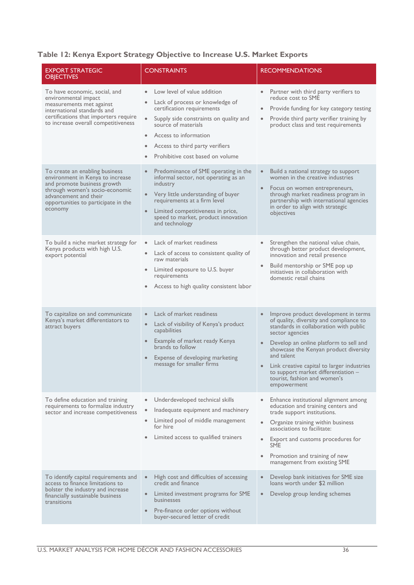#### **Table 12: Kenya Export Strategy Objective to Increase U.S. Market Exports**

| <b>EXPORT STRATEGIC</b><br><b>OBJECTIVES</b>                                                                                                                                                                   | <b>CONSTRAINTS</b>                                                                                                                                                                                                                                                                                                             | <b>RECOMMENDATIONS</b>                                                                                                                                                                                                                                                                                                                                                                         |
|----------------------------------------------------------------------------------------------------------------------------------------------------------------------------------------------------------------|--------------------------------------------------------------------------------------------------------------------------------------------------------------------------------------------------------------------------------------------------------------------------------------------------------------------------------|------------------------------------------------------------------------------------------------------------------------------------------------------------------------------------------------------------------------------------------------------------------------------------------------------------------------------------------------------------------------------------------------|
| To have economic, social, and<br>environmental impact<br>measurements met against<br>international standards and<br>certifications that importers require<br>to increase overall competitiveness               | Low level of value addition<br>$\bullet$<br>Lack of process or knowledge of<br>$\bullet$<br>certification requirements<br>$\bullet$<br>Supply side constraints on quality and<br>source of materials<br>Access to information<br>$\bullet$<br>Access to third party verifiers<br>$\bullet$<br>Prohibitive cost based on volume | • Partner with third party verifiers to<br>reduce cost to SME<br>Provide funding for key category testing<br>Provide third party verifier training by<br>$\bullet$<br>product class and test requirements                                                                                                                                                                                      |
| To create an enabling business<br>environment in Kenya to increase<br>and promote business growth<br>through women's socio-economic<br>advancement and their<br>opportunities to participate in the<br>economy | Predominance of SME operating in the<br>$\bullet$<br>informal sector, not operating as an<br>industry<br>Very little understanding of buyer<br>requirements at a firm level<br>Limited competitiveness in price,<br>speed to market, product innovation<br>and technology                                                      | Build a national strategy to support<br>$\bullet$<br>women in the creative industries<br>• Focus on women entrepreneurs,<br>through market readiness program in<br>partnership with international agencies<br>in order to align with strategic<br>objectives                                                                                                                                   |
| To build a niche market strategy for<br>Kenya products with high U.S.<br>export potential                                                                                                                      | Lack of market readiness<br>$\bullet$<br>Lack of access to consistent quality of<br>$\bullet$<br>raw materials<br>Limited exposure to U.S. buyer<br>$\bullet$<br>requirements<br>Access to high quality consistent labor                                                                                                       | Strengthen the national value chain,<br>$\bullet$<br>through better product development,<br>innovation and retail presence<br>Build mentorship or SME pop up<br>initiatives in collaboration with<br>domestic retail chains                                                                                                                                                                    |
| To capitalize on and communicate<br>Kenya's market differentiators to<br>attract buyers                                                                                                                        | Lack of market readiness<br>$\bullet$<br>Lack of visibility of Kenya's product<br>$\bullet$<br>capabilities<br>Example of market ready Kenya<br>brands to follow<br>Expense of developing marketing<br>message for smaller firms                                                                                               | Improve product development in terms<br>$\bullet$<br>of quality, diversity and compliance to<br>standards in collaboration with public<br>sector agencies<br>Develop an online platform to sell and<br>showcase the Kenyan product diversity<br>and talent<br>Link creative capital to larger industries<br>to support market differentiation -<br>tourist, fashion and women's<br>empowerment |
| To define education and training<br>requirements to formalize industry<br>sector and increase competitiveness                                                                                                  | Underdeveloped technical skills<br>$\bullet$<br>Inadequate equipment and machinery<br>Limited pool of middle management<br>for hire<br>Limited access to qualified trainers<br>$\bullet$                                                                                                                                       | Enhance institutional alignment among<br>education and training centers and<br>trade support institutions.<br>Organize training within business<br>$\bullet$<br>associations to facilitate:<br>Export and customs procedures for<br>SME<br>Promotion and training of new<br>$\bullet$<br>management from existing SME                                                                          |
| To identify capital requirements and<br>access to finance limitations to<br>bolster the industry and increase<br>financially sustainable business<br>transitions                                               | High cost and difficulties of accessing<br>$\bullet$<br>credit and finance<br>Limited investment programs for SME<br>$\bullet$<br>businesses<br>Pre-finance order options without<br>$\bullet$<br>buyer-secured letter of credit                                                                                               | Develop bank initiatives for SME size<br>$\bullet$<br>loans worth under \$2 million<br>Develop group lending schemes<br>$\bullet$                                                                                                                                                                                                                                                              |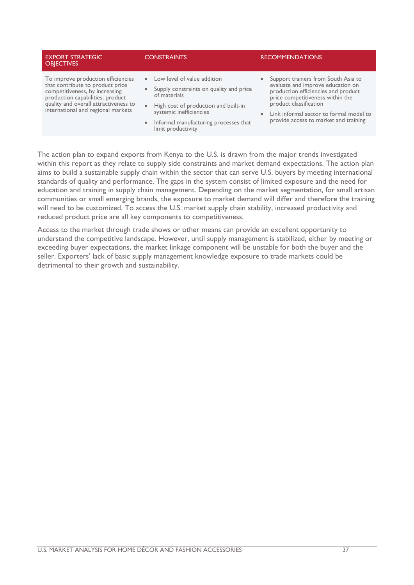| <b>EXPORT STRATEGIC</b><br><b>OBJECTIVES</b>                                                                                                                                                                                | <b>CONSTRAINTS</b>                                                                                                                                                                                                                                                | <b>RECOMMENDATIONS</b>                                                                                                                                                                                                                                                                      |
|-----------------------------------------------------------------------------------------------------------------------------------------------------------------------------------------------------------------------------|-------------------------------------------------------------------------------------------------------------------------------------------------------------------------------------------------------------------------------------------------------------------|---------------------------------------------------------------------------------------------------------------------------------------------------------------------------------------------------------------------------------------------------------------------------------------------|
| To improve production efficiencies<br>that contribute to product price<br>competitiveness, by increasing<br>production capabilities, product<br>quality and overall attractiveness to<br>international and regional markets | • Low level of value addition<br>Supply constraints on quality and price<br>$\bullet$<br>of materials<br>High cost of production and built-in<br>$\bullet$<br>systemic inefficiencies<br>Informal manufacturing processes that<br>$\bullet$<br>limit productivity | Support trainers from South Asia to<br>$\bullet$<br>evaluate and improve education on<br>production efficiencies and product<br>price competitiveness within the<br>product classification<br>Link informal sector to formal model to<br>$\bullet$<br>provide access to market and training |

The action plan to expand exports from Kenya to the U.S. is drawn from the major trends investigated within this report as they relate to supply side constraints and market demand expectations. The action plan aims to build a sustainable supply chain within the sector that can serve U.S. buyers by meeting international standards of quality and performance. The gaps in the system consist of limited exposure and the need for education and training in supply chain management. Depending on the market segmentation, for small artisan communities or small emerging brands, the exposure to market demand will differ and therefore the training will need to be customized. To access the U.S. market supply chain stability, increased productivity and reduced product price are all key components to competitiveness.

Access to the market through trade shows or other means can provide an excellent opportunity to understand the competitive landscape. However, until supply management is stabilized, either by meeting or exceeding buyer expectations, the market linkage component will be unstable for both the buyer and the seller. Exporters' lack of basic supply management knowledge exposure to trade markets could be detrimental to their growth and sustainability.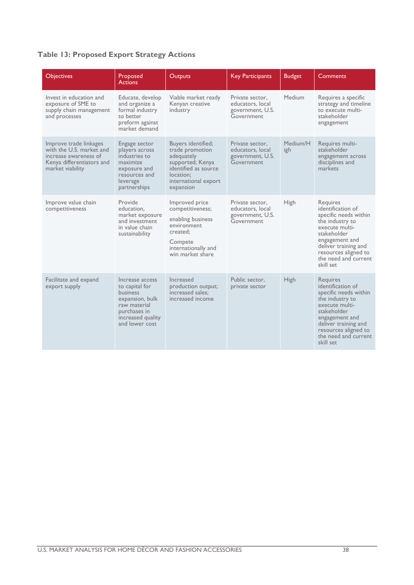### **Table 13: Proposed Export Strategy Actions**

| <b>Objectives</b>                                                                                                            | Proposed<br><b>Actions</b>                                                                                                                     | <b>Outputs</b>                                                                                                                                           | <b>Key Participants</b>                                               | <b>Budget</b>   | Comments                                                                                                                                                                                                                 |
|------------------------------------------------------------------------------------------------------------------------------|------------------------------------------------------------------------------------------------------------------------------------------------|----------------------------------------------------------------------------------------------------------------------------------------------------------|-----------------------------------------------------------------------|-----------------|--------------------------------------------------------------------------------------------------------------------------------------------------------------------------------------------------------------------------|
| Invest in education and<br>exposure of SME to<br>supply chain management<br>and processes                                    | Educate, develop<br>and organize a<br>formal industry<br>to better<br>preform against<br>market demand                                         | Viable market ready<br>Kenyan creative<br>industry                                                                                                       | Private sector,<br>educators, local<br>government, U.S.<br>Government | Medium          | Requires a specific<br>strategy and timeline<br>to execute multi-<br>stakeholder<br>engagement                                                                                                                           |
| Improve trade linkages<br>with the U.S. market and<br>increase awareness of<br>Kenya differentiators and<br>market viability | Engage sector<br>players across<br>industries to<br>maximize<br>exposure and<br>resources and<br>leverage<br>partnerships                      | <b>Buvers identified:</b><br>trade promotion<br>adequately<br>supported; Kenya<br>identified as source<br>location:<br>international export<br>expansion | Private sector.<br>educators, local<br>government, U.S.<br>Government | Medium/H<br>igh | Requires multi-<br>stakeholder<br>engagement across<br>disciplines and<br>markets                                                                                                                                        |
| Improve value chain<br>competitiveness                                                                                       | Provide<br>education.<br>market exposure<br>and investment<br>in value chain<br>sustainability                                                 | Improved price<br>competitiveness;<br>enabling business<br>environment<br>created;<br>Compete<br>internationally and<br>win market share                 | Private sector.<br>educators, local<br>government, U.S.<br>Government | High            | Requires<br>identification of<br>specific needs within<br>the industry to<br>execute multi-<br>stakeholder<br>engagement and<br>deliver training and<br>resources aligned to<br>the need and current<br>skill set        |
| Facilitate and expand<br>export supply                                                                                       | Increase access<br>to capital for<br><b>business</b><br>expansion, bulk<br>raw material<br>purchases in<br>increased quality<br>and lower cost | Increased<br>production output;<br>increased sales;<br>increased income                                                                                  | Public sector,<br>private sector                                      | <b>High</b>     | <b>Requires</b><br>identification of<br>specific needs within<br>the industry to<br>execute multi-<br>stakeholder<br>engagement and<br>deliver training and<br>resources aligned to<br>the need and current<br>skill set |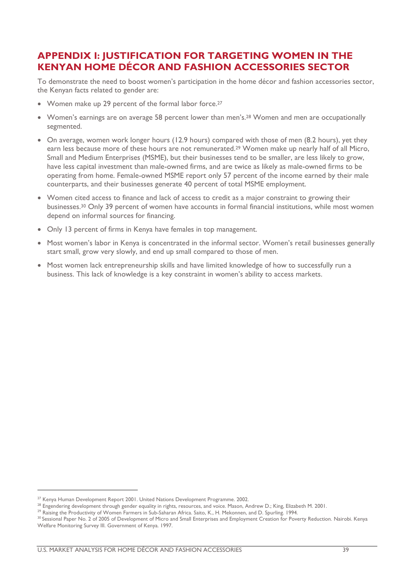## <span id="page-38-0"></span>**APPENDIX I: JUSTIFICATION FOR TARGETING WOMEN IN THE KENYAN HOME DÉCOR AND FASHION ACCESSORIES SECTOR**

To demonstrate the need to boost women's participation in the home décor and fashion accessories sector, the Kenyan facts related to gender are:

- Women make up 29 percent of the formal labor force.<sup>27</sup>
- Women's earnings are on average 58 percent lower than men's.<sup>28</sup> Women and men are occupationally segmented.
- On average, women work longer hours (12.9 hours) compared with those of men (8.2 hours), yet they earn less because more of these hours are not remunerated.<sup>29</sup> Women make up nearly half of all Micro, Small and Medium Enterprises (MSME), but their businesses tend to be smaller, are less likely to grow, have less capital investment than male-owned firms, and are twice as likely as male-owned firms to be operating from home. Female-owned MSME report only 57 percent of the income earned by their male counterparts, and their businesses generate 40 percent of total MSME employment.
- Women cited access to finance and lack of access to credit as a major constraint to growing their businesses.<sup>30</sup> Only 39 percent of women have accounts in formal financial institutions, while most women depend on informal sources for financing.
- Only 13 percent of firms in Kenya have females in top management.
- Most women's labor in Kenya is concentrated in the informal sector. Women's retail businesses generally start small, grow very slowly, and end up small compared to those of men.
- Most women lack entrepreneurship skills and have limited knowledge of how to successfully run a business. This lack of knowledge is a key constraint in women's ability to access markets.

1

<sup>&</sup>lt;sup>27</sup> Kenya Human Development Report 2001. United Nations Development Programme. 2002.

<sup>&</sup>lt;sup>28</sup> Engendering development through gender equality in rights, resources, and voice. Mason, Andrew D.; King, Elizabeth M. 2001.

<sup>&</sup>lt;sup>29</sup> Raising the Productivity of Women Farmers in Sub-Saharan Africa. Saito, K., H. Mekonnen, and D. Spurling. 1994.

<sup>&</sup>lt;sup>30</sup> Sessional Paper No. 2 of 2005 of Development of Micro and Small Enterprises and Employment Creation for Poverty Reduction. Nairobi. Kenya Welfare Monitoring Survey III. Government of Kenya. 1997.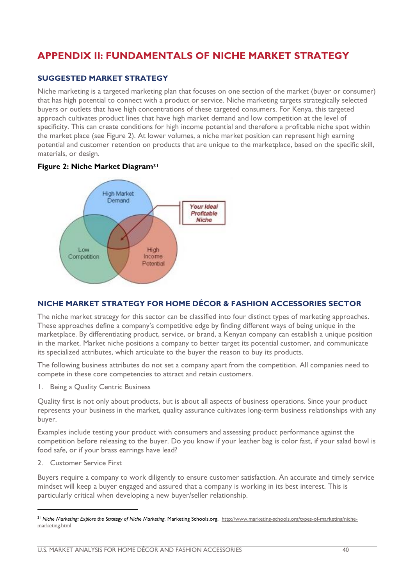# <span id="page-39-0"></span>**APPENDIX II: FUNDAMENTALS OF NICHE MARKET STRATEGY**

#### <span id="page-39-1"></span>**SUGGESTED MARKET STRATEGY**

Niche marketing is a targeted marketing plan that focuses on one section of the market (buyer or consumer) that has high potential to connect with a product or service. Niche marketing targets strategically selected buyers or outlets that have high concentrations of these targeted consumers. For Kenya, this targeted approach cultivates product lines that have high market demand and low competition at the level of specificity. This can create conditions for high income potential and therefore a profitable niche spot within the market place (see Figure 2). At lower volumes, a niche market position can represent high earning potential and customer retention on products that are unique to the marketplace, based on the specific skill, materials, or design.





#### <span id="page-39-2"></span>**NICHE MARKET STRATEGY FOR HOME DÉCOR & FASHION ACCESSORIES SECTOR**

The niche market strategy for this sector can be classified into four distinct types of marketing approaches. These approaches define a company's competitive edge by finding different ways of being unique in the marketplace. By differentiating product, service, or brand, a Kenyan company can establish a unique position in the market. Market niche positions a company to better target its potential customer, and communicate its specialized attributes, which articulate to the buyer the reason to buy its products.

The following business attributes do not set a company apart from the competition. All companies need to compete in these core competencies to attract and retain customers.

1. Being a Quality Centric Business

Quality first is not only about products, but is about all aspects of business operations. Since your product represents your business in the market, quality assurance cultivates long-term business relationships with any buyer.

Examples include testing your product with consumers and assessing product performance against the competition before releasing to the buyer. Do you know if your leather bag is color fast, if your salad bowl is food safe, or if your brass earrings have lead?

2. Customer Service First

1

Buyers require a company to work diligently to ensure customer satisfaction. An accurate and timely service mindset will keep a buyer engaged and assured that a company is working in its best interest. This is particularly critical when developing a new buyer/seller relationship.

<sup>&</sup>lt;sup>31</sup> Niche Marketing: Explore the Strategy of Niche Marketing. Marketing Schools.org. http://www.marketing-schools.org/types-of-marketing/nichemarketing.html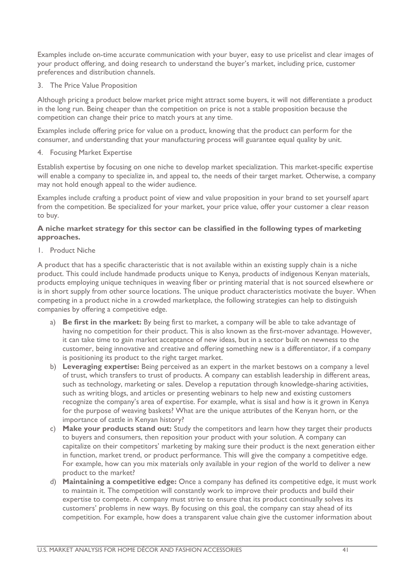Examples include on-time accurate communication with your buyer, easy to use pricelist and clear images of your product offering, and doing research to understand the buyer's market, including price, customer preferences and distribution channels.

3. The Price Value Proposition

Although pricing a product below market price might attract some buyers, it will not differentiate a product in the long run. Being cheaper than the competition on price is not a stable proposition because the competition can change their price to match yours at any time.

Examples include offering price for value on a product, knowing that the product can perform for the consumer, and understanding that your manufacturing process will guarantee equal quality by unit.

4. Focusing Market Expertise

Establish expertise by focusing on one niche to develop market specialization. This market-specific expertise will enable a company to specialize in, and appeal to, the needs of their target market. Otherwise, a company may not hold enough appeal to the wider audience.

Examples include crafting a product point of view and value proposition in your brand to set yourself apart from the competition. Be specialized for your market, your price value, offer your customer a clear reason to buy.

#### **A niche market strategy for this sector can be classified in the following types of marketing approaches.**

1. Product Niche

A product that has a specific characteristic that is not available within an existing supply chain is a niche product. This could include handmade products unique to Kenya, products of indigenous Kenyan materials, products employing unique techniques in weaving fiber or printing material that is not sourced elsewhere or is in short supply from other source locations. The unique product characteristics motivate the buyer. When competing in a product niche in a crowded marketplace, the following strategies can help to distinguish companies by offering a competitive edge.

- a) **Be first in the market:** By being first to market, a company will be able to take advantage of having no competition for their product. This is also known as the first-mover advantage. However, it can take time to gain market acceptance of new ideas, but in a sector built on newness to the customer, being innovative and creative and offering something new is a differentiator, if a company is positioning its product to the right target market.
- b) **Leveraging expertise:** Being perceived as an expert in the market bestows on a company a level of trust, which transfers to trust of products. A company can establish leadership in different areas, such as technology, marketing or sales. Develop a reputation through knowledge-sharing activities, such as writing blogs, and articles or presenting webinars to help new and existing customers recognize the company's area of expertise. For example, what is sisal and how is it grown in Kenya for the purpose of weaving baskets? What are the unique attributes of the Kenyan horn, or the importance of cattle in Kenyan history?
- c) **Make your products stand out:** Study the competitors and learn how they target their products to buyers and consumers, then reposition your product with your solution. A company can capitalize on their competitors' marketing by making sure their product is the next generation either in function, market trend, or product performance. This will give the company a competitive edge. For example, how can you mix materials only available in your region of the world to deliver a new product to the market?
- d) **Maintaining a competitive edge:** Once a company has defined its competitive edge, it must work to maintain it. The competition will constantly work to improve their products and build their expertise to compete. A company must strive to ensure that its product continually solves its customers' problems in new ways. By focusing on this goal, the company can stay ahead of its competition. For example, how does a transparent value chain give the customer information about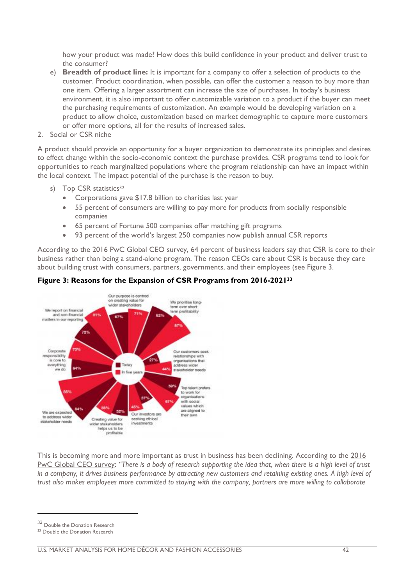how your product was made? How does this build confidence in your product and deliver trust to the consumer?

- e) **Breadth of product line:** It is important for a company to offer a selection of products to the customer. Product coordination, when possible, can offer the customer a reason to buy more than one item. Offering a larger assortment can increase the size of purchases. In today's business environment, it is also important to offer customizable variation to a product if the buyer can meet the purchasing requirements of customization. An example would be developing variation on a product to allow choice, customization based on market demographic to capture more customers or offer more options, all for the results of increased sales.
- 2. Social or CSR niche

A product should provide an opportunity for a buyer organization to demonstrate its principles and desires to effect change within the socio-economic context the purchase provides. CSR programs tend to look for opportunities to reach marginalized populations where the program relationship can have an impact within the local context. The impact potential of the purchase is the reason to buy.

- s) Top CSR statistics<sup>32</sup>
	- Corporations gave \$17.8 billion to charities last year
	- 55 percent of consumers are willing to pay more for products from socially responsible companies
	- 65 percent of Fortune 500 companies offer matching gift programs
	- 93 percent of the world's largest 250 companies now publish annual CSR reports

According to the [2016 PwC Global CEO survey,](http://www.pwc.com/gx/en/ceo-survey/2016/landing-page/pwc-19th-annual-global-ceo-survey.pdf) 64 percent of business leaders say that CSR is core to their business rather than being a stand-alone program. The reason CEOs care about CSR is because they care about building trust with consumers, partners, governments, and their employees (see Figure 3.



#### **Figure 3: Reasons for the Expansion of CSR Programs from 2016-2021<sup>33</sup>**

This is becoming more and more important as trust in business has been declining. According to the [2016](http://www.pwc.com/gx/en/ceo-survey/2016/landing-page/pwc-19th-annual-global-ceo-survey.pdf)  [PwC Global CEO survey:](http://www.pwc.com/gx/en/ceo-survey/2016/landing-page/pwc-19th-annual-global-ceo-survey.pdf) *"There is a body of research supporting the idea that, when there is a high level of trust in a company, it drives business performance by attracting new customers and retaining existing ones. A high level of trust also makes employees more committed to staying with the company, partners are more willing to collaborate* 

1

 $^{32}$  Double the Donation Research

<sup>&</sup>lt;sup>33</sup> Double the Donation Research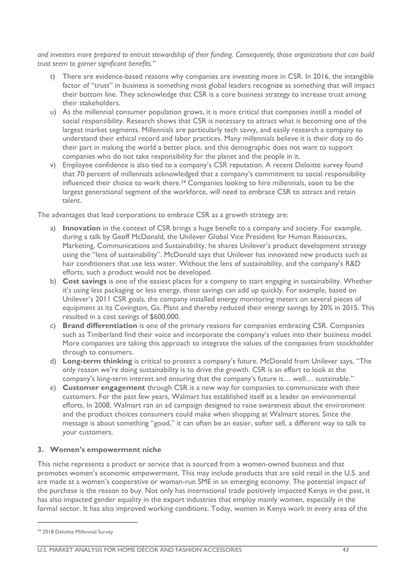*and investors more prepared to entrust stewardship of their funding. Consequently, those organizations that can build trust seem to garner significant benefits."*

- t) There are evidence-based reasons why companies are investing more in CSR. In 2016, the intangible factor of "trust" in business is something most global leaders recognize as something that will impact their bottom line. They acknowledge that CSR is a core business strategy to increase trust among their stakeholders.
- u) As the millennial consumer population grows, it is more critical that companies instill a model of social responsibility. Research shows that CSR is necessary to attract what is becoming one of the largest market segments. Millennials are particularly tech savvy, and easily research a company to understand their ethical record and labor practices. Many millennials believe it is their duty to do their part in making the world a better place, and this demographic does not want to support companies who do not take responsibility for the planet and the people in it.
- v) Employee confidence is also tied to a company's CSR reputation. A recent Deloitte survey found that 70 percent of millennials acknowledged that a company's commitment to social responsibility influenced their choice to work there.<sup>34</sup> Companies looking to hire millennials, soon to be the largest generational segment of the workforce, will need to embrace CSR to attract and retain talent.

The advantages that lead corporations to embrace CSR as a growth strategy are:

- a) **Innovation** in the context of CSR brings a huge benefit to a company and society. For example, during a talk by Geoff McDonald, the Unilever Global Vice President for Human Resources, Marketing, Communications and Sustainability, he shares Unilever's product development strategy using the "lens of sustainability". McDonald says that Unilever has innovated new products such as hair conditioners that use less water. Without the lens of sustainability, and the company's R&D efforts, such a product would not be developed.
- b) **Cost savings** is one of the easiest places for a company to start engaging in sustainability. Whether it's using less packaging or less energy, these savings can add up quickly. For example, based on Unilever's 2011 CSR goals, the company installed energy monitoring meters on several pieces of equipment at its Covington, Ga. Plant and thereby reduced their energy savings by 20% in 2015. This resulted in a cost savings of \$600,000.
- c) **Brand differentiation** is one of the primary reasons for companies embracing CSR. Companies such as Timberland find their voice and incorporate the company's values into their business model. More companies are taking this approach to integrate the values of the companies from stockholder through to consumers.
- d) **Long-term thinking** is critical to protect a company's future. McDonald from Unilever says, "The only reason we're doing sustainability is to drive the growth. CSR is an effort to look at the company's long-term interest and ensuring that the company's future is… well… sustainable."
- e) **Customer engagement** through CSR is a new way for companies to communicate with their customers. For the past few years, Walmart has established itself as a leader on environmental efforts. In 2008, Walmart ran an ad campaign designed to raise awareness about the environment and the product choices consumers could make when shopping at Walmart stores. Since the message is about something "good," it can often be an easier, softer sell, a different way to talk to your customers.

#### **3. Women's empowerment niche**

This niche represents a product or service that is sourced from a women-owned business and that promotes women's economic empowerment. This may include products that are sold retail in the U.S. and are made at a women's cooperative or woman-run SME in an emerging economy. The potential impact of the purchase is the reason to buy. Not only has international trade positively impacted Kenya in the past, it has also impacted gender equality in the export industries that employ mainly women, especially in the formal sector. It has also improved working conditions. Today, women in Kenya work in every area of the

<sup>34</sup> 2018 Deloitte Millennial Survey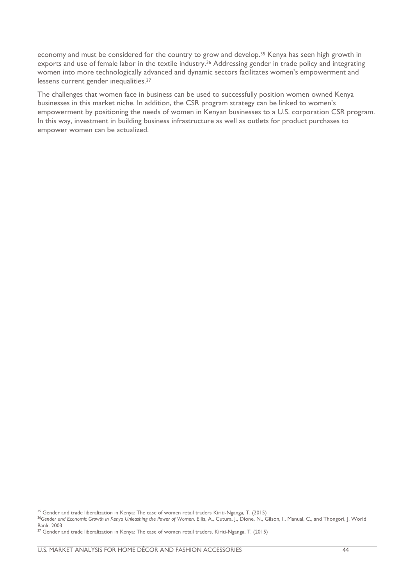economy and must be considered for the country to grow and develop.<sup>35</sup> Kenya has seen high growth in exports and use of female labor in the textile industry.<sup>36</sup> Addressing gender in trade policy and integrating women into more technologically advanced and dynamic sectors facilitates women's empowerment and lessens current gender inequalities.<sup>37</sup>

The challenges that women face in business can be used to successfully position women owned Kenya businesses in this market niche. In addition, the CSR program strategy can be linked to women's empowerment by positioning the needs of women in Kenyan businesses to a U.S. corporation CSR program. In this way, investment in building business infrastructure as well as outlets for product purchases to empower women can be actualized.

1

<sup>&</sup>lt;sup>35</sup> Gender and trade liberalization in Kenya: The case of women retail traders Kiriti-Nganga, T. (2015)

<sup>&</sup>lt;sup>36</sup>Gender and Economic Growth in Kenya Unleashing the Power of Women. Ellis, A., Cutura, J., Dione, N., Gilson, I., Manual, C., and Thongori, J. World Bank. 2003

<sup>&</sup>lt;sup>37</sup> Gender and trade liberalization in Kenya: The case of women retail traders. Kiriti-Nganga, T. (2015)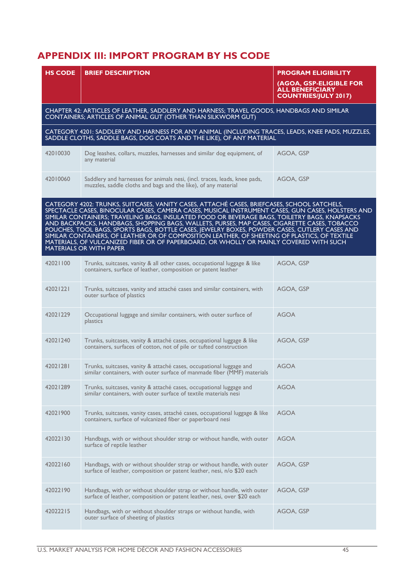# <span id="page-44-0"></span>**APPENDIX III: IMPORT PROGRAM BY HS CODE**

| <b>HS CODE</b> | <b>BRIEF DESCRIPTION</b>                                                                                                                                                                                                                                                                                                                                                                                                                                                                                                                                                                                                                                                                                                 | <b>PROGRAM ELIGIBILITY</b>                                                       |
|----------------|--------------------------------------------------------------------------------------------------------------------------------------------------------------------------------------------------------------------------------------------------------------------------------------------------------------------------------------------------------------------------------------------------------------------------------------------------------------------------------------------------------------------------------------------------------------------------------------------------------------------------------------------------------------------------------------------------------------------------|----------------------------------------------------------------------------------|
|                |                                                                                                                                                                                                                                                                                                                                                                                                                                                                                                                                                                                                                                                                                                                          | (AGOA, GSP-ELIGIBLE FOR<br><b>ALL BENEFICIARY</b><br><b>COUNTRIES/JULY 2017)</b> |
|                | CHAPTER 42: ARTICLES OF LEATHER, SADDLERY AND HARNESS; TRAVEL GOODS, HANDBAGS AND SIMILAR<br>CONTAINERS; ARTICLES OF ANIMAL GUT (OTHER THAN SILKWORM GUT)                                                                                                                                                                                                                                                                                                                                                                                                                                                                                                                                                                |                                                                                  |
|                | CATEGORY 4201: SADDLERY AND HARNESS FOR ANY ANIMAL (INCLUDING TRACES, LEADS, KNEE PADS, MUZZLES,<br>SADDLE CLOTHS, SADDLE BAGS, DOG COATS AND THE LIKE), OF ANY MATERIAL                                                                                                                                                                                                                                                                                                                                                                                                                                                                                                                                                 |                                                                                  |
| 42010030       | Dog leashes, collars, muzzles, harnesses and similar dog equipment, of<br>any material                                                                                                                                                                                                                                                                                                                                                                                                                                                                                                                                                                                                                                   | AGOA, GSP                                                                        |
| 42010060       | Saddlery and harnesses for animals nesi, (incl. traces, leads, knee pads,<br>muzzles, saddle cloths and bags and the like), of any material                                                                                                                                                                                                                                                                                                                                                                                                                                                                                                                                                                              | AGOA, GSP                                                                        |
|                | CATEGORY 4202: TRUNKS, SUITCASES, VANITY CASES, ATTACHÉ CASES, BRIEFCASES, SCHOOL SATCHELS,<br>SPECTACLE CASES, BINOCULAR CASES, CAMERA CASES, MUSICAL INSTRUMENT CASES, GUN CASES, HOLSTERS AND<br>SIMILAR CONTAINERS; TRAVELING BAGS, INSULATED FOOD OR BEVERAGE BAGS, TOILETRY BAGS, KNAPSACKS<br>AND BACKPACKS, HANDBAGS, SHOPPING BAGS, WALLETS, PURSES, MAP CASES, CIGARETTE CASES, TOBACCO<br>POUCHES, TOOL BAGS, SPORTS BAGS, BOTTLE CASES, JEWELRY BOXES, POWDER CASES, CUTLERY CASES AND<br>SIMILAR CONTAINERS, OF LEATHER OR OF COMPOSITION LEATHER, OF SHEETING OF PLASTICS, OF TEXTILE<br>MATERIALS, OF VULCANIZED FIBER OR OF PAPERBOARD, OR WHOLLY OR MAINLY COVERED WITH SUCH<br>MATERIALS OR WITH PAPER |                                                                                  |
| 42021100       | Trunks, suitcases, vanity & all other cases, occupational luggage & like<br>containers, surface of leather, composition or patent leather                                                                                                                                                                                                                                                                                                                                                                                                                                                                                                                                                                                | AGOA, GSP                                                                        |
| 42021221       | Trunks, suitcases, vanity and attaché cases and similar containers, with<br>outer surface of plastics                                                                                                                                                                                                                                                                                                                                                                                                                                                                                                                                                                                                                    | AGOA, GSP                                                                        |
| 42021229       | Occupational luggage and similar containers, with outer surface of<br>plastics                                                                                                                                                                                                                                                                                                                                                                                                                                                                                                                                                                                                                                           | <b>AGOA</b>                                                                      |
| 42021240       | Trunks, suitcases, vanity & attaché cases, occupational luggage & like<br>containers, surfaces of cotton, not of pile or tufted construction                                                                                                                                                                                                                                                                                                                                                                                                                                                                                                                                                                             | AGOA, GSP                                                                        |
| 42021281       | Trunks, suitcases, vanity & attaché cases, occupational luggage and<br>similar containers, with outer surface of manmade fiber (MMF) materials                                                                                                                                                                                                                                                                                                                                                                                                                                                                                                                                                                           | <b>AGOA</b>                                                                      |
| 42021289       | Trunks, suitcases, vanity & attaché cases, occupational luggage and<br>similar containers, with outer surface of textile materials nesi                                                                                                                                                                                                                                                                                                                                                                                                                                                                                                                                                                                  | <b>AGOA</b>                                                                      |
| 42021900       | Trunks, suitcases, vanity cases, attaché cases, occupational luggage & like<br>containers, surface of vulcanized fiber or paperboard nesi                                                                                                                                                                                                                                                                                                                                                                                                                                                                                                                                                                                | <b>AGOA</b>                                                                      |
| 42022130       | Handbags, with or without shoulder strap or without handle, with outer<br>surface of reptile leather                                                                                                                                                                                                                                                                                                                                                                                                                                                                                                                                                                                                                     | <b>AGOA</b>                                                                      |
| 42022160       | Handbags, with or without shoulder strap or without handle, with outer<br>surface of leather, composition or patent leather, nesi, n/o \$20 each                                                                                                                                                                                                                                                                                                                                                                                                                                                                                                                                                                         | AGOA, GSP                                                                        |
| 42022190       | Handbags, with or without shoulder strap or without handle, with outer<br>surface of leather, composition or patent leather, nesi, over \$20 each                                                                                                                                                                                                                                                                                                                                                                                                                                                                                                                                                                        | AGOA, GSP                                                                        |
| 42022215       | Handbags, with or without shoulder straps or without handle, with<br>outer surface of sheeting of plastics                                                                                                                                                                                                                                                                                                                                                                                                                                                                                                                                                                                                               | AGOA, GSP                                                                        |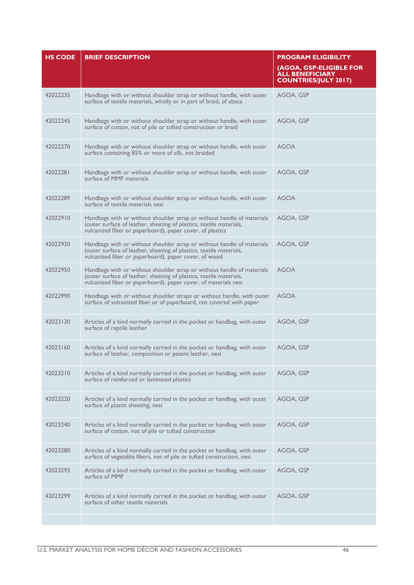| <b>HS CODE</b> | <b>BRIEF DESCRIPTION</b>                                                                                                                                                                                         | <b>PROGRAM ELIGIBILITY</b><br>(AGOA, GSP-ELIGIBLE FOR<br><b>ALL BENEFICIARY</b><br><b>COUNTRIES/JULY 2017)</b> |
|----------------|------------------------------------------------------------------------------------------------------------------------------------------------------------------------------------------------------------------|----------------------------------------------------------------------------------------------------------------|
| 42022235       | Handbags with or without shoulder strap or without handle, with outer<br>surface of textile materials, wholly or in part of braid, of abaca                                                                      | AGOA, GSP                                                                                                      |
| 42022245       | Handbags with or without shoulder strap or without handle, with outer<br>surface of cotton, not of pile or tufted construction or braid                                                                          | AGOA, GSP                                                                                                      |
| 42022270       | Handbags with or without shoulder strap or without handle, with outer<br>surface containing 85% or more of silk, not braided                                                                                     | <b>AGOA</b>                                                                                                    |
| 42022281       | Handbags with or without shoulder strap or without handle, with outer<br>surface of MMF materials                                                                                                                | AGOA, GSP                                                                                                      |
| 42022289       | Handbags with or without shoulder strap or without handle, with outer<br>surface of textile materials nesi                                                                                                       | AGOA                                                                                                           |
| 42022910       | Handbags with or without shoulder strap or without handle of materials<br>(outer surface of leather, sheeting of plastics, textile materials,<br>vulcanized fiber or paperboard), paper cover, of plastics       | AGOA, GSP                                                                                                      |
| 42022920       | Handbags with or without shoulder strap or without handle of materials<br>(outer surface of leather, sheeting of plastics, textile materials,<br>vulcanized fiber or paperboard), paper cover, of wood           | AGOA, GSP                                                                                                      |
| 42022950       | Handbags with or without shoulder strap or without handle of materials<br>(outer surface of leather, sheeting of plastics, textile materials,<br>vulcanized fiber or paperboard), paper cover, of materials nesi | <b>AGOA</b>                                                                                                    |
| 42022990       | Handbags with or without shoulder straps or without handle, with outer<br>surface of vulcanized fiber or of paperboard, not covered with paper                                                                   | <b>AGOA</b>                                                                                                    |
| 42023130       | Articles of a kind normally carried in the pocket or handbag, with outer<br>surface of reptile leather                                                                                                           | AGOA, GSP                                                                                                      |
| 42023160       | Articles of a kind normally carried in the pocket or handbag, with outer<br>surface of leather, composition or patent leather, nesi                                                                              | AGOA, GSP                                                                                                      |
| 42023210       | Articles of a kind normally carried in the pocket or handbag, with outer<br>surface of reinforced or laminated plastics                                                                                          | AGOA, GSP                                                                                                      |
| 42023220       | Articles of a kind normally carried in the pocket or handbag, with outer<br>surface of plastic sheeting, nesi                                                                                                    | AGOA, GSP                                                                                                      |
| 42023240       | Articles of a kind normally carried in the pocket or handbag, with outer<br>surface of cotton, not of pile or tufted construction                                                                                | AGOA, GSP                                                                                                      |
| 42023280       | Articles of a kind normally carried in the pocket or handbag, with outer<br>surface of vegetable fibers, not of pile or tufted construction, nesi                                                                | AGOA, GSP                                                                                                      |
| 42023293       | Articles of a kind normally carried in the pocket or handbag, with outer<br>surface of MMF                                                                                                                       | AGOA, GSP                                                                                                      |
| 42023299       | Articles of a kind normally carried in the pocket or handbag, with outer<br>surface of other textile materials                                                                                                   | AGOA, GSP                                                                                                      |
|                |                                                                                                                                                                                                                  |                                                                                                                |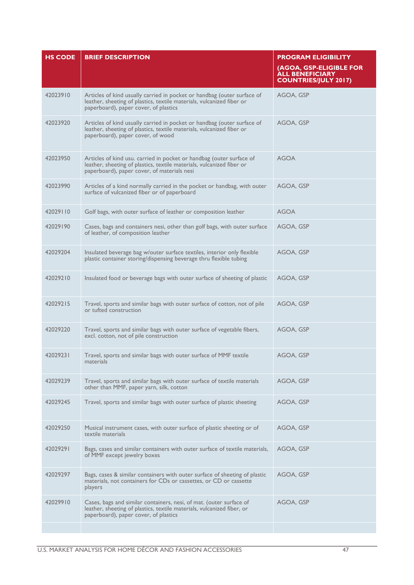| <b>HS CODE</b> | <b>BRIEF DESCRIPTION</b>                                                                                                                                                                     | <b>PROGRAM ELIGIBILITY</b><br>(AGOA, GSP-ELIGIBLE FOR<br><b>ALL BENEFICIARY</b><br><b>COUNTRIES/JULY 2017)</b> |
|----------------|----------------------------------------------------------------------------------------------------------------------------------------------------------------------------------------------|----------------------------------------------------------------------------------------------------------------|
| 42023910       | Articles of kind usually carried in pocket or handbag (outer surface of<br>leather, sheeting of plastics, textile materials, vulcanized fiber or<br>paperboard), paper cover, of plastics    | AGOA, GSP                                                                                                      |
| 42023920       | Articles of kind usually carried in pocket or handbag (outer surface of<br>leather, sheeting of plastics, textile materials, vulcanized fiber or<br>paperboard), paper cover, of wood        | AGOA, GSP                                                                                                      |
| 42023950       | Articles of kind usu. carried in pocket or handbag (outer surface of<br>leather, sheeting of plastics, textile materials, vulcanized fiber or<br>paperboard), paper cover, of materials nesi | <b>AGOA</b>                                                                                                    |
| 42023990       | Articles of a kind normally carried in the pocket or handbag, with outer<br>surface of vulcanized fiber or of paperboard                                                                     | AGOA, GSP                                                                                                      |
| 42029110       | Golf bags, with outer surface of leather or composition leather                                                                                                                              | <b>AGOA</b>                                                                                                    |
| 42029190       | Cases, bags and containers nesi, other than golf bags, with outer surface<br>of leather, of composition leather                                                                              | AGOA, GSP                                                                                                      |
| 42029204       | Insulated beverage bag w/outer surface textiles, interior only flexible<br>plastic container storing/dispensing beverage thru flexible tubing                                                | AGOA, GSP                                                                                                      |
| 42029210       | Insulated food or beverage bags with outer surface of sheeting of plastic                                                                                                                    | AGOA, GSP                                                                                                      |
| 42029215       | Travel, sports and similar bags with outer surface of cotton, not of pile<br>or tufted construction                                                                                          | AGOA, GSP                                                                                                      |
| 42029220       | Travel, sports and similar bags with outer surface of vegetable fibers,<br>excl. cotton, not of pile construction                                                                            | AGOA, GSP                                                                                                      |
| 42029231       | Travel, sports and similar bags with outer surface of MMF textile<br>materials                                                                                                               | AGOA, GSP                                                                                                      |
| 42029239       | Travel, sports and similar bags with outer surface of textile materials<br>other than MMF, paper yarn, silk, cotton                                                                          | AGOA, GSP                                                                                                      |
| 42029245       | Travel, sports and similar bags with outer surface of plastic sheeting                                                                                                                       | AGOA, GSP                                                                                                      |
| 42029250       | Musical instrument cases, with outer surface of plastic sheeting or of<br>textile materials                                                                                                  | AGOA, GSP                                                                                                      |
| 42029291       | Bags, cases and similar containers with outer surface of textile materials,<br>of MMF except jewelry boxes                                                                                   | AGOA, GSP                                                                                                      |
| 42029297       | Bags, cases & similar containers with outer surface of sheeting of plastic<br>materials, not containers for CDs or cassettes, or CD or cassette<br>players                                   | AGOA, GSP                                                                                                      |
| 42029910       | Cases, bags and similar containers, nesi, of mat. (outer surface of<br>leather, sheeting of plastics, textile materials, vulcanized fiber, or<br>paperboard), paper cover, of plastics       | AGOA, GSP                                                                                                      |
|                |                                                                                                                                                                                              |                                                                                                                |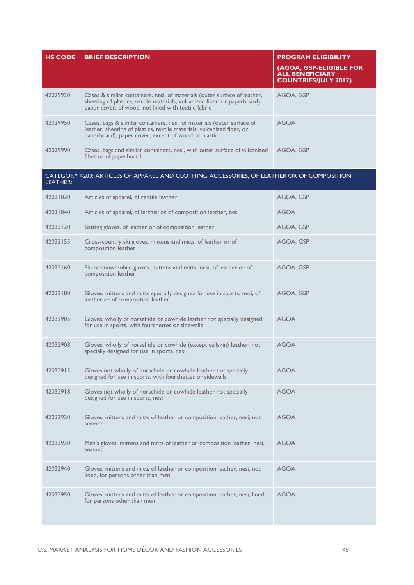| <b>HS CODE</b> | <b>BRIEF DESCRIPTION</b>                                                                                                                                                                                       | <b>PROGRAM ELIGIBILITY</b>                                                       |
|----------------|----------------------------------------------------------------------------------------------------------------------------------------------------------------------------------------------------------------|----------------------------------------------------------------------------------|
|                |                                                                                                                                                                                                                | (AGOA, GSP-ELIGIBLE FOR<br><b>ALL BENEFICIARY</b><br><b>COUNTRIES/JULY 2017)</b> |
| 42029920       | Cases & similar containers, nesi, of materials (outer surface of leather,<br>sheeting of plastics, textile materials, vulcanized fiber, or paperboard),<br>paper cover, of wood, not lined with textile fabric | AGOA, GSP                                                                        |
| 42029950       | Cases, bags & similar containers, nesi, of materials (outer surface of<br>leather, sheeting of plastics, textile materials, vulcanized fiber, or<br>paperboard), paper cover, except of wood or plastic        | <b>AGOA</b>                                                                      |
| 42029990       | Cases, bags and similar containers, nesi, with outer surface of vulcanized<br>fiber or of paperboard                                                                                                           | AGOA, GSP                                                                        |
| LEATHER:       | CATEGORY 4203: ARTICLES OF APPAREL AND CLOTHING ACCESSORIES, OF LEATHER OR OF COMPOSITION                                                                                                                      |                                                                                  |
| 42031020       | Articles of apparel, of reptile leather                                                                                                                                                                        | AGOA, GSP                                                                        |
| 42031040       | Articles of apparel, of leather or of composition leather, nesi                                                                                                                                                | <b>AGOA</b>                                                                      |
| 42032120       | Batting gloves, of leather or of composition leather                                                                                                                                                           | AGOA, GSP                                                                        |
| 42032155       | Cross-country ski gloves, mittens and mitts, of leather or of<br>composition leather                                                                                                                           | AGOA, GSP                                                                        |
| 42032160       | Ski or snowmobile gloves, mittens and mitts, nesi, of leather or of<br>composition leather                                                                                                                     | AGOA, GSP                                                                        |
| 42032180       | Gloves, mittens and mitts specially designed for use in sports, nesi, of<br>leather or of composition leather                                                                                                  | AGOA, GSP                                                                        |
| 42032905       | Gloves, wholly of horsehide or cowhide leather not specially designed<br>for use in sports, with fourchettes or sidewalls                                                                                      | <b>AGOA</b>                                                                      |
| 42032908       | Gloves, wholly of horsehide or cowhide (except calfskin) leather, not<br>specially designed for use in sports, nesi                                                                                            | <b>AGOA</b>                                                                      |
| 42032915       | Gloves not wholly of horsehide or cowhide leather not specially<br>designed for use in sports, with fourchettes or sidewalls                                                                                   | <b>AGOA</b>                                                                      |
| 42032918       | Gloves not wholly of horsehide or cowhide leather not specially<br>designed for use in sports, nesi                                                                                                            | <b>AGOA</b>                                                                      |
| 42032920       | Gloves, mittens and mitts of leather or composition leather, nesi, not<br>seamed                                                                                                                               | <b>AGOA</b>                                                                      |
| 42032930       | Men's gloves, mittens and mitts of leather or composition leather, nesi,<br>seamed                                                                                                                             | <b>AGOA</b>                                                                      |
| 42032940       | Gloves, mittens and mitts of leather or composition leather, nesi, not<br>lined, for persons other than men                                                                                                    | <b>AGOA</b>                                                                      |
| 42032950       | Gloves, mittens and mitts of leather or composition leather, nesi, lined,<br>for persons other than men                                                                                                        | <b>AGOA</b>                                                                      |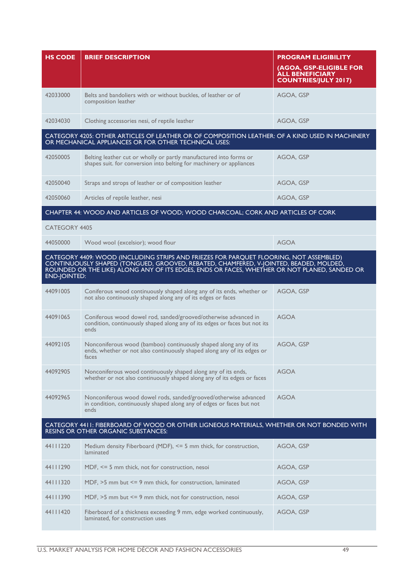| <b>HS CODE</b>       | <b>BRIEF DESCRIPTION</b>                                                                                                                                                                                                                                                        | <b>PROGRAM ELIGIBILITY</b><br>(AGOA, GSP-ELIGIBLE FOR<br><b>ALL BENEFICIARY</b><br><b>COUNTRIES/JULY 2017)</b> |
|----------------------|---------------------------------------------------------------------------------------------------------------------------------------------------------------------------------------------------------------------------------------------------------------------------------|----------------------------------------------------------------------------------------------------------------|
| 42033000             | Belts and bandoliers with or without buckles, of leather or of<br>composition leather                                                                                                                                                                                           | AGOA, GSP                                                                                                      |
| 42034030             | Clothing accessories nesi, of reptile leather                                                                                                                                                                                                                                   | AGOA, GSP                                                                                                      |
|                      | CATEGORY 4205: OTHER ARTICLES OF LEATHER OR OF COMPOSITION LEATHER: OF A KIND USED IN MACHINERY<br>OR MECHANICAL APPLIANCES OR FOR OTHER TECHNICAL USES:                                                                                                                        |                                                                                                                |
| 42050005             | Belting leather cut or wholly or partly manufactured into forms or<br>shapes suit. for conversion into belting for machinery or appliances                                                                                                                                      | AGOA, GSP                                                                                                      |
| 42050040             | Straps and strops of leather or of composition leather                                                                                                                                                                                                                          | AGOA, GSP                                                                                                      |
| 42050060             | Articles of reptile leather, nesi                                                                                                                                                                                                                                               | AGOA, GSP                                                                                                      |
|                      | CHAPTER 44: WOOD AND ARTICLES OF WOOD; WOOD CHARCOAL; CORK AND ARTICLES OF CORK                                                                                                                                                                                                 |                                                                                                                |
| <b>CATEGORY 4405</b> |                                                                                                                                                                                                                                                                                 |                                                                                                                |
| 44050000             | Wood wool (excelsior); wood flour                                                                                                                                                                                                                                               | <b>AGOA</b>                                                                                                    |
| <b>END-JOINTED:</b>  | CATEGORY 4409: WOOD (INCLUDING STRIPS AND FRIEZES FOR PARQUET FLOORING, NOT ASSEMBLED)<br>CONTINUOUSLY SHAPED (TONGUED, GROOVED, REBATED, CHAMFERED, V-JOINTED, BEADED, MOLDED,<br>ROUNDED OR THE LIKE) ALONG ANY OF ITS EDGES, ENDS OR FACES, WHETHER OR NOT PLANED, SANDED OR |                                                                                                                |
| 44091005             | Coniferous wood continuously shaped along any of its ends, whether or<br>not also continuously shaped along any of its edges or faces                                                                                                                                           | AGOA, GSP                                                                                                      |
| 44091065             | Coniferous wood dowel rod, sanded/grooved/otherwise advanced in<br>condition, continuously shaped along any of its edges or faces but not its<br>ends                                                                                                                           | <b>AGOA</b>                                                                                                    |
| 44092105             | Nonconiferous wood (bamboo) continuously shaped along any of its<br>ends, whether or not also continuously shaped along any of its edges or<br>faces                                                                                                                            | AGOA, GSP                                                                                                      |
| 44092905             | Nonconiferous wood continuously shaped along any of its ends,<br>whether or not also continuously shaped along any of its edges or faces                                                                                                                                        | <b>AGOA</b>                                                                                                    |
| 44092965             | Nonconiferous wood dowel rods, sanded/grooved/otherwise advanced<br>in condition, continuously shaped along any of edges or faces but not<br>ends                                                                                                                               | <b>AGOA</b>                                                                                                    |
|                      | CATEGORY 4411: FIBERBOARD OF WOOD OR OTHER LIGNEOUS MATERIALS, WHETHER OR NOT BONDED WITH<br><b>RESINS OR OTHER ORGANIC SUBSTANCES:</b>                                                                                                                                         |                                                                                                                |
| 44111220             | Medium density Fiberboard (MDF), <= 5 mm thick, for construction,<br>laminated                                                                                                                                                                                                  | AGOA, GSP                                                                                                      |
| 44111290             | MDF, <= 5 mm thick, not for construction, nesoi                                                                                                                                                                                                                                 | AGOA, GSP                                                                                                      |
| 44111320             | MDF, >5 mm but <= 9 mm thick, for construction, laminated                                                                                                                                                                                                                       | AGOA, GSP                                                                                                      |
| 44111390             | MDF, $>5$ mm but $\leq$ 9 mm thick, not for construction, nesoi                                                                                                                                                                                                                 | AGOA, GSP                                                                                                      |
| 44111420             | Fiberboard of a thickness exceeding 9 mm, edge worked continuously,<br>laminated, for construction uses                                                                                                                                                                         | AGOA, GSP                                                                                                      |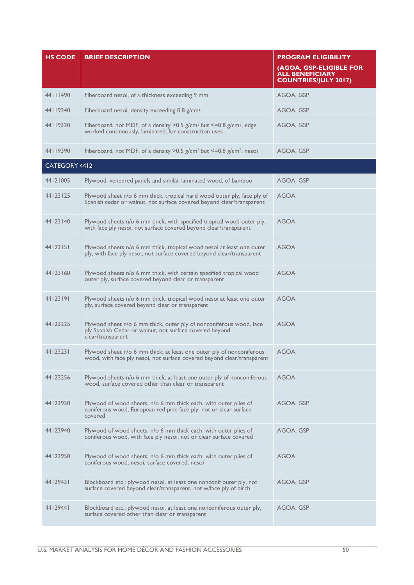| <b>HS CODE</b> | <b>BRIEF DESCRIPTION</b>                                                                                                                                    | <b>PROGRAM ELIGIBILITY</b><br>(AGOA, GSP-ELIGIBLE FOR<br><b>ALL BENEFICIARY</b><br><b>COUNTRIES/JULY 2017)</b> |
|----------------|-------------------------------------------------------------------------------------------------------------------------------------------------------------|----------------------------------------------------------------------------------------------------------------|
| 44111490       | Fiberboard nesoi, of a thickness exceeding 9 mm                                                                                                             | AGOA, GSP                                                                                                      |
| 44119240       | Fiberboard nesoi, density exceeding $0.8$ g/cm <sup>3</sup>                                                                                                 | AGOA, GSP                                                                                                      |
| 44119320       | Fiberboard, not MDF, of a density $>0.5$ g/cm <sup>3</sup> but $\leq$ 0.8 g/cm <sup>3</sup> , edge<br>worked continuously, laminated, for construction uses | AGOA, GSP                                                                                                      |
| 44119390       | Fiberboard, not MDF, of a density > 0.5 $g/cm^3$ but <= 0.8 $g/cm^3$ , nesoi                                                                                | AGOA, GSP                                                                                                      |
| CATEGORY 4412  |                                                                                                                                                             |                                                                                                                |
| 44121005       | Plywood, veneered panels and similar laminated wood, of bamboo                                                                                              | AGOA, GSP                                                                                                      |
| 44123125       | Plywood sheet n/o 6 mm thick, tropical hard wood outer ply, face ply of<br>Spanish cedar or walnut, not surface covered beyond clear/transparent            | <b>AGOA</b>                                                                                                    |
| 44123140       | Plywood sheets n/o 6 mm thick, with specified tropical wood outer ply,<br>with face ply nesoi, not surface covered beyond clear/transparent                 | <b>AGOA</b>                                                                                                    |
| 44123151       | Plywood sheets n/o 6 mm thick, tropical wood nesoi at least one outer<br>ply, with face ply nesoi, not surface covered beyond clear/transparent             | <b>AGOA</b>                                                                                                    |
| 44123160       | Plywood sheets n/o 6 mm thick, with certain specified tropical wood<br>outer ply, surface covered beyond clear or transparent                               | <b>AGOA</b>                                                                                                    |
| 44123191       | Plywood sheets n/o 6 mm thick, tropical wood nesoi at least one outer<br>ply, surface covered beyond clear or transparent                                   | <b>AGOA</b>                                                                                                    |
| 44123225       | Plywood sheet n/o 6 mm thick, outer ply of nonconiferous wood, face<br>ply Spanish Cedar or walnut, not surface covered beyond<br>clear/transparent         | AGOA                                                                                                           |
| 44123231       | Plywood sheet n/o 6 mm thick, at least one outer ply of nonconiferous<br>wood, with face ply nesoi, not surface covered beyond clear/transparent            | <b>AGOA</b>                                                                                                    |
| 44123256       | Plywood sheets n/o 6 mm thick, at least one outer ply of nonconiferous<br>wood, surface covered other than clear or transparent                             | <b>AGOA</b>                                                                                                    |
| 44123930       | Plywood of wood sheets, n/o 6 mm thick each, with outer plies of<br>coniferous wood, European red pine face ply, not or clear surface<br>covered            | AGOA, GSP                                                                                                      |
| 44123940       | Plywood of wood sheets, n/o 6 mm thick each, with outer plies of<br>coniferous wood, with face ply nesoi, not or clear surface covered                      | AGOA, GSP                                                                                                      |
| 44123950       | Plywood of wood sheets, n/o 6 mm thick each, with outer plies of<br>coniferous wood, nesoi, surface covered, nesoi                                          | <b>AGOA</b>                                                                                                    |
| 44129431       | Blockboard etc.: plywood nesoi, at least one nonconif outer ply, not<br>surface covered beyond clear/transparent, not w/face ply of birch                   | AGOA, GSP                                                                                                      |
| 44129441       | Blockboard etc.: plywood nesoi, at least one nonconiferous outer ply,<br>surface covered other than clear or transparent                                    | AGOA, GSP                                                                                                      |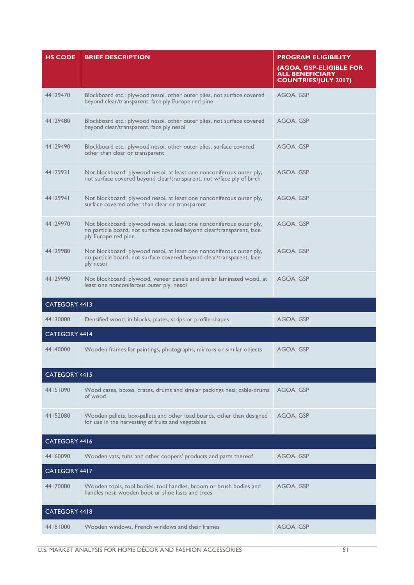| <b>HS CODE</b>       | <b>BRIEF DESCRIPTION</b>                                                                                                                                             | <b>PROGRAM ELIGIBILITY</b><br>(AGOA, GSP-ELIGIBLE FOR<br><b>ALL BENEFICIARY</b><br><b>COUNTRIES/JULY 2017)</b> |
|----------------------|----------------------------------------------------------------------------------------------------------------------------------------------------------------------|----------------------------------------------------------------------------------------------------------------|
| 44129470             | Blockboard etc.: plywood nesoi, other outer plies, not surface covered<br>beyond clear/transparent, face ply Europe red pine                                         | AGOA, GSP                                                                                                      |
| 44129480             | Blockboard etc.: plywood nesoi, other outer plies, not surface covered<br>beyond clear/transparent, face ply nesoi                                                   | AGOA, GSP                                                                                                      |
| 44129490             | Blockboard etc.: plywood nesoi, other outer plies, surface covered<br>other than clear or transparent                                                                | AGOA, GSP                                                                                                      |
| 44129931             | Not blockboard: plywood nesoi, at least one nonconiferous outer ply,<br>not surface covered beyond clear/transparent, not w/face ply of birch                        | AGOA, GSP                                                                                                      |
| 44129941             | Not blockboard: plywood nesoi, at least one nonconiferous outer ply,<br>surface covered other than clear or transparent                                              | AGOA, GSP                                                                                                      |
| 44129970             | Not blockboard: plywood nesoi, at least one nonconiferous outer ply,<br>no particle board, not surface covered beyond clear/transparent, face<br>ply Europe red pine | AGOA, GSP                                                                                                      |
| 44129980             | Not blockboard: plywood nesoi, at least one nonconiferous outer ply,<br>no particle board, not surface covered beyond clear/transparent, face<br>ply nesoi           | AGOA, GSP                                                                                                      |
| 44129990             | Not blockboard: plywood, veneer panels and similar laminated wood, at<br>least one nonconiferous outer ply, nesoi                                                    | AGOA, GSP                                                                                                      |
| CATEGORY 4413        |                                                                                                                                                                      |                                                                                                                |
| 44130000             | Densified wood, in blocks, plates, strips or profile shapes                                                                                                          | AGOA, GSP                                                                                                      |
| CATEGORY 4414        |                                                                                                                                                                      |                                                                                                                |
| 44140000             | Wooden frames for paintings, photographs, mirrors or similar objects                                                                                                 | AGOA, GSP                                                                                                      |
| CATEGORY 4415        |                                                                                                                                                                      |                                                                                                                |
| 44151090             | Wood cases, boxes, crates, drums and similar packings nesi; cable-drums<br>of wood                                                                                   | AGOA, GSP                                                                                                      |
| 44152080             | Wooden pallets, box-pallets and other load boards, other than designed<br>for use in the harvesting of fruits and vegetables                                         | AGOA, GSP                                                                                                      |
| CATEGORY 4416        |                                                                                                                                                                      |                                                                                                                |
| 44160090             | Wooden vats, tubs and other coopers' products and parts thereof                                                                                                      | AGOA, GSP                                                                                                      |
| CATEGORY 4417        |                                                                                                                                                                      |                                                                                                                |
| 44170080             | Wooden tools, tool bodies, tool handles, broom or brush bodies and<br>handles nesi: wooden boot or shoe lasts and trees                                              | AGOA, GSP                                                                                                      |
| <b>CATEGORY 4418</b> |                                                                                                                                                                      |                                                                                                                |
| 44181000             | Wooden windows, French windows and their frames                                                                                                                      | AGOA, GSP                                                                                                      |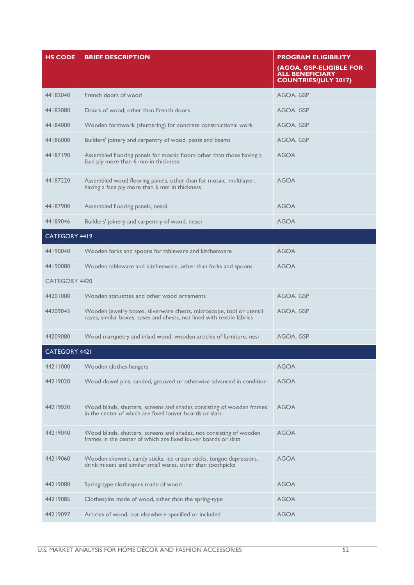| <b>HS CODE</b>       | <b>BRIEF DESCRIPTION</b>                                                                                                                       | <b>PROGRAM ELIGIBILITY</b><br>(AGOA, GSP-ELIGIBLE FOR<br><b>ALL BENEFICIARY</b><br><b>COUNTRIES/JULY 2017)</b> |
|----------------------|------------------------------------------------------------------------------------------------------------------------------------------------|----------------------------------------------------------------------------------------------------------------|
| 44182040             | French doors of wood                                                                                                                           | AGOA, GSP                                                                                                      |
| 44182080             | Doors of wood, other than French doors                                                                                                         | AGOA, GSP                                                                                                      |
| 44184000             | Wooden formwork (shuttering) for concrete constructional work                                                                                  | AGOA, GSP                                                                                                      |
| 44186000             | Builders' joinery and carpentry of wood, posts and beams                                                                                       | AGOA, GSP                                                                                                      |
| 44187190             | Assembled flooring panels for mosaic floors other than those having a<br>face ply more than 6 mm in thickness                                  | <b>AGOA</b>                                                                                                    |
| 44187220             | Assembled wood flooring panels, other than for mosaic, multilayer,<br>having a face ply more than 6 mm in thickness                            | <b>AGOA</b>                                                                                                    |
| 44187900             | Assembled flooring panels, nesoi                                                                                                               | <b>AGOA</b>                                                                                                    |
| 44189046             | Builders' joinery and carpentry of wood, nesoi                                                                                                 | <b>AGOA</b>                                                                                                    |
| CATEGORY 4419        |                                                                                                                                                |                                                                                                                |
| 44190040             | Wooden forks and spoons for tableware and kitchenware                                                                                          | <b>AGOA</b>                                                                                                    |
| 44190080             | Wooden tableware and kitchenware, other than forks and spoons                                                                                  | <b>AGOA</b>                                                                                                    |
| <b>CATEGORY 4420</b> |                                                                                                                                                |                                                                                                                |
| 44201000             | Wooden statuettes and other wood ornaments                                                                                                     | AGOA, GSP                                                                                                      |
| 44209045             | Wooden jewelry boxes, silverware chests, microscope, tool or utensil<br>cases, similar boxes, cases and chests, not lined with textile fabrics | AGOA, GSP                                                                                                      |
| 44209080             | Wood marquetry and inlaid wood; wooden articles of furniture, nesi                                                                             | AGOA, GSP                                                                                                      |
| CATEGORY 4421        |                                                                                                                                                |                                                                                                                |
| 44211000             | Wooden clothes hangers                                                                                                                         | <b>AGOA</b>                                                                                                    |
| 44219020             | Wood dowel pins, sanded, grooved or otherwise advanced in condition                                                                            | <b>AGOA</b>                                                                                                    |
| 44219030             | Wood blinds, shutters, screens and shades consisting of wooden frames<br>in the center of which are fixed louver boards or slats               | <b>AGOA</b>                                                                                                    |
| 44219040             | Wood blinds, shutters, screens and shades, not consisting of wooden<br>frames in the center of which are fixed louver boards or slats          | <b>AGOA</b>                                                                                                    |
| 44219060             | Wooden skewers, candy sticks, ice cream sticks, tongue depressors,<br>drink mixers and similar small wares, other than toothpicks              | <b>AGOA</b>                                                                                                    |
| 44219080             | Spring-type clothespins made of wood                                                                                                           | <b>AGOA</b>                                                                                                    |
| 44219085             | Clothespins made of wood, other than the spring-type                                                                                           | <b>AGOA</b>                                                                                                    |
| 44219097             | Articles of wood, not elsewhere specified or included                                                                                          | <b>AGOA</b>                                                                                                    |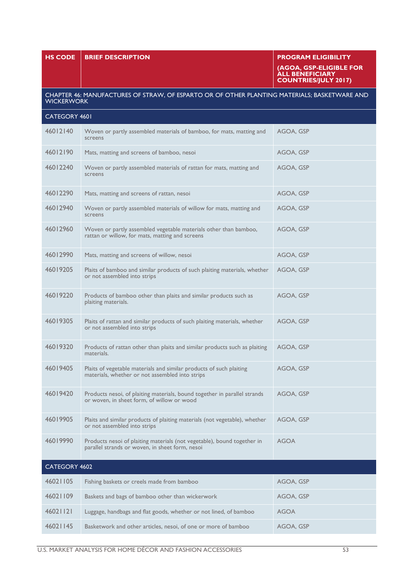|                      |                                                                                                                            | (AGOA, GSP-ELIGIBLE FOR<br><b>ALL BENEFICIARY</b><br><b>COUNTRIES/JULY 2017)</b> |
|----------------------|----------------------------------------------------------------------------------------------------------------------------|----------------------------------------------------------------------------------|
| <b>WICKERWORK</b>    | CHAPTER 46: MANUFACTURES OF STRAW, OF ESPARTO OR OF OTHER PLANTING MATERIALS; BASKETWARE AND                               |                                                                                  |
| <b>CATEGORY 4601</b> |                                                                                                                            |                                                                                  |
| 46012140             | Woven or partly assembled materials of bamboo, for mats, matting and<br>screens                                            | AGOA, GSP                                                                        |
| 46012190             | Mats, matting and screens of bamboo, nesoi                                                                                 | AGOA, GSP                                                                        |
| 46012240             | Woven or partly assembled materials of rattan for mats, matting and<br>screens                                             | AGOA, GSP                                                                        |
| 46012290             | Mats, matting and screens of rattan, nesoi                                                                                 | AGOA, GSP                                                                        |
| 46012940             | Woven or partly assembled materials of willow for mats, matting and<br>screens                                             | AGOA, GSP                                                                        |
| 46012960             | Woven or partly assembled vegetable materials other than bamboo,<br>rattan or willow, for mats, matting and screens        | AGOA, GSP                                                                        |
| 46012990             | Mats, matting and screens of willow, nesoi                                                                                 | AGOA, GSP                                                                        |
| 46019205             | Plaits of bamboo and similar products of such plaiting materials, whether<br>or not assembled into strips                  | AGOA, GSP                                                                        |
| 46019220             | Products of bamboo other than plaits and similar products such as<br>plaiting materials.                                   | AGOA, GSP                                                                        |
| 46019305             | Plaits of rattan and similar products of such plaiting materials, whether<br>or not assembled into strips                  | AGOA, GSP                                                                        |
| 46019320             | Products of rattan other than plaits and similar products such as plaiting<br>materials.                                   | AGOA, GSP                                                                        |
| 46019405             | Plaits of vegetable materials and similar products of such plaiting<br>materials, whether or not assembled into strips     | AGOA, GSP                                                                        |
| 46019420             | Products nesoi, of plaiting materials, bound together in parallel strands<br>or woven, in sheet form, of willow or wood    | AGOA, GSP                                                                        |
| 46019905             | Plaits and similar products of plaiting materials (not vegetable), whether<br>or not assembled into strips                 | AGOA, GSP                                                                        |
| 46019990             | Products nesoi of plaiting materials (not vegetable), bound together in<br>parallel strands or woven, in sheet form, nesoi | <b>AGOA</b>                                                                      |
| CATEGORY 4602        |                                                                                                                            |                                                                                  |
| 46021105             | Fishing baskets or creels made from bamboo                                                                                 | AGOA, GSP                                                                        |
| 46021109             | Baskets and bags of bamboo other than wickerwork                                                                           | AGOA, GSP                                                                        |
| 46021121             | Luggage, handbags and flat goods, whether or not lined, of bamboo                                                          | <b>AGOA</b>                                                                      |
| 46021145             | Basketwork and other articles, nesoi, of one or more of bamboo                                                             | AGOA, GSP                                                                        |

**HS CODE BRIEF DESCRIPTION PROGRAM ELIGIBILITY**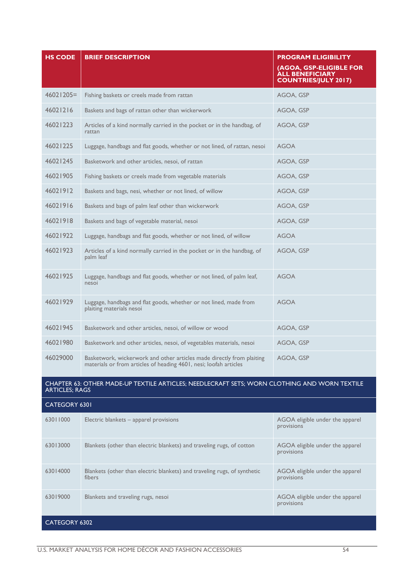| <b>HS CODE</b> | <b>BRIEF DESCRIPTION</b>                                                                                                                   | <b>PROGRAM ELIGIBILITY</b><br>(AGOA, GSP-ELIGIBLE FOR<br><b>ALL BENEFICIARY</b><br><b>COUNTRIES/JULY 2017)</b> |
|----------------|--------------------------------------------------------------------------------------------------------------------------------------------|----------------------------------------------------------------------------------------------------------------|
| $46021205=$    | Fishing baskets or creels made from rattan                                                                                                 | AGOA, GSP                                                                                                      |
| 46021216       | Baskets and bags of rattan other than wickerwork                                                                                           | AGOA, GSP                                                                                                      |
| 46021223       | Articles of a kind normally carried in the pocket or in the handbag, of<br>rattan                                                          | AGOA, GSP                                                                                                      |
| 46021225       | Luggage, handbags and flat goods, whether or not lined, of rattan, nesoi                                                                   | <b>AGOA</b>                                                                                                    |
| 46021245       | Basketwork and other articles, nesoi, of rattan                                                                                            | AGOA, GSP                                                                                                      |
| 46021905       | Fishing baskets or creels made from vegetable materials                                                                                    | AGOA, GSP                                                                                                      |
| 46021912       | Baskets and bags, nesi, whether or not lined, of willow                                                                                    | AGOA, GSP                                                                                                      |
| 46021916       | Baskets and bags of palm leaf other than wickerwork                                                                                        | AGOA, GSP                                                                                                      |
| 46021918       | Baskets and bags of vegetable material, nesoi                                                                                              | AGOA, GSP                                                                                                      |
| 46021922       | Luggage, handbags and flat goods, whether or not lined, of willow                                                                          | <b>AGOA</b>                                                                                                    |
| 46021923       | Articles of a kind normally carried in the pocket or in the handbag, of<br>palm leaf                                                       | AGOA, GSP                                                                                                      |
| 46021925       | Luggage, handbags and flat goods, whether or not lined, of palm leaf,<br>nesoi                                                             | <b>AGOA</b>                                                                                                    |
| 46021929       | Luggage, handbags and flat goods, whether or not lined, made from<br>plaiting materials nesoi                                              | <b>AGOA</b>                                                                                                    |
| 46021945       | Basketwork and other articles, nesoi, of willow or wood                                                                                    | AGOA, GSP                                                                                                      |
| 46021980       | Basketwork and other articles, nesoi, of vegetables materials, nesoi                                                                       | AGOA, GSP                                                                                                      |
| 46029000       | Basketwork, wickerwork and other articles made directly from plaiting<br>materials or from articles of heading 4601, nesi; loofah articles | AGOA, GSP                                                                                                      |

#### CHAPTER 63: OTHER MADE-UP TEXTILE ARTICLES; NEEDLECRAFT SETS; WORN CLOTHING AND WORN TEXTILE ARTICLES; RAGS

| <b>CATEGORY 6301</b> |                                                                                    |                                               |
|----------------------|------------------------------------------------------------------------------------|-----------------------------------------------|
| 63011000             | Electric blankets - apparel provisions                                             | AGOA eligible under the apparel<br>provisions |
| 63013000             | Blankets (other than electric blankets) and traveling rugs, of cotton              | AGOA eligible under the apparel<br>provisions |
| 63014000             | Blankets (other than electric blankets) and traveling rugs, of synthetic<br>fibers | AGOA eligible under the apparel<br>provisions |
| 63019000             | Blankets and traveling rugs, nesoi                                                 | AGOA eligible under the apparel<br>provisions |
| <b>CATEGORY 6302</b> |                                                                                    |                                               |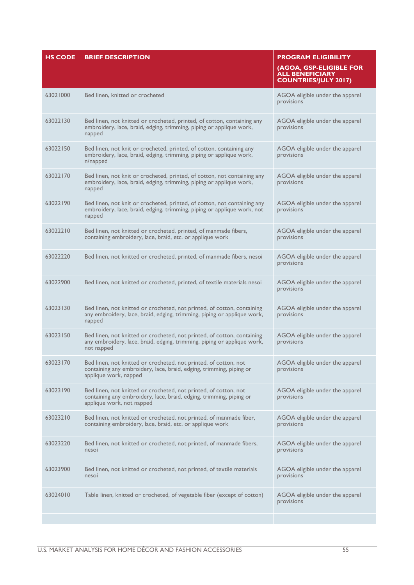| <b>HS CODE</b> | <b>BRIEF DESCRIPTION</b>                                                                                                                                             | <b>PROGRAM ELIGIBILITY</b>                                                       |
|----------------|----------------------------------------------------------------------------------------------------------------------------------------------------------------------|----------------------------------------------------------------------------------|
|                |                                                                                                                                                                      | (AGOA, GSP-ELIGIBLE FOR<br><b>ALL BENEFICIARY</b><br><b>COUNTRIES/JULY 2017)</b> |
| 63021000       | Bed linen, knitted or crocheted                                                                                                                                      | AGOA eligible under the apparel<br>provisions                                    |
| 63022130       | Bed linen, not knitted or crocheted, printed, of cotton, containing any<br>embroidery, lace, braid, edging, trimming, piping or applique work,<br>napped             | AGOA eligible under the apparel<br>provisions                                    |
| 63022150       | Bed linen, not knit or crocheted, printed, of cotton, containing any<br>embroidery, lace, braid, edging, trimming, piping or applique work,<br>n/napped              | AGOA eligible under the apparel<br>provisions                                    |
| 63022170       | Bed linen, not knit or crocheted, printed, of cotton, not containing any<br>embroidery, lace, braid, edging, trimming, piping or applique work,<br>napped            | AGOA eligible under the apparel<br>provisions                                    |
| 63022190       | Bed linen, not knit or crocheted, printed, of cotton, not containing any<br>embroidery, lace, braid, edging, trimming, piping or applique work, not<br>napped        | AGOA eligible under the apparel<br>provisions                                    |
| 63022210       | Bed linen, not knitted or crocheted, printed, of manmade fibers,<br>containing embroidery, lace, braid, etc. or applique work                                        | AGOA eligible under the apparel<br>provisions                                    |
| 63022220       | Bed linen, not knitted or crocheted, printed, of manmade fibers, nesoi                                                                                               | AGOA eligible under the apparel<br>provisions                                    |
| 63022900       | Bed linen, not knitted or crocheted, printed, of textile materials nesoi                                                                                             | AGOA eligible under the apparel<br>provisions                                    |
| 63023130       | Bed linen, not knitted or crocheted, not printed, of cotton, containing<br>any embroidery, lace, braid, edging, trimming, piping or applique work,<br>napped         | AGOA eligible under the apparel<br>provisions                                    |
| 63023150       | Bed linen, not knitted or crocheted, not printed, of cotton, containing<br>any embroidery, lace, braid, edging, trimming, piping or applique work,<br>not napped     | AGOA eligible under the apparel<br>provisions                                    |
| 63023170       | Bed linen, not knitted or crocheted, not printed, of cotton, not<br>containing any embroidery, lace, braid, edging, trimming, piping or<br>applique work, napped     | AGOA eligible under the apparel<br>provisions                                    |
| 63023190       | Bed linen, not knitted or crocheted, not printed, of cotton, not<br>containing any embroidery, lace, braid, edging, trimming, piping or<br>applique work, not napped | AGOA eligible under the apparel<br>provisions                                    |
| 63023210       | Bed linen, not knitted or crocheted, not printed, of manmade fiber,<br>containing embroidery, lace, braid, etc. or applique work                                     | AGOA eligible under the apparel<br>provisions                                    |
| 63023220       | Bed linen, not knitted or crocheted, not printed, of manmade fibers,<br>nesoi                                                                                        | AGOA eligible under the apparel<br>provisions                                    |
| 63023900       | Bed linen, not knitted or crocheted, not printed, of textile materials<br>nesoi                                                                                      | AGOA eligible under the apparel<br>provisions                                    |
| 63024010       | Table linen, knitted or crocheted, of vegetable fiber (except of cotton)                                                                                             | AGOA eligible under the apparel<br>provisions                                    |
|                |                                                                                                                                                                      |                                                                                  |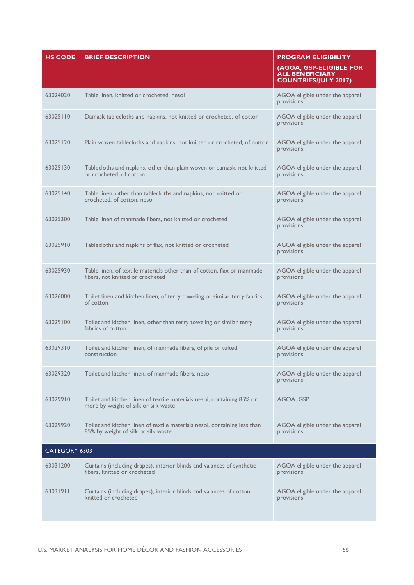| <b>HS CODE</b> | <b>BRIEF DESCRIPTION</b>                                                                                         | <b>PROGRAM ELIGIBILITY</b><br>(AGOA, GSP-ELIGIBLE FOR<br><b>ALL BENEFICIARY</b><br><b>COUNTRIES/JULY 2017)</b> |
|----------------|------------------------------------------------------------------------------------------------------------------|----------------------------------------------------------------------------------------------------------------|
| 63024020       | Table linen, knitted or crocheted, nesoi                                                                         | AGOA eligible under the apparel<br>provisions                                                                  |
| 63025110       | Damask tablecloths and napkins, not knitted or crocheted, of cotton                                              | AGOA eligible under the apparel<br>provisions                                                                  |
| 63025120       | Plain woven tablecloths and napkins, not knitted or crocheted, of cotton                                         | AGOA eligible under the apparel<br>provisions                                                                  |
| 63025130       | Tablecloths and napkins, other than plain woven or damask, not knitted<br>or crocheted, of cotton                | AGOA eligible under the apparel<br>provisions                                                                  |
| 63025140       | Table linen, other than tablecloths and napkins, not knitted or<br>crocheted, of cotton, nesoi                   | AGOA eligible under the apparel<br>provisions                                                                  |
| 63025300       | Table linen of manmade fibers, not knitted or crocheted                                                          | AGOA eligible under the apparel<br>provisions                                                                  |
| 63025910       | Tablecloths and napkins of flax, not knitted or crocheted                                                        | AGOA eligible under the apparel<br>provisions                                                                  |
| 63025930       | Table linen, of textile materials other than of cotton, flax or manmade<br>fibers, not knitted or crocheted      | AGOA eligible under the apparel<br>provisions                                                                  |
| 63026000       | Toilet linen and kitchen linen, of terry toweling or similar terry fabrics,<br>of cotton                         | AGOA eligible under the apparel<br>provisions                                                                  |
| 63029100       | Toilet and kitchen linen, other than terry toweling or similar terry<br>fabrics of cotton                        | AGOA eligible under the apparel<br>provisions                                                                  |
| 63029310       | Toilet and kitchen linen, of manmade fibers, of pile or tufted<br>construction                                   | AGOA eligible under the apparel<br>provisions                                                                  |
| 63029320       | Toilet and kitchen linen, of manmade fibers, nesoi                                                               | AGOA eligible under the apparel<br>provisions                                                                  |
| 63029910       | Toilet and kitchen linen of textile materials nesoi, containing 85% or<br>more by weight of silk or silk waste   | AGOA, GSP                                                                                                      |
| 63029920       | Toilet and kitchen linen of textile materials nesoi, containing less than<br>85% by weight of silk or silk waste | AGOA eligible under the apparel<br>provisions                                                                  |
| CATEGORY 6303  |                                                                                                                  |                                                                                                                |
| 63031200       | Curtains (including drapes), interior blinds and valances of synthetic<br>fibers, knitted or crocheted           | AGOA eligible under the apparel<br>provisions                                                                  |
| 63031911       | Curtains (including drapes), interior blinds and valances of cotton,<br>knitted or crocheted                     | AGOA eligible under the apparel<br>provisions                                                                  |
|                |                                                                                                                  |                                                                                                                |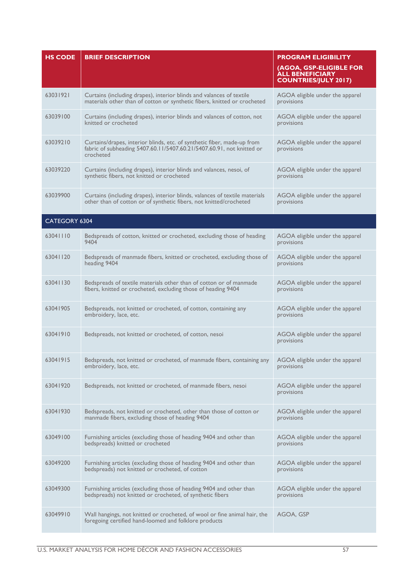| <b>HS CODE</b> | <b>BRIEF DESCRIPTION</b>                                                                                                                                      | <b>PROGRAM ELIGIBILITY</b><br>(AGOA, GSP-ELIGIBLE FOR<br><b>ALL BENEFICIARY</b><br><b>COUNTRIES/JULY 2017)</b> |
|----------------|---------------------------------------------------------------------------------------------------------------------------------------------------------------|----------------------------------------------------------------------------------------------------------------|
| 63031921       | Curtains (including drapes), interior blinds and valances of textile<br>materials other than of cotton or synthetic fibers, knitted or crocheted              | AGOA eligible under the apparel<br>provisions                                                                  |
| 63039100       | Curtains (including drapes), interior blinds and valances of cotton, not<br>knitted or crocheted                                                              | AGOA eligible under the apparel<br>provisions                                                                  |
| 63039210       | Curtains/drapes, interior blinds, etc. of synthetic fiber, made-up from<br>fabric of subheading 5407.60.11/5407.60.21/5407.60.91, not knitted or<br>crocheted | AGOA eligible under the apparel<br>provisions                                                                  |
| 63039220       | Curtains (including drapes), interior blinds and valances, nesoi, of<br>synthetic fibers, not knitted or crocheted                                            | AGOA eligible under the apparel<br>provisions                                                                  |
| 63039900       | Curtains (including drapes), interior blinds, valances of textile materials<br>other than of cotton or of synthetic fibers, not knitted/crocheted             | AGOA eligible under the apparel<br>provisions                                                                  |
| CATEGORY 6304  |                                                                                                                                                               |                                                                                                                |
| 63041110       | Bedspreads of cotton, knitted or crocheted, excluding those of heading<br>9404                                                                                | AGOA eligible under the apparel<br>provisions                                                                  |
| 63041120       | Bedspreads of manmade fibers, knitted or crocheted, excluding those of<br>heading 9404                                                                        | AGOA eligible under the apparel<br>provisions                                                                  |
| 63041130       | Bedspreads of textile materials other than of cotton or of manmade<br>fibers, knitted or crocheted, excluding those of heading 9404                           | AGOA eligible under the apparel<br>provisions                                                                  |
| 63041905       | Bedspreads, not knitted or crocheted, of cotton, containing any<br>embroidery, lace, etc.                                                                     | AGOA eligible under the apparel<br>provisions                                                                  |
| 63041910       | Bedspreads, not knitted or crocheted, of cotton, nesoi                                                                                                        | AGOA eligible under the apparel<br>provisions                                                                  |
| 63041915       | Bedspreads, not knitted or crocheted, of manmade fibers, containing any AGOA eligible under the apparel<br>embroidery, lace, etc.                             | provisions                                                                                                     |
| 63041920       | Bedspreads, not knitted or crocheted, of manmade fibers, nesoi                                                                                                | AGOA eligible under the apparel<br>provisions                                                                  |
| 63041930       | Bedspreads, not knitted or crocheted, other than those of cotton or<br>manmade fibers, excluding those of heading 9404                                        | AGOA eligible under the apparel<br>provisions                                                                  |
| 63049100       | Furnishing articles (excluding those of heading 9404 and other than<br>bedspreads) knitted or crocheted                                                       | AGOA eligible under the apparel<br>provisions                                                                  |
| 63049200       | Furnishing articles (excluding those of heading 9404 and other than<br>bedspreads) not knitted or crocheted, of cotton                                        | AGOA eligible under the apparel<br>provisions                                                                  |
| 63049300       | Furnishing articles (excluding those of heading 9404 and other than<br>bedspreads) not knitted or crocheted, of synthetic fibers                              | AGOA eligible under the apparel<br>provisions                                                                  |
| 63049910       | Wall hangings, not knitted or crocheted, of wool or fine animal hair, the<br>foregoing certified hand-loomed and folklore products                            | AGOA, GSP                                                                                                      |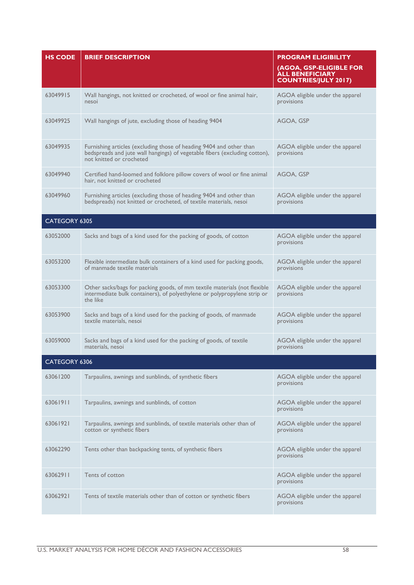| <b>HS CODE</b> | <b>BRIEF DESCRIPTION</b>                                                                                                                                                      | <b>PROGRAM ELIGIBILITY</b>                                                       |
|----------------|-------------------------------------------------------------------------------------------------------------------------------------------------------------------------------|----------------------------------------------------------------------------------|
|                |                                                                                                                                                                               | (AGOA, GSP-ELIGIBLE FOR<br><b>ALL BENEFICIARY</b><br><b>COUNTRIES/JULY 2017)</b> |
| 63049915       | Wall hangings, not knitted or crocheted, of wool or fine animal hair,<br>nesoi                                                                                                | AGOA eligible under the apparel<br>provisions                                    |
| 63049925       | Wall hangings of jute, excluding those of heading 9404                                                                                                                        | AGOA, GSP                                                                        |
| 63049935       | Furnishing articles (excluding those of heading 9404 and other than<br>bedspreads and jute wall hangings) of vegetable fibers (excluding cotton),<br>not knitted or crocheted | AGOA eligible under the apparel<br>provisions                                    |
| 63049940       | Certified hand-loomed and folklore pillow covers of wool or fine animal<br>hair, not knitted or crocheted                                                                     | AGOA, GSP                                                                        |
| 63049960       | Furnishing articles (excluding those of heading 9404 and other than<br>bedspreads) not knitted or crocheted, of textile materials, nesoi                                      | AGOA eligible under the apparel<br>provisions                                    |
| CATEGORY 6305  |                                                                                                                                                                               |                                                                                  |
| 63052000       | Sacks and bags of a kind used for the packing of goods, of cotton                                                                                                             | AGOA eligible under the apparel<br>provisions                                    |
| 63053200       | Flexible intermediate bulk containers of a kind used for packing goods,<br>of manmade textile materials                                                                       | AGOA eligible under the apparel<br>provisions                                    |
| 63053300       | Other sacks/bags for packing goods, of mm textile materials (not flexible<br>intermediate bulk containers), of polyethylene or polypropylene strip or<br>the like             | AGOA eligible under the apparel<br>provisions                                    |
| 63053900       | Sacks and bags of a kind used for the packing of goods, of manmade<br>textile materials, nesoi                                                                                | AGOA eligible under the apparel<br>provisions                                    |
| 63059000       | Sacks and bags of a kind used for the packing of goods, of textile<br>materials, nesoi                                                                                        | AGOA eligible under the apparel<br>provisions                                    |
| CATEGORY 6306  |                                                                                                                                                                               |                                                                                  |
| 63061200       | Tarpaulins, awnings and sunblinds, of synthetic fibers                                                                                                                        | AGOA eligible under the apparel<br>provisions                                    |
| 63061911       | Tarpaulins, awnings and sunblinds, of cotton                                                                                                                                  | AGOA eligible under the apparel<br>provisions                                    |
| 63061921       | Tarpaulins, awnings and sunblinds, of textile materials other than of<br>cotton or synthetic fibers                                                                           | AGOA eligible under the apparel<br>provisions                                    |
| 63062290       | Tents other than backpacking tents, of synthetic fibers                                                                                                                       | AGOA eligible under the apparel<br>provisions                                    |
| 63062911       | Tents of cotton                                                                                                                                                               | AGOA eligible under the apparel<br>provisions                                    |
| 63062921       | Tents of textile materials other than of cotton or synthetic fibers                                                                                                           | AGOA eligible under the apparel<br>provisions                                    |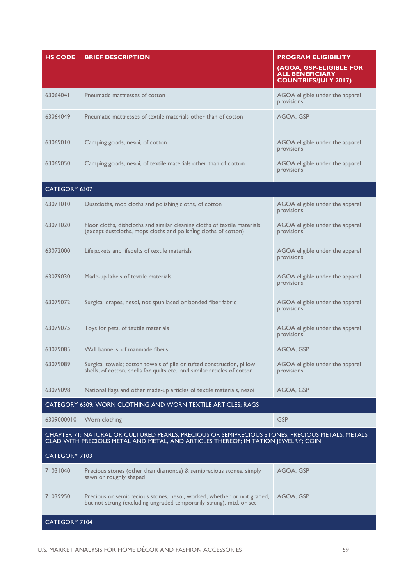| <b>HS CODE</b> | <b>BRIEF DESCRIPTION</b>                                                                                                                                                              | <b>PROGRAM ELIGIBILITY</b><br>(AGOA, GSP-ELIGIBLE FOR<br><b>ALL BENEFICIARY</b><br><b>COUNTRIES/JULY 2017)</b> |
|----------------|---------------------------------------------------------------------------------------------------------------------------------------------------------------------------------------|----------------------------------------------------------------------------------------------------------------|
| 63064041       | Pneumatic mattresses of cotton                                                                                                                                                        | AGOA eligible under the apparel<br>provisions                                                                  |
| 63064049       | Pneumatic mattresses of textile materials other than of cotton                                                                                                                        | AGOA, GSP                                                                                                      |
| 63069010       | Camping goods, nesoi, of cotton                                                                                                                                                       | AGOA eligible under the apparel<br>provisions                                                                  |
| 63069050       | Camping goods, nesoi, of textile materials other than of cotton                                                                                                                       | AGOA eligible under the apparel<br>provisions                                                                  |
| CATEGORY 6307  |                                                                                                                                                                                       |                                                                                                                |
| 63071010       | Dustcloths, mop cloths and polishing cloths, of cotton                                                                                                                                | AGOA eligible under the apparel<br>provisions                                                                  |
| 63071020       | Floor cloths, dishcloths and similar cleaning cloths of textile materials<br>(except dustcloths, mops cloths and polishing cloths of cotton)                                          | AGOA eligible under the apparel<br>provisions                                                                  |
| 63072000       | Lifejackets and lifebelts of textile materials                                                                                                                                        | AGOA eligible under the apparel<br>provisions                                                                  |
| 63079030       | Made-up labels of textile materials                                                                                                                                                   | AGOA eligible under the apparel<br>provisions                                                                  |
| 63079072       | Surgical drapes, nesoi, not spun laced or bonded fiber fabric                                                                                                                         | AGOA eligible under the apparel<br>provisions                                                                  |
| 63079075       | Toys for pets, of textile materials                                                                                                                                                   | AGOA eligible under the apparel<br>provisions                                                                  |
| 63079085       | Wall banners, of manmade fibers                                                                                                                                                       | AGOA, GSP                                                                                                      |
| 63079089       | Surgical towels; cotton towels of pile or tufted construction, pillow<br>shells, of cotton, shells for quilts etc., and similar articles of cotton                                    | AGOA eligible under the apparel<br>provisions                                                                  |
| 63079098       | National flags and other made-up articles of textile materials, nesoi                                                                                                                 | AGOA, GSP                                                                                                      |
|                | CATEGORY 6309: WORN CLOTHING AND WORN TEXTILE ARTICLES; RAGS                                                                                                                          |                                                                                                                |
| 6309000010     | Worn clothing                                                                                                                                                                         | <b>GSP</b>                                                                                                     |
|                | CHAPTER 71: NATURAL OR CULTURED PEARLS, PRECIOUS OR SEMIPRECIOUS STONES, PRECIOUS METALS, METALS<br>CLAD WITH PRECIOUS METAL AND METAL, AND ARTICLES THEREOF; IMITATION JEWELRY; COIN |                                                                                                                |
| CATEGORY 7103  |                                                                                                                                                                                       |                                                                                                                |
| 71031040       | Precious stones (other than diamonds) & semiprecious stones, simply<br>sawn or roughly shaped                                                                                         | AGOA, GSP                                                                                                      |
| 71039950       | Precious or semiprecious stones, nesoi, worked, whether or not graded,<br>but not strung (excluding ungraded temporarily strung), mtd. or set                                         | AGOA, GSP                                                                                                      |
| CATEGORY 7104  |                                                                                                                                                                                       |                                                                                                                |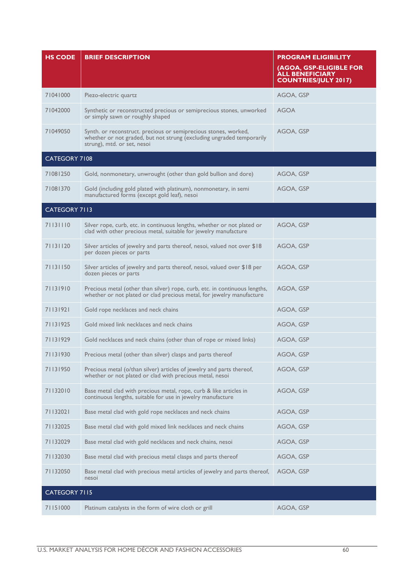| <b>HS CODE</b>       | <b>BRIEF DESCRIPTION</b>                                                                                                                                                | <b>PROGRAM ELIGIBILITY</b><br>(AGOA, GSP-ELIGIBLE FOR<br><b>ALL BENEFICIARY</b><br><b>COUNTRIES/JULY 2017)</b> |
|----------------------|-------------------------------------------------------------------------------------------------------------------------------------------------------------------------|----------------------------------------------------------------------------------------------------------------|
| 71041000             | Piezo-electric quartz                                                                                                                                                   | AGOA, GSP                                                                                                      |
| 71042000             | Synthetic or reconstructed precious or semiprecious stones, unworked<br>or simply sawn or roughly shaped                                                                | <b>AGOA</b>                                                                                                    |
| 71049050             | Synth. or reconstruct. precious or semiprecious stones, worked,<br>whether or not graded, but not strung (excluding ungraded temporarily<br>strung), mtd. or set, nesoi | AGOA, GSP                                                                                                      |
| <b>CATEGORY 7108</b> |                                                                                                                                                                         |                                                                                                                |
| 71081250             | Gold, nonmonetary, unwrought (other than gold bullion and dore)                                                                                                         | AGOA, GSP                                                                                                      |
| 71081370             | Gold (including gold plated with platinum), nonmonetary, in semi<br>manufactured forms (except gold leaf), nesoi                                                        | AGOA, GSP                                                                                                      |
| CATEGORY 7113        |                                                                                                                                                                         |                                                                                                                |
| 71131110             | Silver rope, curb, etc. in continuous lengths, whether or not plated or<br>clad with other precious metal, suitable for jewelry manufacture                             | AGOA, GSP                                                                                                      |
| 71131120             | Silver articles of jewelry and parts thereof, nesoi, valued not over \$18<br>per dozen pieces or parts                                                                  | AGOA, GSP                                                                                                      |
| 71131150             | Silver articles of jewelry and parts thereof, nesoi, valued over \$18 per<br>dozen pieces or parts                                                                      | AGOA, GSP                                                                                                      |
| 71131910             | Precious metal (other than silver) rope, curb, etc. in continuous lengths,<br>whether or not plated or clad precious metal, for jewelry manufacture                     | AGOA, GSP                                                                                                      |
| 71131921             | Gold rope necklaces and neck chains                                                                                                                                     | AGOA, GSP                                                                                                      |
| 71131925             | Gold mixed link necklaces and neck chains                                                                                                                               | AGOA, GSP                                                                                                      |
| 71131929             | Gold necklaces and neck chains (other than of rope or mixed links)                                                                                                      | AGOA, GSP                                                                                                      |
| 71131930             | Precious metal (other than silver) clasps and parts thereof                                                                                                             | AGOA, GSP                                                                                                      |
| 71131950             | Precious metal (o/than silver) articles of jewelry and parts thereof,<br>whether or not plated or clad with precious metal, nesoi                                       | AGOA, GSP                                                                                                      |
| 71132010             | Base metal clad with precious metal, rope, curb & like articles in<br>continuous lengths, suitable for use in jewelry manufacture                                       | AGOA, GSP                                                                                                      |
| 71132021             | Base metal clad with gold rope necklaces and neck chains                                                                                                                | AGOA, GSP                                                                                                      |
| 71132025             | Base metal clad with gold mixed link necklaces and neck chains                                                                                                          | AGOA, GSP                                                                                                      |
| 71132029             | Base metal clad with gold necklaces and neck chains, nesoi                                                                                                              | AGOA, GSP                                                                                                      |
| 71132030             | Base metal clad with precious metal clasps and parts thereof                                                                                                            | AGOA, GSP                                                                                                      |
| 71132050             | Base metal clad with precious metal articles of jewelry and parts thereof,<br>nesoi                                                                                     | AGOA, GSP                                                                                                      |
| CATEGORY 7115        |                                                                                                                                                                         |                                                                                                                |
| 71151000             | Platinum catalysts in the form of wire cloth or grill                                                                                                                   | AGOA, GSP                                                                                                      |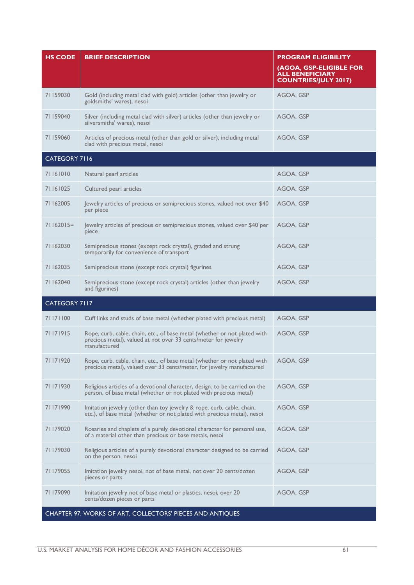| <b>HS CODE</b> | <b>BRIEF DESCRIPTION</b>                                                                                                                                     | <b>PROGRAM ELIGIBILITY</b>                                                       |  |  |
|----------------|--------------------------------------------------------------------------------------------------------------------------------------------------------------|----------------------------------------------------------------------------------|--|--|
|                |                                                                                                                                                              | (AGOA, GSP-ELIGIBLE FOR<br><b>ALL BENEFICIARY</b><br><b>COUNTRIES/JULY 2017)</b> |  |  |
| 71159030       | Gold (including metal clad with gold) articles (other than jewelry or<br>goldsmiths' wares), nesoi                                                           | AGOA, GSP                                                                        |  |  |
| 71159040       | Silver (including metal clad with silver) articles (other than jewelry or<br>silversmiths' wares), nesoi                                                     | AGOA, GSP                                                                        |  |  |
| 71159060       | Articles of precious metal (other than gold or silver), including metal<br>clad with precious metal, nesoi                                                   | AGOA, GSP                                                                        |  |  |
| CATEGORY 7116  |                                                                                                                                                              |                                                                                  |  |  |
| 71161010       | Natural pearl articles                                                                                                                                       | AGOA, GSP                                                                        |  |  |
| 71161025       | Cultured pearl articles                                                                                                                                      | AGOA, GSP                                                                        |  |  |
| 71162005       | Jewelry articles of precious or semiprecious stones, valued not over \$40<br>per piece                                                                       | AGOA, GSP                                                                        |  |  |
| $71162015=$    | Jewelry articles of precious or semiprecious stones, valued over \$40 per<br>piece                                                                           | AGOA, GSP                                                                        |  |  |
| 71162030       | Semiprecious stones (except rock crystal), graded and strung<br>temporarily for convenience of transport                                                     | AGOA, GSP                                                                        |  |  |
| 71162035       | Semiprecious stone (except rock crystal) figurines                                                                                                           | AGOA, GSP                                                                        |  |  |
| 71162040       | Semiprecious stone (except rock crystal) articles (other than jewelry<br>and figurines)                                                                      | AGOA, GSP                                                                        |  |  |
| CATEGORY 7117  |                                                                                                                                                              |                                                                                  |  |  |
| 71171100       | Cuff links and studs of base metal (whether plated with precious metal)                                                                                      | AGOA, GSP                                                                        |  |  |
| 71171915       | Rope, curb, cable, chain, etc., of base metal (whether or not plated with<br>precious metal), valued at not over 33 cents/meter for jewelry<br>manufactured  | AGOA, GSP                                                                        |  |  |
| 71171920       | Rope, curb, cable, chain, etc., of base metal (whether or not plated with AGOA, GSP<br>precious metal), valued over 33 cents/meter, for jewelry manufactured |                                                                                  |  |  |
| 71171930       | Religious articles of a devotional character, design. to be carried on the<br>person, of base metal (whether or not plated with precious metal)              | AGOA, GSP                                                                        |  |  |
| 71171990       | Imitation jewelry (other than toy jewelry & rope, curb, cable, chain,<br>etc.), of base metal (whether or not plated with precious metal), nesoi             | AGOA, GSP                                                                        |  |  |
| 71179020       | Rosaries and chaplets of a purely devotional character for personal use,<br>of a material other than precious or base metals, nesoi                          | AGOA, GSP                                                                        |  |  |
| 71179030       | Religious articles of a purely devotional character designed to be carried<br>on the person, nesoi                                                           | AGOA, GSP                                                                        |  |  |
| 71179055       | Imitation jewelry nesoi, not of base metal, not over 20 cents/dozen<br>pieces or parts                                                                       | AGOA, GSP                                                                        |  |  |
| 71179090       | Imitation jewelry not of base metal or plastics, nesoi, over 20<br>cents/dozen pieces or parts                                                               | AGOA, GSP                                                                        |  |  |
|                | CHAPTER 97: WORKS OF ART, COLLECTORS' PIECES AND ANTIQUES                                                                                                    |                                                                                  |  |  |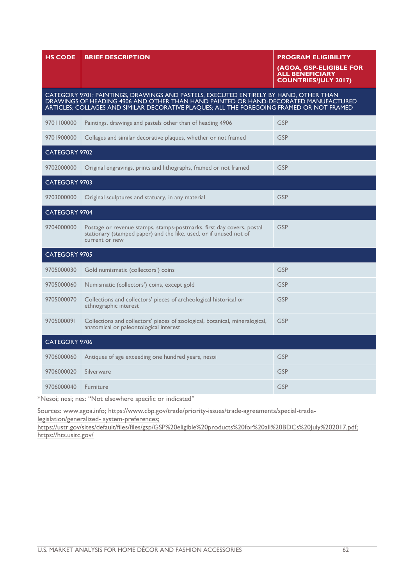| <b>HS CODE</b>                                                                                                                                                                                                                                                            | <b>BRIEF DESCRIPTION</b>                                                                                                                                      | <b>PROGRAM ELIGIBILITY</b><br>(AGOA, GSP-ELIGIBLE FOR<br><b>ALL BENEFICIARY</b><br><b>COUNTRIES/JULY 2017)</b> |  |  |
|---------------------------------------------------------------------------------------------------------------------------------------------------------------------------------------------------------------------------------------------------------------------------|---------------------------------------------------------------------------------------------------------------------------------------------------------------|----------------------------------------------------------------------------------------------------------------|--|--|
| CATEGORY 9701: PAINTINGS, DRAWINGS AND PASTELS, EXECUTED ENTIRELY BY HAND, OTHER THAN<br>DRAWINGS OF HEADING 4906 AND OTHER THAN HAND PAINTED OR HAND-DECORATED MANUFACTURED<br>ARTICLES; COLLAGES AND SIMILAR DECORATIVE PLAQUES; ALL THE FOREGOING FRAMED OR NOT FRAMED |                                                                                                                                                               |                                                                                                                |  |  |
| 9701100000                                                                                                                                                                                                                                                                | Paintings, drawings and pastels other than of heading 4906                                                                                                    | <b>GSP</b>                                                                                                     |  |  |
| 9701900000                                                                                                                                                                                                                                                                | Collages and similar decorative plaques, whether or not framed                                                                                                | <b>GSP</b>                                                                                                     |  |  |
| CATEGORY 9702                                                                                                                                                                                                                                                             |                                                                                                                                                               |                                                                                                                |  |  |
| 9702000000                                                                                                                                                                                                                                                                | Original engravings, prints and lithographs, framed or not framed                                                                                             | <b>GSP</b>                                                                                                     |  |  |
| <b>CATEGORY 9703</b>                                                                                                                                                                                                                                                      |                                                                                                                                                               |                                                                                                                |  |  |
| 9703000000                                                                                                                                                                                                                                                                | Original sculptures and statuary, in any material                                                                                                             | <b>GSP</b>                                                                                                     |  |  |
| CATEGORY 9704                                                                                                                                                                                                                                                             |                                                                                                                                                               |                                                                                                                |  |  |
| 9704000000                                                                                                                                                                                                                                                                | Postage or revenue stamps, stamps-postmarks, first day covers, postal<br>stationary (stamped paper) and the like, used, or if unused not of<br>current or new | <b>GSP</b>                                                                                                     |  |  |
| CATEGORY 9705                                                                                                                                                                                                                                                             |                                                                                                                                                               |                                                                                                                |  |  |
| 9705000030                                                                                                                                                                                                                                                                | Gold numismatic (collectors') coins                                                                                                                           | <b>GSP</b>                                                                                                     |  |  |
| 9705000060                                                                                                                                                                                                                                                                | Numismatic (collectors') coins, except gold                                                                                                                   | <b>GSP</b>                                                                                                     |  |  |
| 9705000070                                                                                                                                                                                                                                                                | Collections and collectors' pieces of archeological historical or<br>ethnographic interest                                                                    | <b>GSP</b>                                                                                                     |  |  |
| 9705000091                                                                                                                                                                                                                                                                | Collections and collectors' pieces of zoological, botanical, mineralogical,<br>anatomical or paleontological interest                                         | <b>GSP</b>                                                                                                     |  |  |
| CATEGORY 9706                                                                                                                                                                                                                                                             |                                                                                                                                                               |                                                                                                                |  |  |
| 9706000060                                                                                                                                                                                                                                                                | Antiques of age exceeding one hundred years, nesoi                                                                                                            | <b>GSP</b>                                                                                                     |  |  |
| 9706000020                                                                                                                                                                                                                                                                | Silverware                                                                                                                                                    | <b>GSP</b>                                                                                                     |  |  |
| 9706000040                                                                                                                                                                                                                                                                | Furniture                                                                                                                                                     | <b>GSP</b>                                                                                                     |  |  |

\*Nesoi; nesi; nes: "Not elsewhere specific or indicated"

Sources: www.agoa.info; https://www.cbp.gov/trade/priority-issues/trade-agreements/special-tradelegislation/generalized- system-preferences;

https://ustr.gov/sites/default/files/files/gsp/GSP%20eligible%20products%20for%20all%20BDCs%20July%202017.pdf; https://hts.usitc.gov/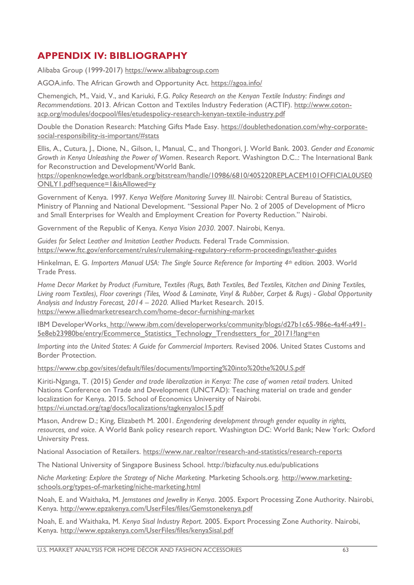### <span id="page-62-0"></span>**APPENDIX IV: BIBLIOGRAPHY**

Alibaba Group (1999-2017) https:/[/www.alibabagroup.com](http://www.alibabagroup.com/)

AGOA.info. The African Growth and Opportunity Act.<https://agoa.info/>

Chemengich, M., Vaid, V., and Kariuki, F.G. *Policy Research on the Kenyan Textile Industry: Findings and Recommendations*. 2013. African Cotton and Textiles Industry Federation (ACTIF). [http://www.coton](http://www.coton-acp.org/modules/docpool/files/etudespolicy-research-kenyan-textile-industry.pdf)[acp.org/modules/docpool/files/etudespolicy-research-kenyan-textile-industry.pdf](http://www.coton-acp.org/modules/docpool/files/etudespolicy-research-kenyan-textile-industry.pdf)

Double the Donation Research: Matching Gifts Made Easy. [https://doublethedonation.com/why-corporate](https://doublethedonation.com/why-corporate-social-responsibility-is-important/#stats)[social-responsibility-is-important/#stats](https://doublethedonation.com/why-corporate-social-responsibility-is-important/#stats)

Ellis, A., Cutura, J., Dione, N., Gilson, I., Manual, C., and Thongori, J. World Bank. 2003. *Gender and Economic Growth in Kenya Unleashing the Power of Women*. Research Report. Washington D.C..: The International Bank for Reconstruction and Development/World Bank.

[https://openknowledge.worldbank.org/bitstream/handle/10986/6810/405220REPLACEM101OFFICIAL0USE0](https://openknowledge.worldbank.org/bitstream/handle/10986/6810/405220REPLACEM101OFFICIAL0USE0ONLY1.pdf?sequence=1&isAllowed=y) [ONLY1.pdf?sequence=1&isAllowed=y](https://openknowledge.worldbank.org/bitstream/handle/10986/6810/405220REPLACEM101OFFICIAL0USE0ONLY1.pdf?sequence=1&isAllowed=y)

Government of Kenya. 1997. *Kenya Welfare Monitoring Survey III*. Nairobi: Central Bureau of Statistics, Ministry of Planning and National Development. "Sessional Paper No. 2 of 2005 of Development of Micro and Small Enterprises for Wealth and Employment Creation for Poverty Reduction." Nairobi.

Government of the Republic of Kenya. *Kenya Vision 2030*. 2007. Nairobi, Kenya.

*Guides for Select Leather and Imitation Leather Products.* Federal Trade Commission. <https://www.ftc.gov/enforcement/rules/rulemaking-regulatory-reform-proceedings/leather-guides>

Hinkelman, E. G. *Importers Manual USA: The Single Source Reference for Importing 4th edition.* 2003. World Trade Press.

*Home Decor Market by Product (Furniture, Textiles (Rugs, Bath Textiles, Bed Textiles, Kitchen and Dining Textiles, Living room Textiles), Floor coverings (Tiles, Wood & Laminate, Vinyl & Rubber, Carpet & Rugs) - Global Opportunity Analysis and Industry Forecast, 2014 – 2020.* Allied Market Research. 2015. https://www.alliedmarketresearch.com/home-decor-furnishing-market

IBM DeveloperWorks. http:/[/www.ibm.com/developerworks/community/blogs/d27b1c65-986e-4a4f-a491-](http://www.ibm.com/developerworks/community/blogs/d27b1c65-986e-4a4f-a491-5e8eb23980be/entry/Ecommerce_Statistics_Technology_Trendsetters_for_20171?lang=en) [5e8eb23980be/entry/Ecommerce\\_Statistics\\_Technology\\_Trendsetters\\_for\\_20171?lang=en](http://www.ibm.com/developerworks/community/blogs/d27b1c65-986e-4a4f-a491-5e8eb23980be/entry/Ecommerce_Statistics_Technology_Trendsetters_for_20171?lang=en)

*Importing into the United States: A Guide for Commercial Importers. Revised 2006. United States Customs and* Border Protection.

<https://www.cbp.gov/sites/default/files/documents/Importing%20into%20the%20U.S.pdf>

Kiriti-Nganga, T. (2015) *Gender and trade liberalization in Kenya: The case of women retail traders.* United Nations Conference on Trade and Development (UNCTAD): Teaching material on trade and gender localization for Kenya. 2015. School of Economics University of Nairobi. <https://vi.unctad.org/tag/docs/localizations/tagkenyaloc15.pdf>

Mason, Andrew D.; King, Elizabeth M. 2001. *Engendering development through gender equality in rights, resources, and voice*. A World Bank policy research report. Washington DC: World Bank; New York: Oxford University Press.

National Association of Retailers.<https://www.nar.realtor/research-and-statistics/research-reports>

The National University of Singapore Business School. http://bizfaculty.nus.edu/publications

*Niche Marketing: Explore the Strategy of Niche Marketing.* Marketing Schools.org. [http://www.marketing](http://www.marketing-schools.org/types-of-marketing/niche-marketing.html)[schools.org/types-of-marketing/niche-marketing.html](http://www.marketing-schools.org/types-of-marketing/niche-marketing.html)

Noah, E. and Waithaka, M. *Jemstones and Jewellry in Kenya*. 2005. Export Processing Zone Authority. Nairobi, Kenya.<http://www.epzakenya.com/UserFiles/files/Gemstonekenya.pdf>

Noah, E. and Waithaka, M. *Kenya Sisal Industry Report*. 2005. Export Processing Zone Authority. Nairobi, Kenya.<http://www.epzakenya.com/UserFiles/files/kenyaSisal.pdf>